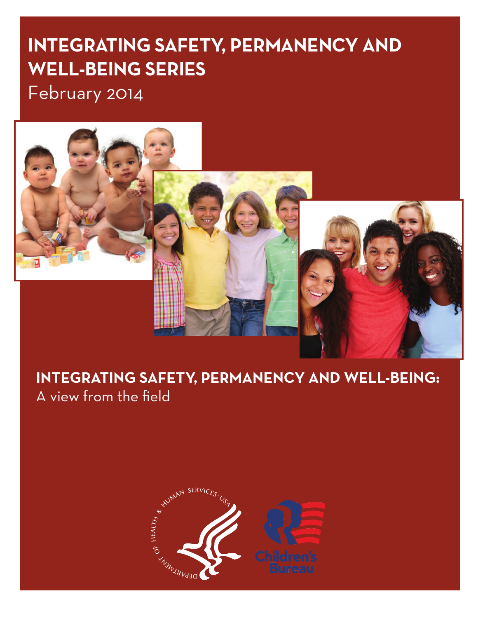# **IntegratIng Safety, Permanency and Well-BeIng SerIeS**

February 2014



# **IntegratIng Safety, Permanency and Well-BeIng:**  A view from the field

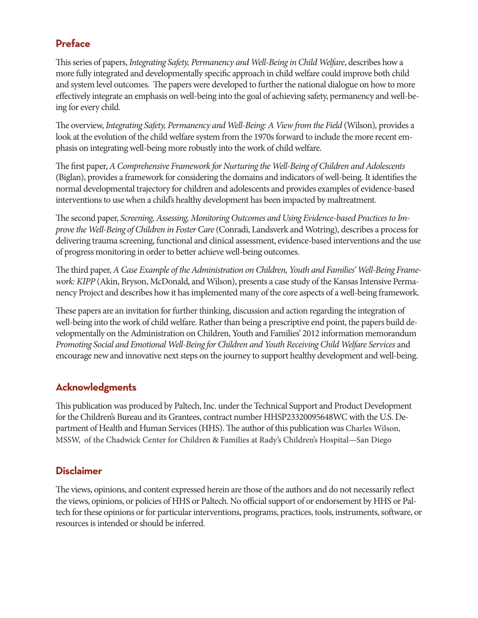## **Preface**

This series of papers, *Integrating Safety, Permanency and Well-Being in Child Welfare*, describes how a more fully integrated and developmentally specific approach in child welfare could improve both child and system level outcomes. The papers were developed to further the national dialogue on how to more effectively integrate an emphasis on well-being into the goal of achieving safety, permanency and well-being for every child.

The overview, *Integrating Safety, Permanency and Well-Being: A View from the Field* (Wilson)*,* provides a look at the evolution of the child welfare system from the 1970s forward to include the more recent emphasis on integrating well-being more robustly into the work of child welfare.

The first paper, *A Comprehensive Framework for Nurturing the Well-Being of Children and Adolescents*  (Biglan), provides a framework for considering the domains and indicators of well-being. It identifies the normal developmental trajectory for children and adolescents and provides examples of evidence-based interventions to use when a child's healthy development has been impacted by maltreatment.

The second paper, *Screening, Assessing, Monitoring Outcomes and Using Evidence-based Practices to Improve the Well-Being of Children in Foster Care* (Conradi, Landsverk and Wotring), describes a process for delivering trauma screening, functional and clinical assessment, evidence-based interventions and the use of progress monitoring in order to better achieve well-being outcomes.

The third paper, *A Case Example of the Administration on Children, Youth and Families' Well-Being Framework: KIPP* (Akin, Bryson, McDonald, and Wilson), presents a case study of the Kansas Intensive Permanency Project and describes how it has implemented many of the core aspects of a well-being framework.

These papers are an invitation for further thinking, discussion and action regarding the integration of well-being into the work of child welfare. Rather than being a prescriptive end point, the papers build developmentally on the Administration on Children, Youth and Families' 2012 information memorandum *Promoting Social and Emotional Well-Being for Children and Youth Receiving Child Welfare Services* and encourage new and innovative next steps on the journey to support healthy development and well-being.

## **Acknowledgments**

This publication was produced by Paltech, Inc. under the Technical Support and Product Development for the Children's Bureau and its Grantees, contract number HHSP23320095648WC with the U.S. Department of Health and Human Services (HHS). The author of this publication was Charles Wilson, MSSW, of the Chadwick Center for Children & Families at Rady's Children's Hospital—San Diego

### **Disclaimer**

The views, opinions, and content expressed herein are those of the authors and do not necessarily reflect the views, opinions, or policies of HHS or Paltech. No official support of or endorsement by HHS or Paltech for these opinions or for particular interventions, programs, practices, tools, instruments, software, or resources is intended or should be inferred.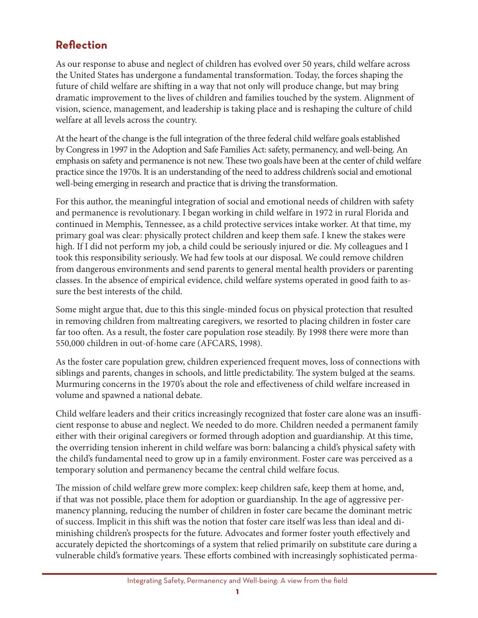## **reflection**

As our response to abuse and neglect of children has evolved over 50 years, child welfare across the United States has undergone a fundamental transformation. Today, the forces shaping the future of child welfare are shifting in a way that not only will produce change, but may bring dramatic improvement to the lives of children and families touched by the system. Alignment of vision, science, management, and leadership is taking place and is reshaping the culture of child welfare at all levels across the country.

At the heart of the change is the full integration of the three federal child welfare goals established by Congress in 1997 in the Adoption and Safe Families Act: safety, permanency, and well-being. An emphasis on safety and permanence is not new. These two goals have been at the center of child welfare practice since the 1970s. It is an understanding of the need to address children's social and emotional well-being emerging in research and practice that is driving the transformation.

For this author, the meaningful integration of social and emotional needs of children with safety and permanence is revolutionary. I began working in child welfare in 1972 in rural Florida and continued in Memphis, Tennessee, as a child protective services intake worker. At that time, my primary goal was clear: physically protect children and keep them safe. I knew the stakes were high. If I did not perform my job, a child could be seriously injured or die. My colleagues and I took this responsibility seriously. We had few tools at our disposal. We could remove children from dangerous environments and send parents to general mental health providers or parenting classes. In the absence of empirical evidence, child welfare systems operated in good faith to assure the best interests of the child.

Some might argue that, due to this this single-minded focus on physical protection that resulted in removing children from maltreating caregivers, we resorted to placing children in foster care far too often. As a result, the foster care population rose steadily. By 1998 there were more than 550,000 children in out-of-home care (AFCARS, 1998).

As the foster care population grew, children experienced frequent moves, loss of connections with siblings and parents, changes in schools, and little predictability. The system bulged at the seams. Murmuring concerns in the 1970's about the role and effectiveness of child welfare increased in volume and spawned a national debate.

Child welfare leaders and their critics increasingly recognized that foster care alone was an insufficient response to abuse and neglect. We needed to do more. Children needed a permanent family either with their original caregivers or formed through adoption and guardianship. At this time, the overriding tension inherent in child welfare was born: balancing a child's physical safety with the child's fundamental need to grow up in a family environment. Foster care was perceived as a temporary solution and permanency became the central child welfare focus.

The mission of child welfare grew more complex: keep children safe, keep them at home, and, if that was not possible, place them for adoption or guardianship. In the age of aggressive permanency planning, reducing the number of children in foster care became the dominant metric of success. Implicit in this shift was the notion that foster care itself was less than ideal and diminishing children's prospects for the future. Advocates and former foster youth effectively and accurately depicted the shortcomings of a system that relied primarily on substitute care during a vulnerable child's formative years. These efforts combined with increasingly sophisticated perma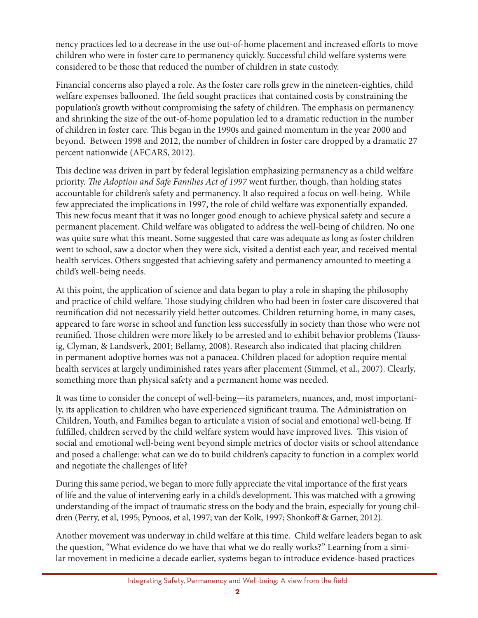nency practices led to a decrease in the use out-of-home placement and increased efforts to move children who were in foster care to permanency quickly. Successful child welfare systems were considered to be those that reduced the number of children in state custody.

Financial concerns also played a role. As the foster care rolls grew in the nineteen-eighties, child welfare expenses ballooned. The field sought practices that contained costs by constraining the population's growth without compromising the safety of children. The emphasis on permanency and shrinking the size of the out-of-home population led to a dramatic reduction in the number of children in foster care. This began in the 1990s and gained momentum in the year 2000 and beyond. Between 1998 and 2012, the number of children in foster care dropped by a dramatic 27 percent nationwide (AFCARS, 2012).

This decline was driven in part by federal legislation emphasizing permanency as a child welfare priority. *The Adoption and Safe Families Act of 1997* went further, though, than holding states accountable for children's safety and permanency. It also required a focus on well-being. While few appreciated the implications in 1997, the role of child welfare was exponentially expanded. This new focus meant that it was no longer good enough to achieve physical safety and secure a permanent placement. Child welfare was obligated to address the well-being of children. No one was quite sure what this meant. Some suggested that care was adequate as long as foster children went to school, saw a doctor when they were sick, visited a dentist each year, and received mental health services. Others suggested that achieving safety and permanency amounted to meeting a child's well-being needs.

At this point, the application of science and data began to play a role in shaping the philosophy and practice of child welfare. Those studying children who had been in foster care discovered that reunification did not necessarily yield better outcomes. Children returning home, in many cases, appeared to fare worse in school and function less successfully in society than those who were not reunified. Those children were more likely to be arrested and to exhibit behavior problems (Taussig, Clyman, & Landsverk, 2001; Bellamy, 2008). Research also indicated that placing children in permanent adoptive homes was not a panacea. Children placed for adoption require mental health services at largely undiminished rates years after placement (Simmel, et al., 2007). Clearly, something more than physical safety and a permanent home was needed.

It was time to consider the concept of well-being—its parameters, nuances, and, most importantly, its application to children who have experienced significant trauma. The Administration on Children, Youth, and Families began to articulate a vision of social and emotional well-being. If fulfilled, children served by the child welfare system would have improved lives. This vision of social and emotional well-being went beyond simple metrics of doctor visits or school attendance and posed a challenge: what can we do to build children's capacity to function in a complex world and negotiate the challenges of life?

During this same period, we began to more fully appreciate the vital importance of the first years of life and the value of intervening early in a child's development. This was matched with a growing understanding of the impact of traumatic stress on the body and the brain, especially for young children (Perry, et al, 1995; Pynoos, et al, 1997; van der Kolk, 1997; Shonkoff & Garner, 2012).

Another movement was underway in child welfare at this time. Child welfare leaders began to ask the question, "What evidence do we have that what we do really works?" Learning from a similar movement in medicine a decade earlier, systems began to introduce evidence-based practices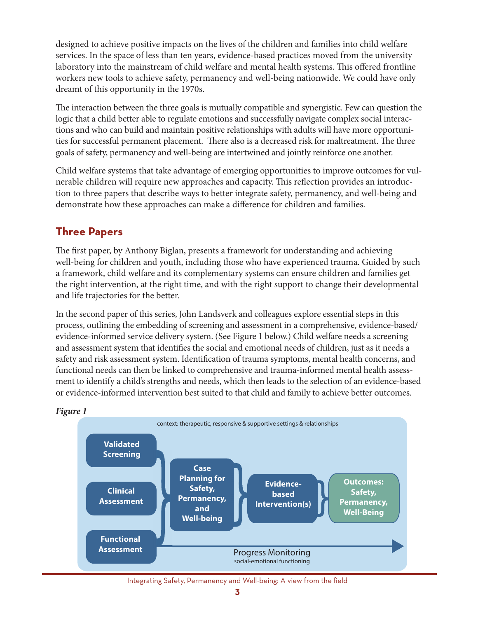designed to achieve positive impacts on the lives of the children and families into child welfare services. In the space of less than ten years, evidence-based practices moved from the university laboratory into the mainstream of child welfare and mental health systems. This offered frontline workers new tools to achieve safety, permanency and well-being nationwide. We could have only dreamt of this opportunity in the 1970s.

The interaction between the three goals is mutually compatible and synergistic. Few can question the logic that a child better able to regulate emotions and successfully navigate complex social interactions and who can build and maintain positive relationships with adults will have more opportunities for successful permanent placement. There also is a decreased risk for maltreatment. The three goals of safety, permanency and well-being are intertwined and jointly reinforce one another.

Child welfare systems that take advantage of emerging opportunities to improve outcomes for vulnerable children will require new approaches and capacity. This reflection provides an introduction to three papers that describe ways to better integrate safety, permanency, and well-being and demonstrate how these approaches can make a difference for children and families.

## **three Papers**

The first paper, by Anthony Biglan, presents a framework for understanding and achieving well-being for children and youth, including those who have experienced trauma. Guided by such a framework, child welfare and its complementary systems can ensure children and families get the right intervention, at the right time, and with the right support to change their developmental and life trajectories for the better.

In the second paper of this series, John Landsverk and colleagues explore essential steps in this process, outlining the embedding of screening and assessment in a comprehensive, evidence-based/ evidence-informed service delivery system. (See Figure 1 below.) Child welfare needs a screening and assessment system that identifies the social and emotional needs of children, just as it needs a safety and risk assessment system. Identification of trauma symptoms, mental health concerns, and functional needs can then be linked to comprehensive and trauma-informed mental health assessment to identify a child's strengths and needs, which then leads to the selection of an evidence-based or evidence-informed intervention best suited to that child and family to achieve better outcomes.



#### *Figure 1*

Integrating Safety, Permanency and Well-being: A view from the field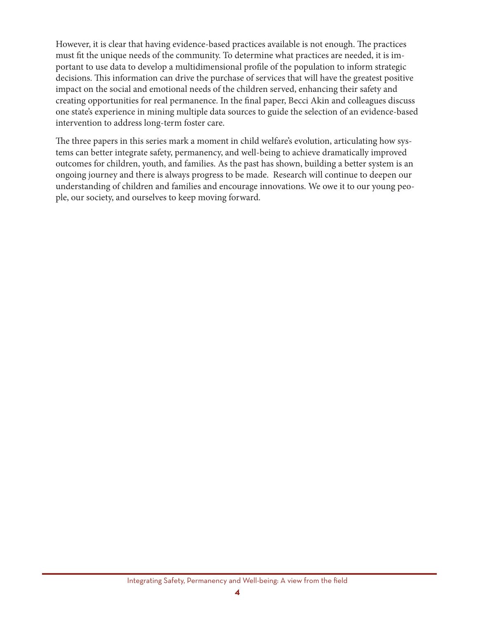However, it is clear that having evidence-based practices available is not enough. The practices must fit the unique needs of the community. To determine what practices are needed, it is important to use data to develop a multidimensional profile of the population to inform strategic decisions. This information can drive the purchase of services that will have the greatest positive impact on the social and emotional needs of the children served, enhancing their safety and creating opportunities for real permanence. In the final paper, Becci Akin and colleagues discuss one state's experience in mining multiple data sources to guide the selection of an evidence-based intervention to address long-term foster care.

The three papers in this series mark a moment in child welfare's evolution, articulating how systems can better integrate safety, permanency, and well-being to achieve dramatically improved outcomes for children, youth, and families. As the past has shown, building a better system is an ongoing journey and there is always progress to be made. Research will continue to deepen our understanding of children and families and encourage innovations. We owe it to our young people, our society, and ourselves to keep moving forward.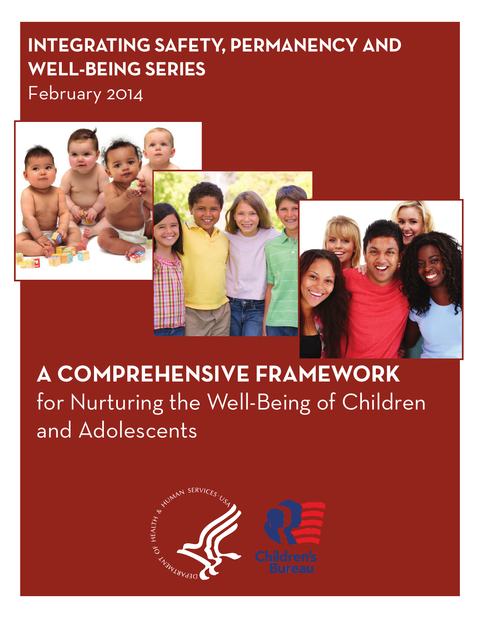# **IntegratIng Safety, Permanency and Well-BeIng SerIeS**

February 2014



# **A COMPREHENSIVE FRAMEWORK** for Nurturing the Well-Being of Children and Adolescents

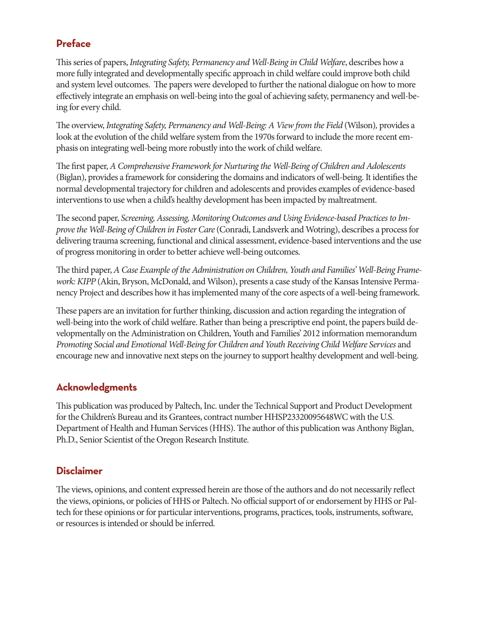### **Preface**

This series of papers, *Integrating Safety, Permanency and Well-Being in Child Welfare*, describes how a more fully integrated and developmentally specific approach in child welfare could improve both child and system level outcomes. The papers were developed to further the national dialogue on how to more effectively integrate an emphasis on well-being into the goal of achieving safety, permanency and well-being for every child.

The overview, *Integrating Safety, Permanency and Well-Being: A View from the Field* (Wilson)*,* provides a look at the evolution of the child welfare system from the 1970s forward to include the more recent emphasis on integrating well-being more robustly into the work of child welfare.

The first paper, *A Comprehensive Framework for Nurturing the Well-Being of Children and Adolescents*  (Biglan), provides a framework for considering the domains and indicators of well-being. It identifies the normal developmental trajectory for children and adolescents and provides examples of evidence-based interventions to use when a child's healthy development has been impacted by maltreatment.

The second paper, *Screening, Assessing, Monitoring Outcomes and Using Evidence-based Practices to Improve the Well-Being of Children in Foster Care* (Conradi, Landsverk and Wotring), describes a process for delivering trauma screening, functional and clinical assessment, evidence-based interventions and the use of progress monitoring in order to better achieve well-being outcomes.

The third paper, *A Case Example of the Administration on Children, Youth and Families' Well-Being Framework: KIPP* (Akin, Bryson, McDonald, and Wilson), presents a case study of the Kansas Intensive Permanency Project and describes how it has implemented many of the core aspects of a well-being framework.

These papers are an invitation for further thinking, discussion and action regarding the integration of well-being into the work of child welfare. Rather than being a prescriptive end point, the papers build developmentally on the Administration on Children, Youth and Families' 2012 information memorandum *Promoting Social and Emotional Well-Being for Children and Youth Receiving Child Welfare Services* and encourage new and innovative next steps on the journey to support healthy development and well-being.

### **Acknowledgments**

This publication was produced by Paltech, Inc. under the Technical Support and Product Development for the Children's Bureau and its Grantees, contract number HHSP23320095648WC with the U.S. Department of Health and Human Services (HHS). The author of this publication was Anthony Biglan, Ph.D., Senior Scientist of the Oregon Research Institute.

#### **Disclaimer**

The views, opinions, and content expressed herein are those of the authors and do not necessarily reflect the views, opinions, or policies of HHS or Paltech. No official support of or endorsement by HHS or Paltech for these opinions or for particular interventions, programs, practices, tools, instruments, software, or resources is intended or should be inferred.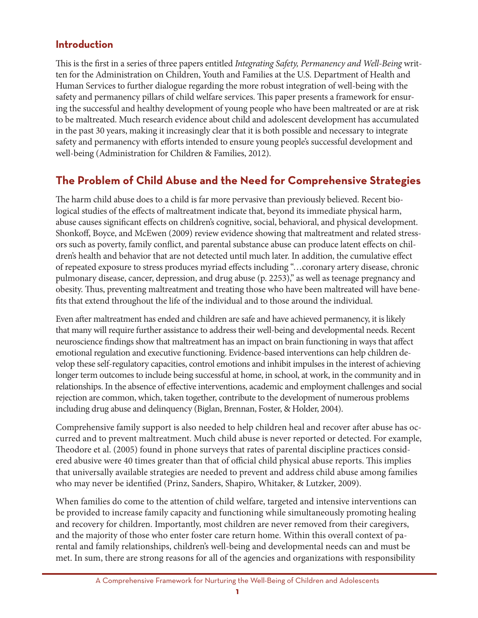## **Introduction**

This is the first in a series of three papers entitled *Integrating Safety, Permanency and Well-Being* written for the Administration on Children, Youth and Families at the U.S. Department of Health and Human Services to further dialogue regarding the more robust integration of well-being with the safety and permanency pillars of child welfare services. This paper presents a framework for ensuring the successful and healthy development of young people who have been maltreated or are at risk to be maltreated. Much research evidence about child and adolescent development has accumulated in the past 30 years, making it increasingly clear that it is both possible and necessary to integrate safety and permanency with efforts intended to ensure young people's successful development and well-being (Administration for Children & Families, 2012).

## **the Problem of child abuse and the need for comprehensive Strategies**

The harm child abuse does to a child is far more pervasive than previously believed. Recent biological studies of the effects of maltreatment indicate that, beyond its immediate physical harm, abuse causes significant effects on children's cognitive, social, behavioral, and physical development. Shonkoff, Boyce, and McEwen (2009) review evidence showing that maltreatment and related stressors such as poverty, family conflict, and parental substance abuse can produce latent effects on children's health and behavior that are not detected until much later. In addition, the cumulative effect of repeated exposure to stress produces myriad effects including "…coronary artery disease, chronic pulmonary disease, cancer, depression, and drug abuse (p. 2253)," as well as teenage pregnancy and obesity. Thus, preventing maltreatment and treating those who have been maltreated will have benefits that extend throughout the life of the individual and to those around the individual.

Even after maltreatment has ended and children are safe and have achieved permanency, it is likely that many will require further assistance to address their well-being and developmental needs. Recent neuroscience findings show that maltreatment has an impact on brain functioning in ways that affect emotional regulation and executive functioning. Evidence-based interventions can help children develop these self-regulatory capacities, control emotions and inhibit impulses in the interest of achieving longer term outcomes to include being successful at home, in school, at work, in the community and in relationships. In the absence of effective interventions, academic and employment challenges and social rejection are common, which, taken together, contribute to the development of numerous problems including drug abuse and delinquency (Biglan, Brennan, Foster, & Holder, 2004).

Comprehensive family support is also needed to help children heal and recover after abuse has occurred and to prevent maltreatment. Much child abuse is never reported or detected. For example, Theodore et al. (2005) found in phone surveys that rates of parental discipline practices considered abusive were 40 times greater than that of official child physical abuse reports. This implies that universally available strategies are needed to prevent and address child abuse among families who may never be identified (Prinz, Sanders, Shapiro, Whitaker, & Lutzker, 2009).

When families do come to the attention of child welfare, targeted and intensive interventions can be provided to increase family capacity and functioning while simultaneously promoting healing and recovery for children. Importantly, most children are never removed from their caregivers, and the majority of those who enter foster care return home. Within this overall context of parental and family relationships, children's well-being and developmental needs can and must be met. In sum, there are strong reasons for all of the agencies and organizations with responsibility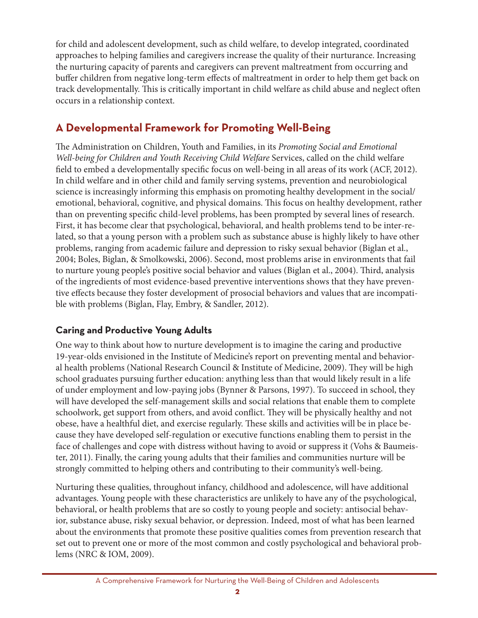for child and adolescent development, such as child welfare, to develop integrated, coordinated approaches to helping families and caregivers increase the quality of their nurturance. Increasing the nurturing capacity of parents and caregivers can prevent maltreatment from occurring and buffer children from negative long-term effects of maltreatment in order to help them get back on track developmentally. This is critically important in child welfare as child abuse and neglect often occurs in a relationship context.

## **a developmental framework for Promoting Well-Being**

The Administration on Children, Youth and Families, in its *Promoting Social and Emotional Well-being for Children and Youth Receiving Child Welfare* Services, called on the child welfare field to embed a developmentally specific focus on well-being in all areas of its work (ACF, 2012). In child welfare and in other child and family serving systems, prevention and neurobiological science is increasingly informing this emphasis on promoting healthy development in the social/ emotional, behavioral, cognitive, and physical domains. This focus on healthy development, rather than on preventing specific child-level problems, has been prompted by several lines of research. First, it has become clear that psychological, behavioral, and health problems tend to be inter-related, so that a young person with a problem such as substance abuse is highly likely to have other problems, ranging from academic failure and depression to risky sexual behavior (Biglan et al., 2004; Boles, Biglan, & Smolkowski, 2006). Second, most problems arise in environments that fail to nurture young people's positive social behavior and values (Biglan et al., 2004). Third, analysis of the ingredients of most evidence-based preventive interventions shows that they have preventive effects because they foster development of prosocial behaviors and values that are incompatible with problems (Biglan, Flay, Embry, & Sandler, 2012).

### **caring and Productive young adults**

One way to think about how to nurture development is to imagine the caring and productive 19-year-olds envisioned in the Institute of Medicine's report on preventing mental and behavioral health problems (National Research Council & Institute of Medicine, 2009). They will be high school graduates pursuing further education: anything less than that would likely result in a life of under employment and low-paying jobs (Bynner & Parsons, 1997). To succeed in school, they will have developed the self-management skills and social relations that enable them to complete schoolwork, get support from others, and avoid conflict. They will be physically healthy and not obese, have a healthful diet, and exercise regularly. These skills and activities will be in place because they have developed self-regulation or executive functions enabling them to persist in the face of challenges and cope with distress without having to avoid or suppress it (Vohs & Baumeister, 2011). Finally, the caring young adults that their families and communities nurture will be strongly committed to helping others and contributing to their community's well-being.

Nurturing these qualities, throughout infancy, childhood and adolescence, will have additional advantages. Young people with these characteristics are unlikely to have any of the psychological, behavioral, or health problems that are so costly to young people and society: antisocial behavior, substance abuse, risky sexual behavior, or depression. Indeed, most of what has been learned about the environments that promote these positive qualities comes from prevention research that set out to prevent one or more of the most common and costly psychological and behavioral problems (NRC & IOM, 2009).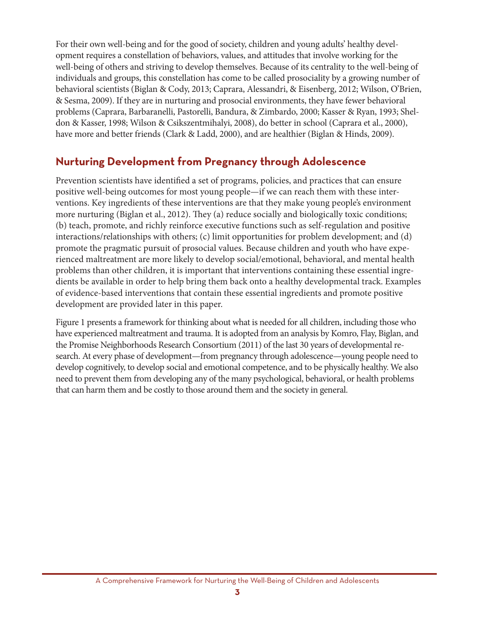For their own well-being and for the good of society, children and young adults' healthy development requires a constellation of behaviors, values, and attitudes that involve working for the well-being of others and striving to develop themselves. Because of its centrality to the well-being of individuals and groups, this constellation has come to be called prosociality by a growing number of behavioral scientists (Biglan & Cody, 2013; Caprara, Alessandri, & Eisenberg, 2012; Wilson, O'Brien, & Sesma, 2009). If they are in nurturing and prosocial environments, they have fewer behavioral problems (Caprara, Barbaranelli, Pastorelli, Bandura, & Zimbardo, 2000; Kasser & Ryan, 1993; Sheldon & Kasser, 1998; Wilson & Csikszentmihalyi, 2008), do better in school (Caprara et al., 2000), have more and better friends (Clark & Ladd, 2000), and are healthier (Biglan & Hinds, 2009).

## **nurturing development from Pregnancy through adolescence**

Prevention scientists have identified a set of programs, policies, and practices that can ensure positive well-being outcomes for most young people—if we can reach them with these interventions. Key ingredients of these interventions are that they make young people's environment more nurturing (Biglan et al., 2012). They (a) reduce socially and biologically toxic conditions; (b) teach, promote, and richly reinforce executive functions such as self-regulation and positive interactions/relationships with others; (c) limit opportunities for problem development; and (d) promote the pragmatic pursuit of prosocial values. Because children and youth who have experienced maltreatment are more likely to develop social/emotional, behavioral, and mental health problems than other children, it is important that interventions containing these essential ingredients be available in order to help bring them back onto a healthy developmental track. Examples of evidence-based interventions that contain these essential ingredients and promote positive development are provided later in this paper.

Figure 1 presents a framework for thinking about what is needed for all children, including those who have experienced maltreatment and trauma. It is adopted from an analysis by Komro, Flay, Biglan, and the Promise Neighborhoods Research Consortium (2011) of the last 30 years of developmental research. At every phase of development—from pregnancy through adolescence—young people need to develop cognitively, to develop social and emotional competence, and to be physically healthy. We also need to prevent them from developing any of the many psychological, behavioral, or health problems that can harm them and be costly to those around them and the society in general.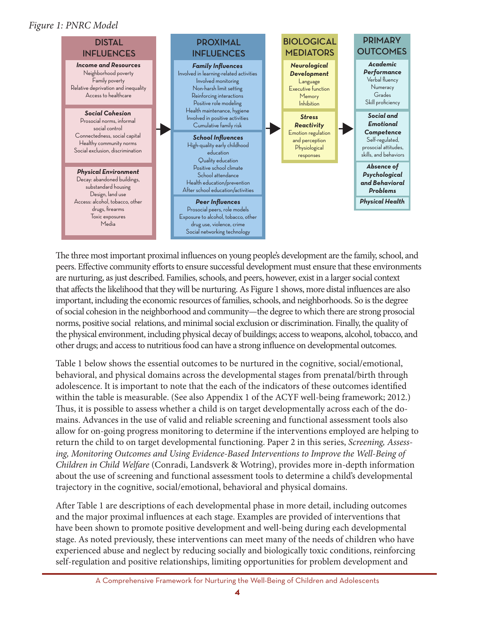#### *Figure 1: PNRC Model*



The three most important proximal influences on young people's development are the family, school, and peers. Effective community efforts to ensure successful development must ensure that these environments are nurturing, as just described. Families, schools, and peers, however, exist in a larger social context that affects the likelihood that they will be nurturing. As Figure 1 shows, more distal influences are also important, including the economic resources of families, schools, and neighborhoods. So is the degree of social cohesion in the neighborhood and community—the degree to which there are strong prosocial norms, positive social relations, and minimal social exclusion or discrimination. Finally, the quality of the physical environment, including physical decay of buildings; access to weapons, alcohol, tobacco, and other drugs; and access to nutritious food can have a strong influence on developmental outcomes.

Table 1 below shows the essential outcomes to be nurtured in the cognitive, social/emotional, behavioral, and physical domains across the developmental stages from prenatal/birth through adolescence. It is important to note that the each of the indicators of these outcomes identified within the table is measurable. (See also Appendix 1 of the ACYF well-being framework; 2012.) Thus, it is possible to assess whether a child is on target developmentally across each of the domains. Advances in the use of valid and reliable screening and functional assessment tools also allow for on-going progress monitoring to determine if the interventions employed are helping to return the child to on target developmental functioning. Paper 2 in this series, *Screening, Assessing, Monitoring Outcomes and Using Evidence-Based Interventions to Improve the Well-Being of Children in Child Welfare* (Conradi, Landsverk & Wotring), provides more in-depth information about the use of screening and functional assessment tools to determine a child's developmental trajectory in the cognitive, social/emotional, behavioral and physical domains.

After Table 1 are descriptions of each developmental phase in more detail, including outcomes and the major proximal influences at each stage. Examples are provided of interventions that have been shown to promote positive development and well-being during each developmental stage. As noted previously, these interventions can meet many of the needs of children who have experienced abuse and neglect by reducing socially and biologically toxic conditions, reinforcing self-regulation and positive relationships, limiting opportunities for problem development and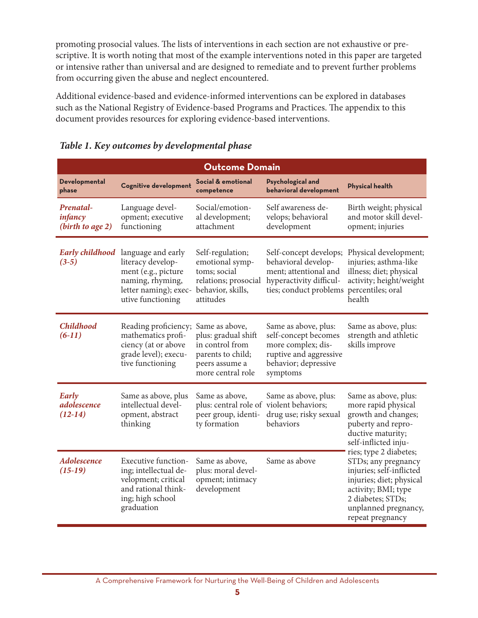promoting prosocial values. The lists of interventions in each section are not exhaustive or prescriptive. It is worth noting that most of the example interventions noted in this paper are targeted or intensive rather than universal and are designed to remediate and to prevent further problems from occurring given the abuse and neglect encountered.

Additional evidence-based and evidence-informed interventions can be explored in databases such as the National Registry of Evidence-based Programs and Practices. The appendix to this document provides resources for exploring evidence-based interventions.

| <b>Outcome Domain</b>                    |                                                                                                                                     |                                                                                                                      |                                                                                                                                  |                                                                                                                                                                                               |  |
|------------------------------------------|-------------------------------------------------------------------------------------------------------------------------------------|----------------------------------------------------------------------------------------------------------------------|----------------------------------------------------------------------------------------------------------------------------------|-----------------------------------------------------------------------------------------------------------------------------------------------------------------------------------------------|--|
| Developmental<br>phase                   | <b>Cognitive development</b>                                                                                                        | Social & emotional<br>competence                                                                                     | <b>Psychological and</b><br>behavioral development                                                                               | <b>Physical health</b>                                                                                                                                                                        |  |
| Prenatal-<br>infancy<br>(birth to age 2) | Language devel-<br>opment; executive<br>functioning                                                                                 | Social/emotion-<br>al development;<br>attachment                                                                     | Self awareness de-<br>velops; behavioral<br>development                                                                          | Birth weight; physical<br>and motor skill devel-<br>opment; injuries                                                                                                                          |  |
| <b>Early childhood</b><br>$(3-5)$        | language and early<br>literacy develop-<br>ment (e.g., picture<br>naming, rhyming,<br>letter naming); exec-<br>utive functioning    | Self-regulation;<br>emotional symp-<br>toms; social<br>relations; prosocial<br>behavior, skills,<br>attitudes        | Self-concept develops;<br>behavioral develop-<br>ment; attentional and<br>hyperactivity difficul-<br>ties; conduct problems      | Physical development;<br>injuries; asthma-like<br>illness; diet; physical<br>activity; height/weight<br>percentiles; oral<br>health                                                           |  |
| <b>Childhood</b><br>$(6-11)$             | Reading proficiency;<br>mathematics profi-<br>ciency (at or above<br>grade level); execu-<br>tive functioning                       | Same as above,<br>plus: gradual shift<br>in control from<br>parents to child;<br>peers assume a<br>more central role | Same as above, plus:<br>self-concept becomes<br>more complex; dis-<br>ruptive and aggressive<br>behavior; depressive<br>symptoms | Same as above, plus:<br>strength and athletic<br>skills improve                                                                                                                               |  |
| Early<br>adolescence<br>$(12-14)$        | Same as above, plus<br>intellectual devel-<br>opment, abstract<br>thinking                                                          | Same as above,<br>plus: central role of violent behaviors;<br>peer group, identi-<br>ty formation                    | Same as above, plus:<br>drug use; risky sexual<br>behaviors                                                                      | Same as above, plus:<br>more rapid physical<br>growth and changes;<br>puberty and repro-<br>ductive maturity;<br>self-inflicted inju-                                                         |  |
| Adolescence<br>$(15-19)$                 | <b>Executive function-</b><br>ing; intellectual de-<br>velopment; critical<br>and rational think-<br>ing; high school<br>graduation | Same as above,<br>plus: moral devel-<br>opment; intimacy<br>development                                              | Same as above                                                                                                                    | ries; type 2 diabetes;<br>STDs; any pregnancy<br>injuries; self-inflicted<br>injuries; diet; physical<br>activity; BMI; type<br>2 diabetes; STDs;<br>unplanned pregnancy,<br>repeat pregnancy |  |

#### *Table 1. Key outcomes by developmental phase*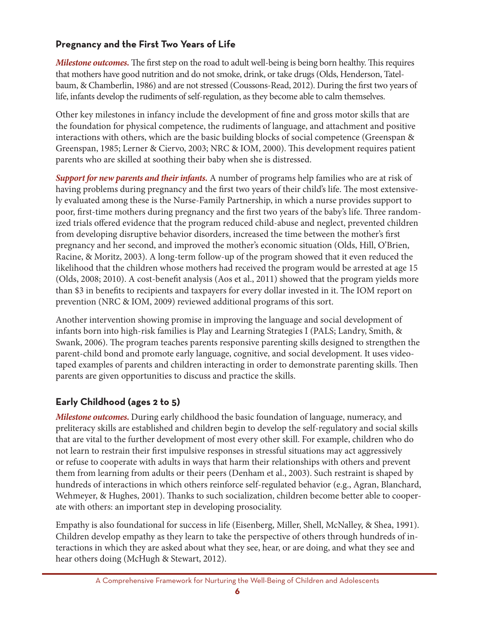#### **Pregnancy and the First Two Years of Life**

*Milestone outcomes.* The first step on the road to adult well-being is being born healthy. This requires that mothers have good nutrition and do not smoke, drink, or take drugs (Olds, Henderson, Tatelbaum, & Chamberlin, 1986) and are not stressed (Coussons-Read, 2012). During the first two years of life, infants develop the rudiments of self-regulation, as they become able to calm themselves.

Other key milestones in infancy include the development of fine and gross motor skills that are the foundation for physical competence, the rudiments of language, and attachment and positive interactions with others, which are the basic building blocks of social competence (Greenspan & Greenspan, 1985; Lerner & Ciervo, 2003; NRC & IOM, 2000). This development requires patient parents who are skilled at soothing their baby when she is distressed.

*Support for new parents and their infants.* A number of programs help families who are at risk of having problems during pregnancy and the first two years of their child's life. The most extensively evaluated among these is the Nurse-Family Partnership, in which a nurse provides support to poor, first-time mothers during pregnancy and the first two years of the baby's life. Three randomized trials offered evidence that the program reduced child-abuse and neglect, prevented children from developing disruptive behavior disorders, increased the time between the mother's first pregnancy and her second, and improved the mother's economic situation (Olds, Hill, O'Brien, Racine, & Moritz, 2003). A long-term follow-up of the program showed that it even reduced the likelihood that the children whose mothers had received the program would be arrested at age 15 (Olds, 2008; 2010). A cost-benefit analysis (Aos et al., 2011) showed that the program yields more than \$3 in benefits to recipients and taxpayers for every dollar invested in it. The IOM report on prevention (NRC & IOM, 2009) reviewed additional programs of this sort.

Another intervention showing promise in improving the language and social development of infants born into high-risk families is Play and Learning Strategies I (PALS; Landry, Smith, & Swank, 2006). The program teaches parents responsive parenting skills designed to strengthen the parent-child bond and promote early language, cognitive, and social development. It uses videotaped examples of parents and children interacting in order to demonstrate parenting skills. Then parents are given opportunities to discuss and practice the skills.

### **early childhood (ages 2 to 5)**

*Milestone outcomes.* During early childhood the basic foundation of language, numeracy, and preliteracy skills are established and children begin to develop the self-regulatory and social skills that are vital to the further development of most every other skill. For example, children who do not learn to restrain their first impulsive responses in stressful situations may act aggressively or refuse to cooperate with adults in ways that harm their relationships with others and prevent them from learning from adults or their peers (Denham et al., 2003). Such restraint is shaped by hundreds of interactions in which others reinforce self-regulated behavior (e.g., Agran, Blanchard, Wehmeyer, & Hughes, 2001). Thanks to such socialization, children become better able to cooperate with others: an important step in developing prosociality.

Empathy is also foundational for success in life (Eisenberg, Miller, Shell, McNalley, & Shea, 1991). Children develop empathy as they learn to take the perspective of others through hundreds of interactions in which they are asked about what they see, hear, or are doing, and what they see and hear others doing (McHugh & Stewart, 2012).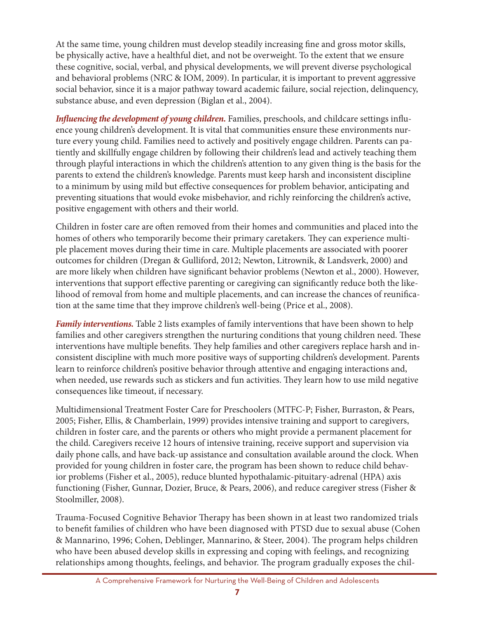At the same time, young children must develop steadily increasing fine and gross motor skills, be physically active, have a healthful diet, and not be overweight. To the extent that we ensure these cognitive, social, verbal, and physical developments, we will prevent diverse psychological and behavioral problems (NRC & IOM, 2009). In particular, it is important to prevent aggressive social behavior, since it is a major pathway toward academic failure, social rejection, delinquency, substance abuse, and even depression (Biglan et al., 2004).

*Influencing the development of young children.* Families, preschools, and childcare settings influence young children's development. It is vital that communities ensure these environments nurture every young child. Families need to actively and positively engage children. Parents can patiently and skillfully engage children by following their children's lead and actively teaching them through playful interactions in which the children's attention to any given thing is the basis for the parents to extend the children's knowledge. Parents must keep harsh and inconsistent discipline to a minimum by using mild but effective consequences for problem behavior, anticipating and preventing situations that would evoke misbehavior, and richly reinforcing the children's active, positive engagement with others and their world.

Children in foster care are often removed from their homes and communities and placed into the homes of others who temporarily become their primary caretakers. They can experience multiple placement moves during their time in care. Multiple placements are associated with poorer outcomes for children (Dregan & Gulliford, 2012; Newton, Litrownik, & Landsverk, 2000) and are more likely when children have significant behavior problems (Newton et al., 2000). However, interventions that support effective parenting or caregiving can significantly reduce both the likelihood of removal from home and multiple placements, and can increase the chances of reunification at the same time that they improve children's well-being (Price et al., 2008).

*Family interventions.* Table 2 lists examples of family interventions that have been shown to help families and other caregivers strengthen the nurturing conditions that young children need. These interventions have multiple benefits. They help families and other caregivers replace harsh and inconsistent discipline with much more positive ways of supporting children's development. Parents learn to reinforce children's positive behavior through attentive and engaging interactions and, when needed, use rewards such as stickers and fun activities. They learn how to use mild negative consequences like timeout, if necessary.

Multidimensional Treatment Foster Care for Preschoolers (MTFC-P; Fisher, Burraston, & Pears, 2005; Fisher, Ellis, & Chamberlain, 1999) provides intensive training and support to caregivers, children in foster care, and the parents or others who might provide a permanent placement for the child. Caregivers receive 12 hours of intensive training, receive support and supervision via daily phone calls, and have back-up assistance and consultation available around the clock. When provided for young children in foster care, the program has been shown to reduce child behavior problems (Fisher et al., 2005), reduce blunted hypothalamic-pituitary-adrenal (HPA) axis functioning (Fisher, Gunnar, Dozier, Bruce, & Pears, 2006), and reduce caregiver stress (Fisher & Stoolmiller, 2008).

Trauma-Focused Cognitive Behavior Therapy has been shown in at least two randomized trials to benefit families of children who have been diagnosed with PTSD due to sexual abuse (Cohen & Mannarino, 1996; Cohen, Deblinger, Mannarino, & Steer, 2004). The program helps children who have been abused develop skills in expressing and coping with feelings, and recognizing relationships among thoughts, feelings, and behavior. The program gradually exposes the chil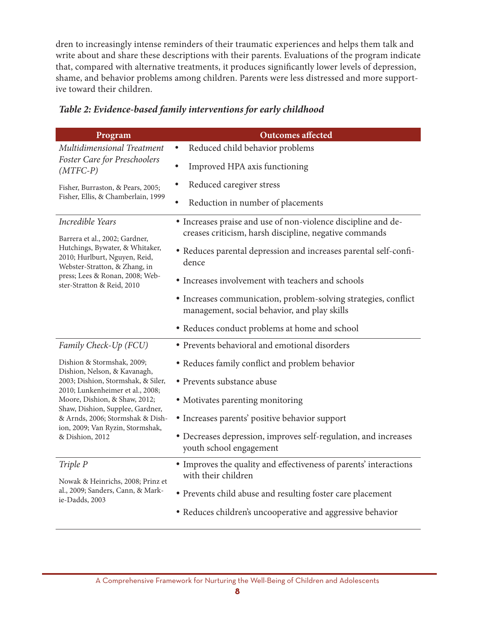dren to increasingly intense reminders of their traumatic experiences and helps them talk and write about and share these descriptions with their parents. Evaluations of the program indicate that, compared with alternative treatments, it produces significantly lower levels of depression, shame, and behavior problems among children. Parents were less distressed and more supportive toward their children.

| Program                                                                                           | <b>Outcomes affected</b>                                                                                                |
|---------------------------------------------------------------------------------------------------|-------------------------------------------------------------------------------------------------------------------------|
| Multidimensional Treatment                                                                        | Reduced child behavior problems                                                                                         |
| Foster Care for Preschoolers<br>$(MTFC-P)$                                                        | Improved HPA axis functioning                                                                                           |
| Fisher, Burraston, & Pears, 2005;                                                                 | Reduced caregiver stress                                                                                                |
| Fisher, Ellis, & Chamberlain, 1999                                                                | Reduction in number of placements                                                                                       |
| Incredible Years<br>Barrera et al., 2002; Gardner,                                                | • Increases praise and use of non-violence discipline and de-<br>creases criticism, harsh discipline, negative commands |
| Hutchings, Bywater, & Whitaker,<br>2010; Hurlburt, Nguyen, Reid,<br>Webster-Stratton, & Zhang, in | • Reduces parental depression and increases parental self-confi-<br>dence                                               |
| press; Lees & Ronan, 2008; Web-<br>ster-Stratton & Reid, 2010                                     | • Increases involvement with teachers and schools                                                                       |
|                                                                                                   | • Increases communication, problem-solving strategies, conflict<br>management, social behavior, and play skills         |
|                                                                                                   | • Reduces conduct problems at home and school                                                                           |
| Family Check-Up (FCU)                                                                             | · Prevents behavioral and emotional disorders                                                                           |
| Dishion & Stormshak, 2009;<br>Dishion, Nelson, & Kavanagh,                                        | • Reduces family conflict and problem behavior                                                                          |
| 2003; Dishion, Stormshak, & Siler,<br>2010; Lunkenheimer et al., 2008;                            | • Prevents substance abuse                                                                                              |
| Moore, Dishion, & Shaw, 2012;<br>Shaw, Dishion, Supplee, Gardner,                                 | • Motivates parenting monitoring                                                                                        |
| & Arnds, 2006; Stormshak & Dish-<br>ion, 2009; Van Ryzin, Stormshak,                              | • Increases parents' positive behavior support                                                                          |
| & Dishion, 2012                                                                                   | • Decreases depression, improves self-regulation, and increases<br>youth school engagement                              |
| Triple P<br>Nowak & Heinrichs, 2008; Prinz et                                                     | • Improves the quality and effectiveness of parents' interactions<br>with their children                                |
| al., 2009; Sanders, Cann, & Mark-<br>ie-Dadds, 2003                                               | • Prevents child abuse and resulting foster care placement                                                              |
|                                                                                                   | • Reduces children's uncooperative and aggressive behavior                                                              |

#### *Table 2: Evidence-based family interventions for early childhood*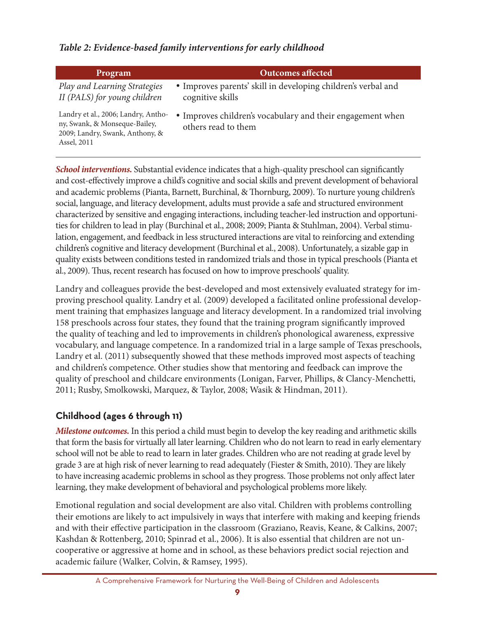#### *Table 2: Evidence-based family interventions for early childhood*

| Program                                                                                                                | <b>Outcomes affected</b>                                                                     |
|------------------------------------------------------------------------------------------------------------------------|----------------------------------------------------------------------------------------------|
| Play and Learning Strategies<br>II (PALS) for young children                                                           | • Improves parents' skill in developing children's verbal and<br>cognitive skills            |
| Landry et al., 2006; Landry, Antho-<br>ny, Swank, & Monseque-Bailey,<br>2009; Landry, Swank, Anthony, &<br>Assel, 2011 | Improves children's vocabulary and their engagement when<br>$\bullet$<br>others read to them |

*School interventions.* Substantial evidence indicates that a high-quality preschool can significantly and cost-effectively improve a child's cognitive and social skills and prevent development of behavioral and academic problems (Pianta, Barnett, Burchinal, & Thornburg, 2009). To nurture young children's social, language, and literacy development, adults must provide a safe and structured environment characterized by sensitive and engaging interactions, including teacher-led instruction and opportunities for children to lead in play (Burchinal et al., 2008; 2009; Pianta & Stuhlman, 2004). Verbal stimulation, engagement, and feedback in less structured interactions are vital to reinforcing and extending children's cognitive and literacy development (Burchinal et al., 2008). Unfortunately, a sizable gap in quality exists between conditions tested in randomized trials and those in typical preschools (Pianta et al., 2009). Thus, recent research has focused on how to improve preschools' quality.

Landry and colleagues provide the best-developed and most extensively evaluated strategy for improving preschool quality. Landry et al. (2009) developed a facilitated online professional development training that emphasizes language and literacy development. In a randomized trial involving 158 preschools across four states, they found that the training program significantly improved the quality of teaching and led to improvements in children's phonological awareness, expressive vocabulary, and language competence. In a randomized trial in a large sample of Texas preschools, Landry et al. (2011) subsequently showed that these methods improved most aspects of teaching and children's competence. Other studies show that mentoring and feedback can improve the quality of preschool and childcare environments (Lonigan, Farver, Phillips, & Clancy-Menchetti, 2011; Rusby, Smolkowski, Marquez, & Taylor, 2008; Wasik & Hindman, 2011).

### **childhood (ages 6 through 11)**

*Milestone outcomes.* In this period a child must begin to develop the key reading and arithmetic skills that form the basis for virtually all later learning. Children who do not learn to read in early elementary school will not be able to read to learn in later grades. Children who are not reading at grade level by grade 3 are at high risk of never learning to read adequately (Fiester & Smith, 2010). They are likely to have increasing academic problems in school as they progress. Those problems not only affect later learning, they make development of behavioral and psychological problems more likely.

Emotional regulation and social development are also vital. Children with problems controlling their emotions are likely to act impulsively in ways that interfere with making and keeping friends and with their effective participation in the classroom (Graziano, Reavis, Keane, & Calkins, 2007; Kashdan & Rottenberg, 2010; Spinrad et al., 2006). It is also essential that children are not uncooperative or aggressive at home and in school, as these behaviors predict social rejection and academic failure (Walker, Colvin, & Ramsey, 1995).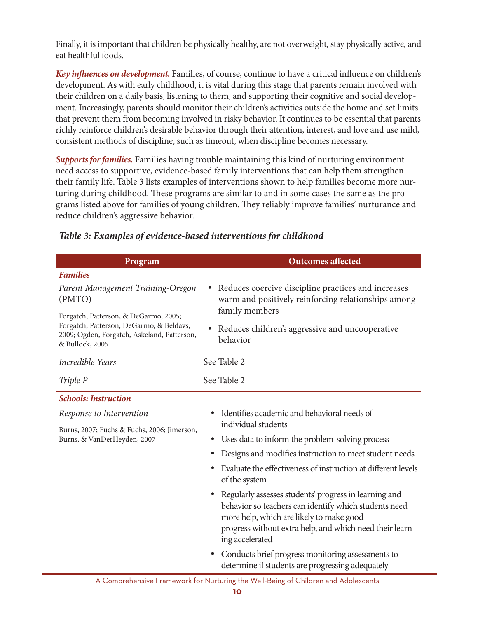Finally, it is important that children be physically healthy, are not overweight, stay physically active, and eat healthful foods.

*Key influences on development.* Families, of course, continue to have a critical influence on children's development. As with early childhood, it is vital during this stage that parents remain involved with their children on a daily basis, listening to them, and supporting their cognitive and social development. Increasingly, parents should monitor their children's activities outside the home and set limits that prevent them from becoming involved in risky behavior. It continues to be essential that parents richly reinforce children's desirable behavior through their attention, interest, and love and use mild, consistent methods of discipline, such as timeout, when discipline becomes necessary.

*Supports for families.* Families having trouble maintaining this kind of nurturing environment need access to supportive, evidence-based family interventions that can help them strengthen their family life. Table 3 lists examples of interventions shown to help families become more nurturing during childhood. These programs are similar to and in some cases the same as the programs listed above for families of young children. They reliably improve families' nurturance and reduce children's aggressive behavior.

| Program                                                                                                    | <b>Outcomes</b> affected                                                                                                                                                                                                                  |  |
|------------------------------------------------------------------------------------------------------------|-------------------------------------------------------------------------------------------------------------------------------------------------------------------------------------------------------------------------------------------|--|
| <b>Families</b>                                                                                            |                                                                                                                                                                                                                                           |  |
| Parent Management Training-Oregon<br>(PMTO)<br>Forgatch, Patterson, & DeGarmo, 2005;                       | Reduces coercive discipline practices and increases<br>warm and positively reinforcing relationships among<br>family members                                                                                                              |  |
| Forgatch, Patterson, DeGarmo, & Beldavs,<br>2009; Ogden, Forgatch, Askeland, Patterson,<br>& Bullock, 2005 | Reduces children's aggressive and uncooperative<br>behavior                                                                                                                                                                               |  |
| Incredible Years                                                                                           | See Table 2                                                                                                                                                                                                                               |  |
| Triple P                                                                                                   | See Table 2                                                                                                                                                                                                                               |  |
| <b>Schools: Instruction</b>                                                                                |                                                                                                                                                                                                                                           |  |
| Response to Intervention<br>Burns, 2007; Fuchs & Fuchs, 2006; Jimerson,                                    | Identifies academic and behavioral needs of<br>$\bullet$<br>individual students                                                                                                                                                           |  |
| Burns, & VanDerHeyden, 2007                                                                                | Uses data to inform the problem-solving process                                                                                                                                                                                           |  |
|                                                                                                            | Designs and modifies instruction to meet student needs                                                                                                                                                                                    |  |
|                                                                                                            | Evaluate the effectiveness of instruction at different levels<br>of the system                                                                                                                                                            |  |
|                                                                                                            | Regularly assesses students' progress in learning and<br>behavior so teachers can identify which students need<br>more help, which are likely to make good<br>progress without extra help, and which need their learn-<br>ing accelerated |  |
|                                                                                                            | Conducts brief progress monitoring assessments to<br>determine if students are progressing adequately                                                                                                                                     |  |

#### *Table 3: Examples of evidence-based interventions for childhood*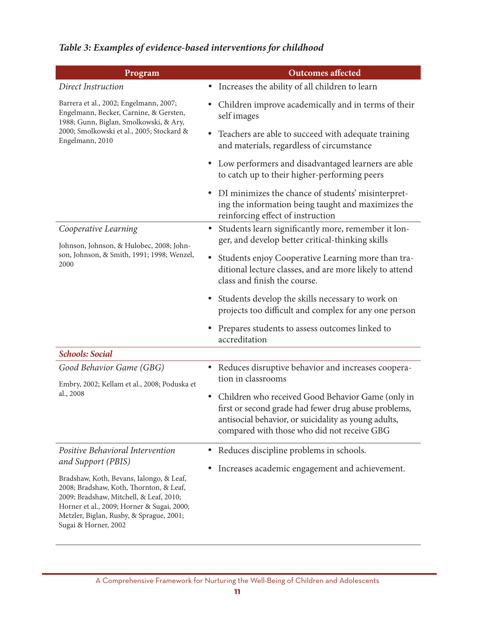| Program                                                                                                                                                                                                                                          | <b>Outcomes affected</b>                                                                                                                                                                                                      |  |  |
|--------------------------------------------------------------------------------------------------------------------------------------------------------------------------------------------------------------------------------------------------|-------------------------------------------------------------------------------------------------------------------------------------------------------------------------------------------------------------------------------|--|--|
| Direct Instruction                                                                                                                                                                                                                               | Increases the ability of all children to learn<br>٠                                                                                                                                                                           |  |  |
| Barrera et al., 2002; Engelmann, 2007;<br>Engelmann, Becker, Carnine, & Gersten,<br>1988; Gunn, Biglan, Smolkowski, & Ary,                                                                                                                       | Children improve academically and in terms of their<br>self images                                                                                                                                                            |  |  |
| 2000; Smolkowski et al., 2005; Stockard &<br>Engelmann, 2010                                                                                                                                                                                     | Teachers are able to succeed with adequate training<br>$\bullet$<br>and materials, regardless of circumstance                                                                                                                 |  |  |
|                                                                                                                                                                                                                                                  | Low performers and disadvantaged learners are able<br>$\bullet$<br>to catch up to their higher-performing peers                                                                                                               |  |  |
|                                                                                                                                                                                                                                                  | DI minimizes the chance of students' misinterpret-<br>$\bullet$<br>ing the information being taught and maximizes the<br>reinforcing effect of instruction                                                                    |  |  |
| Cooperative Learning<br>Johnson, Johnson, & Hulobec, 2008; John-                                                                                                                                                                                 | Students learn significantly more, remember it lon-<br>$\bullet$<br>ger, and develop better critical-thinking skills                                                                                                          |  |  |
| son, Johnson, & Smith, 1991; 1998; Wenzel,<br>2000                                                                                                                                                                                               | Students enjoy Cooperative Learning more than tra-<br>$\bullet$<br>ditional lecture classes, and are more likely to attend<br>class and finish the course.                                                                    |  |  |
|                                                                                                                                                                                                                                                  | Students develop the skills necessary to work on<br>projects too difficult and complex for any one person                                                                                                                     |  |  |
|                                                                                                                                                                                                                                                  | Prepares students to assess outcomes linked to<br>accreditation                                                                                                                                                               |  |  |
| <b>Schools: Social</b>                                                                                                                                                                                                                           |                                                                                                                                                                                                                               |  |  |
| Good Behavior Game (GBG)<br>Embry, 2002; Kellam et al., 2008; Poduska et                                                                                                                                                                         | Reduces disruptive behavior and increases coopera-<br>tion in classrooms                                                                                                                                                      |  |  |
| al., 2008                                                                                                                                                                                                                                        | Children who received Good Behavior Game (only in<br>$\bullet$<br>first or second grade had fewer drug abuse problems,<br>antisocial behavior, or suicidality as young adults,<br>compared with those who did not receive GBG |  |  |
| Positive Behavioral Intervention                                                                                                                                                                                                                 | Reduces discipline problems in schools.<br>$\bullet$                                                                                                                                                                          |  |  |
| and Support (PBIS)                                                                                                                                                                                                                               | Increases academic engagement and achievement.<br>$\bullet$                                                                                                                                                                   |  |  |
| Bradshaw, Koth, Bevans, Ialongo, & Leaf,<br>2008; Bradshaw, Koth, Thornton, & Leaf,<br>2009; Bradshaw, Mitchell, & Leaf, 2010;<br>Horner et al., 2009; Horner & Sugai, 2000;<br>Metzler, Biglan, Rusby, & Sprague, 2001;<br>Sugai & Horner, 2002 |                                                                                                                                                                                                                               |  |  |

## *Table 3: Examples of evidence-based interventions for childhood*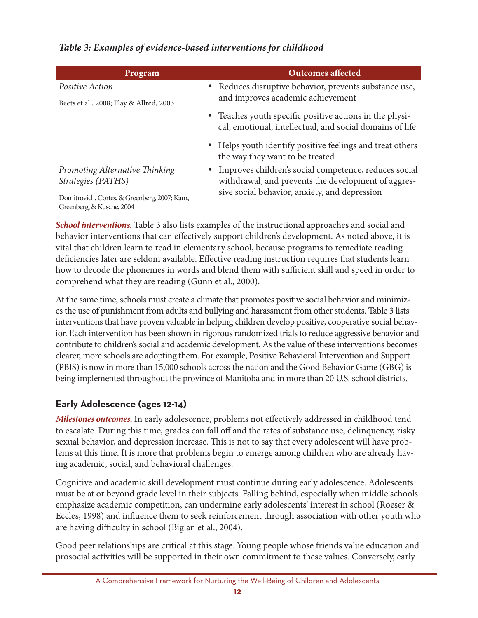#### *Table 3: Examples of evidence-based interventions for childhood*

| Program                                      | <b>Outcomes affected</b>                                                                    |  |
|----------------------------------------------|---------------------------------------------------------------------------------------------|--|
| Positive Action                              | • Reduces disruptive behavior, prevents substance use,<br>and improves academic achievement |  |
| Beets et al., 2008; Flay & Allred, 2003      |                                                                                             |  |
|                                              | • Teaches youth specific positive actions in the physi-                                     |  |
|                                              | cal, emotional, intellectual, and social domains of life                                    |  |
|                                              | • Helps youth identify positive feelings and treat others                                   |  |
|                                              | the way they want to be treated                                                             |  |
| Promoting Alternative Thinking               | • Improves children's social competence, reduces social                                     |  |
| Strategies (PATHS)                           | withdrawal, and prevents the development of aggres-                                         |  |
| Domitrovich, Cortes, & Greenberg, 2007; Kam, | sive social behavior, anxiety, and depression                                               |  |
| Greenberg, & Kusche, 2004                    |                                                                                             |  |

*School interventions.* Table 3 also lists examples of the instructional approaches and social and behavior interventions that can effectively support children's development. As noted above, it is vital that children learn to read in elementary school, because programs to remediate reading deficiencies later are seldom available. Effective reading instruction requires that students learn how to decode the phonemes in words and blend them with sufficient skill and speed in order to comprehend what they are reading (Gunn et al., 2000).

At the same time, schools must create a climate that promotes positive social behavior and minimizes the use of punishment from adults and bullying and harassment from other students. Table 3 lists interventions that have proven valuable in helping children develop positive, cooperative social behavior. Each intervention has been shown in rigorous randomized trials to reduce aggressive behavior and contribute to children's social and academic development. As the value of these interventions becomes clearer, more schools are adopting them. For example, Positive Behavioral Intervention and Support (PBIS) is now in more than 15,000 schools across the nation and the Good Behavior Game (GBG) is being implemented throughout the province of Manitoba and in more than 20 U.S. school districts.

### **early adolescence (ages 12-14)**

*Milestones outcomes.* In early adolescence, problems not effectively addressed in childhood tend to escalate. During this time, grades can fall off and the rates of substance use, delinquency, risky sexual behavior, and depression increase. This is not to say that every adolescent will have problems at this time. It is more that problems begin to emerge among children who are already having academic, social, and behavioral challenges.

Cognitive and academic skill development must continue during early adolescence. Adolescents must be at or beyond grade level in their subjects. Falling behind, especially when middle schools emphasize academic competition, can undermine early adolescents' interest in school (Roeser & Eccles, 1998) and influence them to seek reinforcement through association with other youth who are having difficulty in school (Biglan et al., 2004).

Good peer relationships are critical at this stage. Young people whose friends value education and prosocial activities will be supported in their own commitment to these values. Conversely, early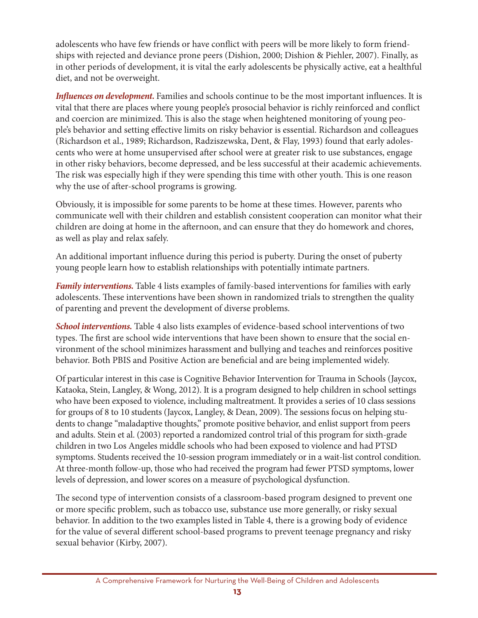adolescents who have few friends or have conflict with peers will be more likely to form friendships with rejected and deviance prone peers (Dishion, 2000; Dishion & Piehler, 2007). Finally, as in other periods of development, it is vital the early adolescents be physically active, eat a healthful diet, and not be overweight.

*Influences on development.* Families and schools continue to be the most important influences. It is vital that there are places where young people's prosocial behavior is richly reinforced and conflict and coercion are minimized. This is also the stage when heightened monitoring of young people's behavior and setting effective limits on risky behavior is essential. Richardson and colleagues (Richardson et al., 1989; Richardson, Radziszewska, Dent, & Flay, 1993) found that early adolescents who were at home unsupervised after school were at greater risk to use substances, engage in other risky behaviors, become depressed, and be less successful at their academic achievements. The risk was especially high if they were spending this time with other youth. This is one reason why the use of after-school programs is growing.

Obviously, it is impossible for some parents to be home at these times. However, parents who communicate well with their children and establish consistent cooperation can monitor what their children are doing at home in the afternoon, and can ensure that they do homework and chores, as well as play and relax safely.

An additional important influence during this period is puberty. During the onset of puberty young people learn how to establish relationships with potentially intimate partners.

*Family interventions.* Table 4 lists examples of family-based interventions for families with early adolescents. These interventions have been shown in randomized trials to strengthen the quality of parenting and prevent the development of diverse problems.

*School interventions.* Table 4 also lists examples of evidence-based school interventions of two types. The first are school wide interventions that have been shown to ensure that the social environment of the school minimizes harassment and bullying and teaches and reinforces positive behavior. Both PBIS and Positive Action are beneficial and are being implemented widely.

Of particular interest in this case is Cognitive Behavior Intervention for Trauma in Schools (Jaycox, Kataoka, Stein, Langley, & Wong, 2012). It is a program designed to help children in school settings who have been exposed to violence, including maltreatment. It provides a series of 10 class sessions for groups of 8 to 10 students (Jaycox, Langley, & Dean, 2009). The sessions focus on helping students to change "maladaptive thoughts," promote positive behavior, and enlist support from peers and adults. Stein et al. (2003) reported a randomized control trial of this program for sixth-grade children in two Los Angeles middle schools who had been exposed to violence and had PTSD symptoms. Students received the 10-session program immediately or in a wait-list control condition. At three-month follow-up, those who had received the program had fewer PTSD symptoms, lower levels of depression, and lower scores on a measure of psychological dysfunction.

The second type of intervention consists of a classroom-based program designed to prevent one or more specific problem, such as tobacco use, substance use more generally, or risky sexual behavior. In addition to the two examples listed in Table 4, there is a growing body of evidence for the value of several different school-based programs to prevent teenage pregnancy and risky sexual behavior (Kirby, 2007).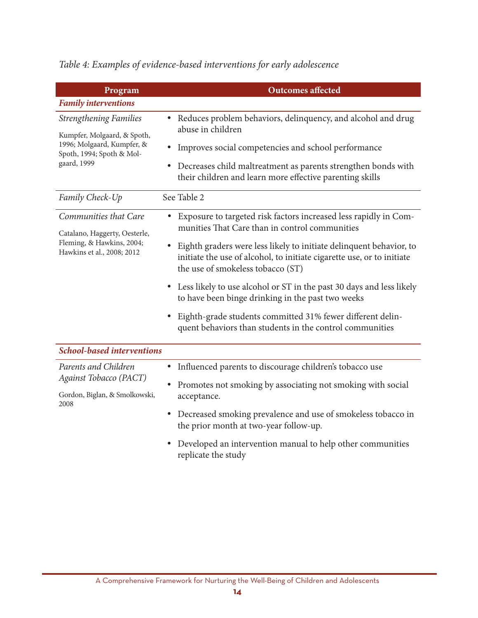| Program                                                                                                                                | <b>Outcomes affected</b>                                                                                                                                                                                                                                                                                                                                                                                                                                                                                                                                               |  |  |
|----------------------------------------------------------------------------------------------------------------------------------------|------------------------------------------------------------------------------------------------------------------------------------------------------------------------------------------------------------------------------------------------------------------------------------------------------------------------------------------------------------------------------------------------------------------------------------------------------------------------------------------------------------------------------------------------------------------------|--|--|
| <b>Family interventions</b>                                                                                                            |                                                                                                                                                                                                                                                                                                                                                                                                                                                                                                                                                                        |  |  |
| <b>Strengthening Families</b><br>Kumpfer, Molgaard, & Spoth,<br>1996; Molgaard, Kumpfer, &<br>Spoth, 1994; Spoth & Mol-<br>gaard, 1999 | Reduces problem behaviors, delinquency, and alcohol and drug<br>٠<br>abuse in children<br>Improves social competencies and school performance<br>• Decreases child maltreatment as parents strengthen bonds with<br>their children and learn more effective parenting skills                                                                                                                                                                                                                                                                                           |  |  |
| Family Check-Up                                                                                                                        | See Table 2                                                                                                                                                                                                                                                                                                                                                                                                                                                                                                                                                            |  |  |
| Communities that Care<br>Catalano, Haggerty, Oesterle,<br>Fleming, & Hawkins, 2004;<br>Hawkins et al., 2008; 2012                      | Exposure to targeted risk factors increased less rapidly in Com-<br>٠<br>munities That Care than in control communities<br>Eighth graders were less likely to initiate delinquent behavior, to<br>initiate the use of alcohol, to initiate cigarette use, or to initiate<br>the use of smokeless tobacco (ST)<br>• Less likely to use alcohol or ST in the past 30 days and less likely<br>to have been binge drinking in the past two weeks<br>Eighth-grade students committed 31% fewer different delin-<br>quent behaviors than students in the control communities |  |  |
| <b>School-based interventions</b>                                                                                                      |                                                                                                                                                                                                                                                                                                                                                                                                                                                                                                                                                                        |  |  |
| Parents and Children<br>Against Tobacco (PACT)<br>Gordon, Biglan, & Smolkowski,<br>2008                                                | Influenced parents to discourage children's tobacco use<br>$\bullet$<br>• Promotes not smoking by associating not smoking with social<br>acceptance.<br>• Decreased smoking prevalence and use of smokeless tobacco in<br>the prior month at two-year follow-up.<br>• Developed an intervention manual to help other communities<br>replicate the study                                                                                                                                                                                                                |  |  |

*Table 4: Examples of evidence-based interventions for early adolescence*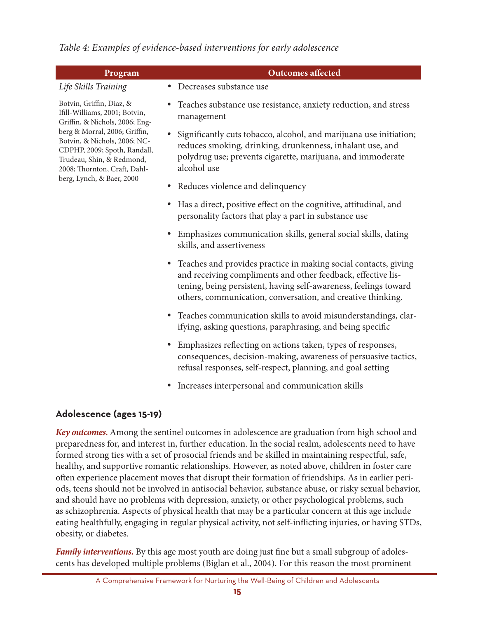*Table 4: Examples of evidence-based interventions for early adolescence* 

| Program                                                                                                                                                    | <b>Outcomes affected</b>                                                                                                                                                                                                                                             |  |
|------------------------------------------------------------------------------------------------------------------------------------------------------------|----------------------------------------------------------------------------------------------------------------------------------------------------------------------------------------------------------------------------------------------------------------------|--|
| Life Skills Training                                                                                                                                       | • Decreases substance use                                                                                                                                                                                                                                            |  |
| Botvin, Griffin, Diaz, &<br>Ifill-Williams, 2001; Botvin,<br>Griffin, & Nichols, 2006; Eng-                                                                | Teaches substance use resistance, anxiety reduction, and stress<br>management                                                                                                                                                                                        |  |
| berg & Morral, 2006; Griffin,<br>Botvin, & Nichols, 2006; NC-<br>CDPHP, 2009; Spoth, Randall,<br>Trudeau, Shin, & Redmond,<br>2008; Thornton, Craft, Dahl- | Significantly cuts tobacco, alcohol, and marijuana use initiation;<br>reduces smoking, drinking, drunkenness, inhalant use, and<br>polydrug use; prevents cigarette, marijuana, and immoderate<br>alcohol use                                                        |  |
| berg, Lynch, & Baer, 2000                                                                                                                                  | Reduces violence and delinquency<br>٠                                                                                                                                                                                                                                |  |
|                                                                                                                                                            | Has a direct, positive effect on the cognitive, attitudinal, and<br>٠<br>personality factors that play a part in substance use                                                                                                                                       |  |
|                                                                                                                                                            | Emphasizes communication skills, general social skills, dating<br>٠<br>skills, and assertiveness                                                                                                                                                                     |  |
|                                                                                                                                                            | • Teaches and provides practice in making social contacts, giving<br>and receiving compliments and other feedback, effective lis-<br>tening, being persistent, having self-awareness, feelings toward<br>others, communication, conversation, and creative thinking. |  |
|                                                                                                                                                            | • Teaches communication skills to avoid misunderstandings, clar-<br>ifying, asking questions, paraphrasing, and being specific                                                                                                                                       |  |
|                                                                                                                                                            | Emphasizes reflecting on actions taken, types of responses,<br>٠<br>consequences, decision-making, awareness of persuasive tactics,<br>refusal responses, self-respect, planning, and goal setting                                                                   |  |

• Increases interpersonal and communication skills

#### Adolescence (ages 15-19)

Key outcomes. Among the sentinel outcomes in adolescence are graduation from high school and preparedness for, and interest in, further education. In the social realm, adolescents need to have formed strong ties with a set of prosocial friends and be skilled in maintaining respectful, safe, healthy, and supportive romantic relationships. However, as noted above, children in foster care often experience placement moves that disrupt their formation of friendships. As in earlier periods, teens should not be involved in antisocial behavior, substance abuse, or risky sexual behavior, and should have no problems with depression, anxiety, or other psychological problems, such as schizophrenia. Aspects of physical health that may be a particular concern at this age include eating healthfully, engaging in regular physical activity, not self-inflicting injuries, or having STDs, obesity, or diabetes.

**Family interventions.** By this age most youth are doing just fine but a small subgroup of adolescents has developed multiple problems (Biglan et al., 2004). For this reason the most prominent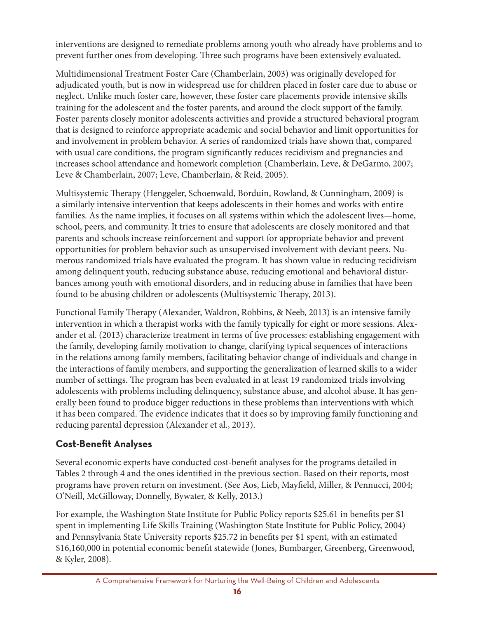interventions are designed to remediate problems among youth who already have problems and to prevent further ones from developing. Three such programs have been extensively evaluated.

Multidimensional Treatment Foster Care (Chamberlain, 2003) was originally developed for adjudicated youth, but is now in widespread use for children placed in foster care due to abuse or neglect. Unlike much foster care, however, these foster care placements provide intensive skills training for the adolescent and the foster parents, and around the clock support of the family. Foster parents closely monitor adolescents activities and provide a structured behavioral program that is designed to reinforce appropriate academic and social behavior and limit opportunities for and involvement in problem behavior. A series of randomized trials have shown that, compared with usual care conditions, the program significantly reduces recidivism and pregnancies and increases school attendance and homework completion (Chamberlain, Leve, & DeGarmo, 2007; Leve & Chamberlain, 2007; Leve, Chamberlain, & Reid, 2005).

Multisystemic Therapy (Henggeler, Schoenwald, Borduin, Rowland, & Cunningham, 2009) is a similarly intensive intervention that keeps adolescents in their homes and works with entire families. As the name implies, it focuses on all systems within which the adolescent lives—home, school, peers, and community. It tries to ensure that adolescents are closely monitored and that parents and schools increase reinforcement and support for appropriate behavior and prevent opportunities for problem behavior such as unsupervised involvement with deviant peers. Numerous randomized trials have evaluated the program. It has shown value in reducing recidivism among delinquent youth, reducing substance abuse, reducing emotional and behavioral disturbances among youth with emotional disorders, and in reducing abuse in families that have been found to be abusing children or adolescents (Multisystemic Therapy, 2013).

Functional Family Therapy (Alexander, Waldron, Robbins, & Neeb, 2013) is an intensive family intervention in which a therapist works with the family typically for eight or more sessions. Alexander et al. (2013) characterize treatment in terms of five processes: establishing engagement with the family, developing family motivation to change, clarifying typical sequences of interactions in the relations among family members, facilitating behavior change of individuals and change in the interactions of family members, and supporting the generalization of learned skills to a wider number of settings. The program has been evaluated in at least 19 randomized trials involving adolescents with problems including delinquency, substance abuse, and alcohol abuse. It has generally been found to produce bigger reductions in these problems than interventions with which it has been compared. The evidence indicates that it does so by improving family functioning and reducing parental depression (Alexander et al., 2013).

### **cost-Benefit analyses**

Several economic experts have conducted cost-benefit analyses for the programs detailed in Tables 2 through 4 and the ones identified in the previous section. Based on their reports, most programs have proven return on investment. (See Aos, Lieb, Mayfield, Miller, & Pennucci, 2004; O'Neill, McGilloway, Donnelly, Bywater, & Kelly, 2013.)

For example, the Washington State Institute for Public Policy reports \$25.61 in benefits per \$1 spent in implementing Life Skills Training (Washington State Institute for Public Policy, 2004) and Pennsylvania State University reports \$25.72 in benefits per \$1 spent, with an estimated \$16,160,000 in potential economic benefit statewide (Jones, Bumbarger, Greenberg, Greenwood, & Kyler, 2008).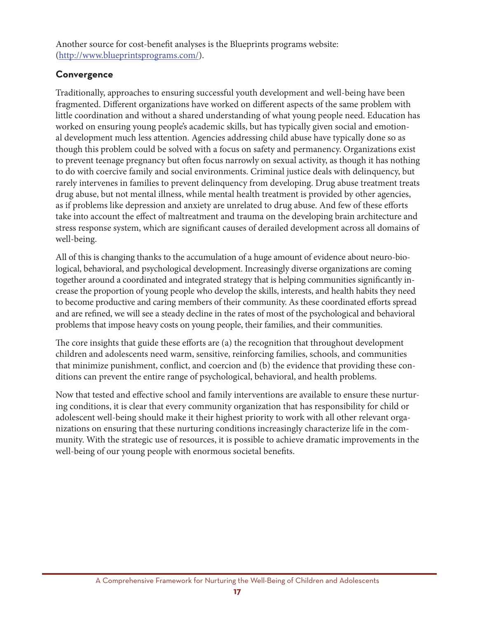Another source for cost-benefit analyses is the Blueprints programs website: (http://www.blueprintsprograms.com/).

#### **convergence**

Traditionally, approaches to ensuring successful youth development and well-being have been fragmented. Different organizations have worked on different aspects of the same problem with little coordination and without a shared understanding of what young people need. Education has worked on ensuring young people's academic skills, but has typically given social and emotional development much less attention. Agencies addressing child abuse have typically done so as though this problem could be solved with a focus on safety and permanency. Organizations exist to prevent teenage pregnancy but often focus narrowly on sexual activity, as though it has nothing to do with coercive family and social environments. Criminal justice deals with delinquency, but rarely intervenes in families to prevent delinquency from developing. Drug abuse treatment treats drug abuse, but not mental illness, while mental health treatment is provided by other agencies, as if problems like depression and anxiety are unrelated to drug abuse. And few of these efforts take into account the effect of maltreatment and trauma on the developing brain architecture and stress response system, which are significant causes of derailed development across all domains of well-being.

All of this is changing thanks to the accumulation of a huge amount of evidence about neuro-biological, behavioral, and psychological development. Increasingly diverse organizations are coming together around a coordinated and integrated strategy that is helping communities significantly increase the proportion of young people who develop the skills, interests, and health habits they need to become productive and caring members of their community. As these coordinated efforts spread and are refined, we will see a steady decline in the rates of most of the psychological and behavioral problems that impose heavy costs on young people, their families, and their communities.

The core insights that guide these efforts are (a) the recognition that throughout development children and adolescents need warm, sensitive, reinforcing families, schools, and communities that minimize punishment, conflict, and coercion and (b) the evidence that providing these conditions can prevent the entire range of psychological, behavioral, and health problems.

Now that tested and effective school and family interventions are available to ensure these nurturing conditions, it is clear that every community organization that has responsibility for child or adolescent well-being should make it their highest priority to work with all other relevant organizations on ensuring that these nurturing conditions increasingly characterize life in the community. With the strategic use of resources, it is possible to achieve dramatic improvements in the well-being of our young people with enormous societal benefits.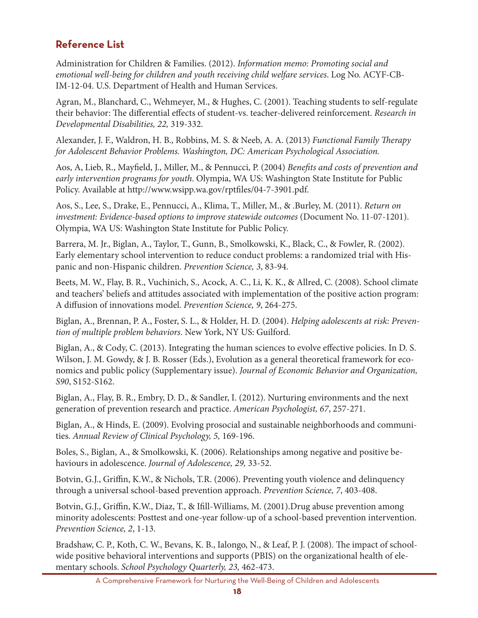## **Reference List**

Administration for Children & Families. (2012). Information memo: Promoting social and emotional well-being for children and youth receiving child welfare services. Log No. ACYF-CB-IM-12-04. U.S. Department of Health and Human Services.

Agran, M., Blanchard, C., Wehmeyer, M., & Hughes, C. (2001). Teaching students to self-regulate their behavior: The differential effects of student-vs. teacher-delivered reinforcement. Research in Developmental Disabilities, 22, 319-332.

Alexander, J. F., Waldron, H. B., Robbins, M. S. & Neeb, A. A. (2013) *Functional Family Therapy* for Adolescent Behavior Problems. Washington, DC: American Psychological Association.

Aos, A, Lieb, R., Mayfield, J., Miller, M., & Pennucci, P. (2004) Benefits and costs of prevention and early intervention programs for youth. Olympia, WA US: Washington State Institute for Public Policy. Available at http://www.wsipp.wa.gov/rptfiles/04-7-3901.pdf.

Aos, S., Lee, S., Drake, E., Pennucci, A., Klima, T., Miller, M., & .Burley, M. (2011). Return on investment: Evidence-based options to improve statewide outcomes (Document No. 11-07-1201). Olympia, WA US: Washington State Institute for Public Policy.

Barrera, M. Jr., Biglan, A., Taylor, T., Gunn, B., Smolkowski, K., Black, C., & Fowler, R. (2002). Early elementary school intervention to reduce conduct problems: a randomized trial with Hispanic and non-Hispanic children. Prevention Science, 3, 83-94.

Beets, M. W., Flay, B. R., Vuchinich, S., Acock, A. C., Li, K. K., & Allred, C. (2008). School climate and teachers' beliefs and attitudes associated with implementation of the positive action program: A diffusion of innovations model. Prevention Science, 9, 264-275.

Biglan, A., Brennan, P. A., Foster, S. L., & Holder, H. D. (2004). Helping adolescents at risk: Prevention of multiple problem behaviors. New York, NY US: Guilford.

Biglan, A., & Cody, C. (2013). Integrating the human sciences to evolve effective policies. In D. S. Wilson, J. M. Gowdy, & J. B. Rosser (Eds.), Evolution as a general theoretical framework for economics and public policy (Supplementary issue). Journal of Economic Behavior and Organization, S90, S152-S162.

Biglan, A., Flay, B. R., Embry, D. D., & Sandler, I. (2012). Nurturing environments and the next generation of prevention research and practice. American Psychologist, 67, 257-271.

Biglan, A., & Hinds, E. (2009). Evolving prosocial and sustainable neighborhoods and communities. Annual Review of Clinical Psychology, 5, 169-196.

Boles, S., Biglan, A., & Smolkowski, K. (2006). Relationships among negative and positive behaviours in adolescence. Journal of Adolescence, 29, 33-52.

Botvin, G.J., Griffin, K.W., & Nichols, T.R. (2006). Preventing youth violence and delinquency through a universal school-based prevention approach. Prevention Science, 7, 403-408.

Botvin, G.J., Griffin, K.W., Diaz, T., & Ifill-Williams, M. (2001). Drug abuse prevention among minority adolescents: Posttest and one-year follow-up of a school-based prevention intervention. Prevention Science, 2, 1-13.

Bradshaw, C. P., Koth, C. W., Bevans, K. B., Ialongo, N., & Leaf, P. J. (2008). The impact of schoolwide positive behavioral interventions and supports (PBIS) on the organizational health of elementary schools. School Psychology Quarterly, 23, 462-473.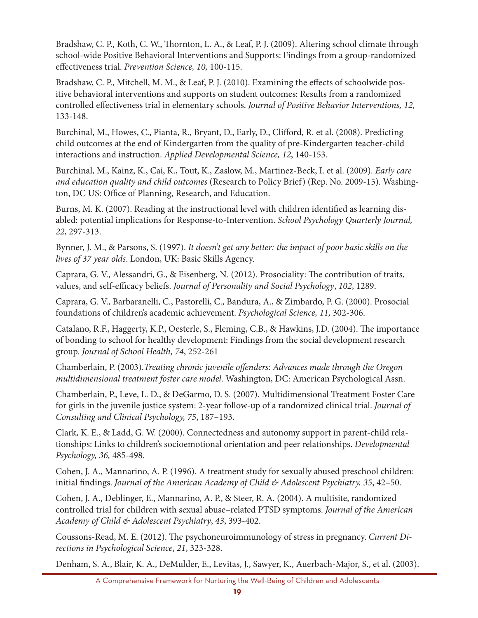Bradshaw, C. P., Koth, C. W., Thornton, L. A., & Leaf, P. J. (2009). Altering school climate through school-wide Positive Behavioral Interventions and Supports: Findings from a group-randomized effectiveness trial. *Prevention Science, 10,* 100-115.

Bradshaw, C. P., Mitchell, M. M., & Leaf, P. J. (2010). Examining the effects of schoolwide positive behavioral interventions and supports on student outcomes: Results from a randomized controlled effectiveness trial in elementary schools. *Journal of Positive Behavior Interventions, 12,* 133-148.

Burchinal, M., Howes, C., Pianta, R., Bryant, D., Early, D., Clifford, R. et al. (2008). Predicting child outcomes at the end of Kindergarten from the quality of pre-Kindergarten teacher-child interactions and instruction. *Applied Developmental Science, 12*, 140-153.

Burchinal, M., Kainz, K., Cai, K., Tout, K., Zaslow, M., Martinez-Beck, I. et al. (2009). *Early care and education quality and child outcomes* (Research to Policy Brief) (Rep. No. 2009-15). Washington, DC US: Office of Planning, Research, and Education.

Burns, M. K. (2007). Reading at the instructional level with children identified as learning disabled: potential implications for Response-to-Intervention. *School Psychology Quarterly Journal, 22*, 297-313.

Bynner, J. M., & Parsons, S. (1997). *It doesn't get any better: the impact of poor basic skills on the lives of 37 year olds*. London, UK: Basic Skills Agency.

Caprara, G. V., Alessandri, G., & Eisenberg, N. (2012). Prosociality: The contribution of traits, values, and self-efficacy beliefs. *Journal of Personality and Social Psychology*, *102*, 1289.

Caprara, G. V., Barbaranelli, C., Pastorelli, C., Bandura, A., & Zimbardo, P. G. (2000). Prosocial foundations of children's academic achievement. *Psychological Science, 11,* 302-306.

Catalano, R.F., Haggerty, K.P., Oesterle, S., Fleming, C.B., & Hawkins, J.D. (2004). The importance of bonding to school for healthy development: Findings from the social development research group. *Journal of School Health, 74*, 252-261

Chamberlain, P. (2003).*Treating chronic juvenile offenders: Advances made through the Oregon multidimensional treatment foster care model*. Washington, DC: American Psychological Assn.

Chamberlain, P., Leve, L. D., & DeGarmo, D. S. (2007). Multidimensional Treatment Foster Care for girls in the juvenile justice system: 2-year follow-up of a randomized clinical trial. *Journal of Consulting and Clinical Psychology, 75*, 187–193.

Clark, K. E., & Ladd, G. W. (2000). Connectedness and autonomy support in parent-child relationships: Links to children's socioemotional orientation and peer relationships. *Developmental Psychology, 36,* 485-498.

Cohen, J. A., Mannarino, A. P. (1996). A treatment study for sexually abused preschool children: initial findings. *Journal of the American Academy of Child & Adolescent Psychiatry, 35*, 42–50.

Cohen, J. A., Deblinger, E., Mannarino, A. P., & Steer, R. A. (2004). A multisite, randomized controlled trial for children with sexual abuse–related PTSD symptoms. *Journal of the American Academy of Child & Adolescent Psychiatry*, *43*, 393-402.

Coussons-Read, M. E. (2012). The psychoneuroimmunology of stress in pregnancy. *Current Directions in Psychological Science*, *21*, 323-328.

Denham, S. A., Blair, K. A., DeMulder, E., Levitas, J., Sawyer, K., Auerbach-Major, S., et al. (2003).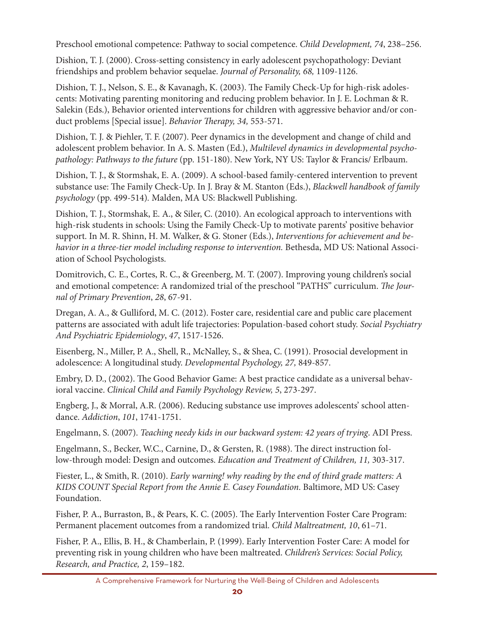Preschool emotional competence: Pathway to social competence. *Child Development, 74*, 238–256.

Dishion, T. J. (2000). Cross-setting consistency in early adolescent psychopathology: Deviant friendships and problem behavior sequelae. *Journal of Personality, 68,* 1109-1126.

Dishion, T. J., Nelson, S. E., & Kavanagh, K. (2003). The Family Check-Up for high-risk adolescents: Motivating parenting monitoring and reducing problem behavior. In J. E. Lochman & R. Salekin (Eds.), Behavior oriented interventions for children with aggressive behavior and/or conduct problems [Special issue]. *Behavior Therapy, 34,* 553-571.

Dishion, T. J. & Piehler, T. F. (2007). Peer dynamics in the development and change of child and adolescent problem behavior. In A. S. Masten (Ed.), *Multilevel dynamics in developmental psychopathology: Pathways to the future* (pp. 151-180). New York, NY US: Taylor & Francis/ Erlbaum.

Dishion, T. J., & Stormshak, E. A. (2009). A school-based family-centered intervention to prevent substance use: The Family Check-Up. In J. Bray & M. Stanton (Eds.), *Blackwell handbook of family psychology* (pp. 499-514)*.* Malden, MA US: Blackwell Publishing.

Dishion, T. J., Stormshak, E. A., & Siler, C. (2010). An ecological approach to interventions with high-risk students in schools: Using the Family Check-Up to motivate parents' positive behavior support. In M. R. Shinn, H. M. Walker, & G. Stoner (Eds.), *Interventions for achievement and behavior in a three-tier model including response to intervention.* Bethesda, MD US: National Association of School Psychologists.

Domitrovich, C. E., Cortes, R. C., & Greenberg, M. T. (2007). Improving young children's social and emotional competence: A randomized trial of the preschool "PATHS" curriculum. *The Journal of Primary Prevention*, *28*, 67-91.

Dregan, A. A., & Gulliford, M. C. (2012). Foster care, residential care and public care placement patterns are associated with adult life trajectories: Population-based cohort study. *Social Psychiatry And Psychiatric Epidemiology*, *47*, 1517-1526.

Eisenberg, N., Miller, P. A., Shell, R., McNalley, S., & Shea, C. (1991). Prosocial development in adolescence: A longitudinal study. *Developmental Psychology, 27,* 849-857.

Embry, D. D., (2002). The Good Behavior Game: A best practice candidate as a universal behavioral vaccine. *Clinical Child and Family Psychology Review, 5*, 273-297.

Engberg, J., & Morral, A.R. (2006). Reducing substance use improves adolescents' school attendance. *Addiction*, *101*, 1741-1751.

Engelmann, S. (2007). *Teaching needy kids in our backward system: 42 years of trying*. ADI Press.

Engelmann, S., Becker, W.C., Carnine, D., & Gersten, R. (1988). The direct instruction follow-through model: Design and outcomes. *Education and Treatment of Children, 11,* 303-317.

Fiester, L., & Smith, R. (2010). *Early warning! why reading by the end of third grade matters: A KIDS COUNT Special Report from the Annie E. Casey Foundation*. Baltimore, MD US: Casey Foundation.

Fisher, P. A., Burraston, B., & Pears, K. C. (2005). The Early Intervention Foster Care Program: Permanent placement outcomes from a randomized trial. *Child Maltreatment, 10*, 61–71.

Fisher, P. A., Ellis, B. H., & Chamberlain, P. (1999). Early Intervention Foster Care: A model for preventing risk in young children who have been maltreated. *Children's Services: Social Policy, Research, and Practice, 2*, 159–182.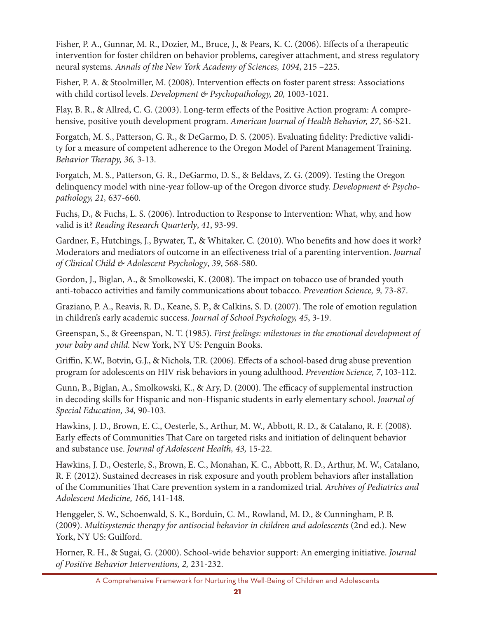Fisher, P. A., Gunnar, M. R., Dozier, M., Bruce, J., & Pears, K. C. (2006). Effects of a therapeutic intervention for foster children on behavior problems, caregiver attachment, and stress regulatory neural systems. *Annals of the New York Academy of Sciences, 1094*, 215 –225.

Fisher, P. A. & Stoolmiller, M. (2008). Intervention effects on foster parent stress: Associations with child cortisol levels. *Development & Psychopathology, 20,* 1003-1021.

Flay, B. R., & Allred, C. G. (2003). Long-term effects of the Positive Action program: A comprehensive, positive youth development program. *American Journal of Health Behavior, 27*, S6-S21.

Forgatch, M. S., Patterson, G. R., & DeGarmo, D. S. (2005). Evaluating fidelity: Predictive validity for a measure of competent adherence to the Oregon Model of Parent Management Training. *Behavior Therapy, 36,* 3-13.

Forgatch, M. S., Patterson, G. R., DeGarmo, D. S., & Beldavs, Z. G. (2009). Testing the Oregon delinquency model with nine-year follow-up of the Oregon divorce study. *Development & Psychopathology, 21,* 637-660.

Fuchs, D., & Fuchs, L. S. (2006). Introduction to Response to Intervention: What, why, and how valid is it? *Reading Research Quarterly*, *41*, 93-99.

Gardner, F., Hutchings, J., Bywater, T., & Whitaker, C. (2010). Who benefits and how does it work? Moderators and mediators of outcome in an effectiveness trial of a parenting intervention. *Journal of Clinical Child & Adolescent Psychology*, *39*, 568-580.

Gordon, J., Biglan, A., & Smolkowski, K. (2008). The impact on tobacco use of branded youth anti-tobacco activities and family communications about tobacco. *Prevention Science, 9,* 73-87.

Graziano, P. A., Reavis, R. D., Keane, S. P., & Calkins, S. D. (2007). The role of emotion regulation in children's early academic success. *Journal of School Psychology, 45*, 3-19.

Greenspan, S., & Greenspan, N. T. (1985). *First feelings: milestones in the emotional development of your baby and child.* New York, NY US: Penguin Books.

Griffin, K.W., Botvin, G.J., & Nichols, T.R. (2006). Effects of a school-based drug abuse prevention program for adolescents on HIV risk behaviors in young adulthood. *Prevention Science, 7*, 103-112.

Gunn, B., Biglan, A., Smolkowski, K., & Ary, D. (2000). The efficacy of supplemental instruction in decoding skills for Hispanic and non-Hispanic students in early elementary school. *Journal of Special Education, 34,* 90-103.

Hawkins, J. D., Brown, E. C., Oesterle, S., Arthur, M. W., Abbott, R. D., & Catalano, R. F. (2008). Early effects of Communities That Care on targeted risks and initiation of delinquent behavior and substance use. *Journal of Adolescent Health, 43,* 15-22.

Hawkins, J. D., Oesterle, S., Brown, E. C., Monahan, K. C., Abbott, R. D., Arthur, M. W., Catalano, R. F. (2012). Sustained decreases in risk exposure and youth problem behaviors after installation of the Communities That Care prevention system in a randomized trial. *Archives of Pediatrics and Adolescent Medicine, 166*, 141-148.

Henggeler, S. W., Schoenwald, S. K., Borduin, C. M., Rowland, M. D., & Cunningham, P. B. (2009). *Multisystemic therapy for antisocial behavior in children and adolescents* (2nd ed.). New York, NY US: Guilford.

Horner, R. H., & Sugai, G. (2000). School-wide behavior support: An emerging initiative. *Journal of Positive Behavior Interventions, 2,* 231-232.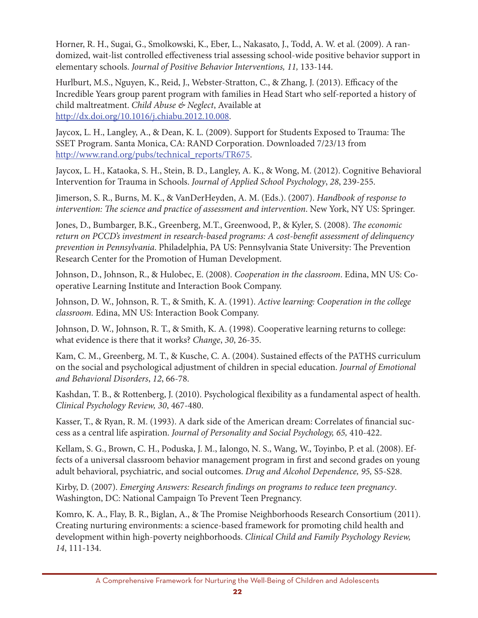Horner, R. H., Sugai, G., Smolkowski, K., Eber, L., Nakasato, J., Todd, A. W. et al. (2009). A randomized, wait-list controlled effectiveness trial assessing school-wide positive behavior support in elementary schools. *Journal of Positive Behavior Interventions, 11,* 133-144.

Hurlburt, M.S., Nguyen, K., Reid, J., Webster-Stratton, C., & Zhang, J. (2013). Efficacy of the Incredible Years group parent program with families in Head Start who self-reported a history of child maltreatment. *Child Abuse & Neglect*, Available at http://dx.doi.org/10.1016/j.chiabu.2012.10.008.

Jaycox, L. H., Langley, A., & Dean, K. L. (2009). Support for Students Exposed to Trauma: The SSET Program. Santa Monica, CA: RAND Corporation. Downloaded 7/23/13 from http://www.rand.org/pubs/technical\_reports/TR675.

Jaycox, L. H., Kataoka, S. H., Stein, B. D., Langley, A. K., & Wong, M. (2012). Cognitive Behavioral Intervention for Trauma in Schools. *Journal of Applied School Psychology*, *28*, 239-255.

Jimerson, S. R., Burns, M. K., & VanDerHeyden, A. M. (Eds.). (2007). *Handbook of response to intervention: The science and practice of assessment and intervention*. New York, NY US: Springer.

Jones, D., Bumbarger, B.K., Greenberg, M.T., Greenwood, P., & Kyler, S. (2008). *The economic return on PCCD's investment in research-based programs: A cost-benefit assessment of delinquency prevention in Pennsylvania*. Philadelphia, PA US: Pennsylvania State University: The Prevention Research Center for the Promotion of Human Development.

Johnson, D., Johnson, R., & Hulobec, E. (2008). *Cooperation in the classroom*. Edina, MN US: Cooperative Learning Institute and Interaction Book Company.

Johnson, D. W., Johnson, R. T., & Smith, K. A. (1991). *Active learning: Cooperation in the college classroom.* Edina, MN US: Interaction Book Company.

Johnson, D. W., Johnson, R. T., & Smith, K. A. (1998). Cooperative learning returns to college: what evidence is there that it works? *Change*, *30*, 26-35.

Kam, C. M., Greenberg, M. T., & Kusche, C. A. (2004). Sustained effects of the PATHS curriculum on the social and psychological adjustment of children in special education. *Journal of Emotional and Behavioral Disorders*, *12*, 66-78.

Kashdan, T. B., & Rottenberg, J. (2010). Psychological flexibility as a fundamental aspect of health. *Clinical Psychology Review, 30*, 467-480.

Kasser, T., & Ryan, R. M. (1993). A dark side of the American dream: Correlates of financial success as a central life aspiration. *Journal of Personality and Social Psychology, 65,* 410-422.

Kellam, S. G., Brown, C. H., Poduska, J. M., Ialongo, N. S., Wang, W., Toyinbo, P. et al. (2008). Effects of a universal classroom behavior management program in first and second grades on young adult behavioral, psychiatric, and social outcomes. *Drug and Alcohol Dependence, 95,* S5-S28.

Kirby, D. (2007). *Emerging Answers: Research findings on programs to reduce teen pregnancy*. Washington, DC: National Campaign To Prevent Teen Pregnancy.

Komro, K. A., Flay, B. R., Biglan, A., & The Promise Neighborhoods Research Consortium (2011). Creating nurturing environments: a science-based framework for promoting child health and development within high-poverty neighborhoods. *Clinical Child and Family Psychology Review, 14*, 111-134.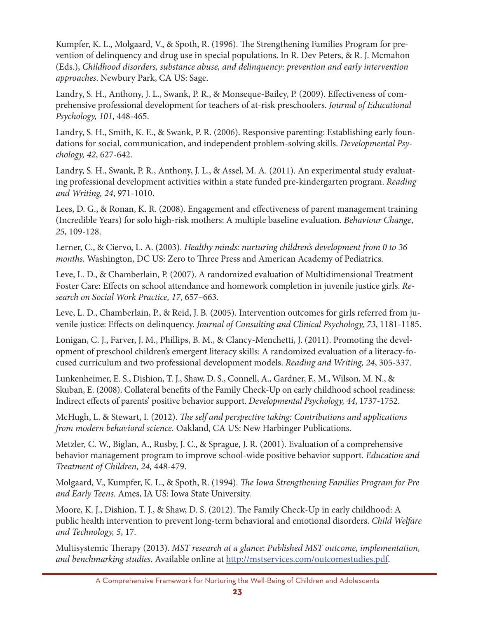Kumpfer, K. L., Molgaard, V., & Spoth, R. (1996). The Strengthening Families Program for prevention of delinquency and drug use in special populations. In R. Dev Peters, & R. J. Mcmahon (Eds.), *Childhood disorders, substance abuse, and delinquency: prevention and early intervention approaches*. Newbury Park, CA US: Sage.

Landry, S. H., Anthony, J. L., Swank, P. R., & Monseque-Bailey, P. (2009). Effectiveness of comprehensive professional development for teachers of at-risk preschoolers. *Journal of Educational Psychology, 101*, 448-465.

Landry, S. H., Smith, K. E., & Swank, P. R. (2006). Responsive parenting: Establishing early foundations for social, communication, and independent problem-solving skills. *Developmental Psychology, 42*, 627-642.

Landry, S. H., Swank, P. R., Anthony, J. L., & Assel, M. A. (2011). An experimental study evaluating professional development activities within a state funded pre-kindergarten program. *Reading and Writing, 24*, 971-1010.

Lees, D. G., & Ronan, K. R. (2008). Engagement and effectiveness of parent management training (Incredible Years) for solo high-risk mothers: A multiple baseline evaluation. *Behaviour Change*, *25*, 109-128.

Lerner, C., & Ciervo, L. A. (2003). *Healthy minds: nurturing children's development from 0 to 36 months.* Washington, DC US: Zero to Three Press and American Academy of Pediatrics.

Leve, L. D., & Chamberlain, P. (2007). A randomized evaluation of Multidimensional Treatment Foster Care: Effects on school attendance and homework completion in juvenile justice girls. *Research on Social Work Practice, 17*, 657–663.

Leve, L. D., Chamberlain, P., & Reid, J. B. (2005). Intervention outcomes for girls referred from juvenile justice: Effects on delinquency. *Journal of Consulting and Clinical Psychology, 73*, 1181-1185.

Lonigan, C. J., Farver, J. M., Phillips, B. M., & Clancy-Menchetti, J. (2011). Promoting the development of preschool children's emergent literacy skills: A randomized evaluation of a literacy-focused curriculum and two professional development models. *Reading and Writing, 24*, 305-337.

Lunkenheimer, E. S., Dishion, T. J., Shaw, D. S., Connell, A., Gardner, F., M., Wilson, M. N., & Skuban, E. (2008). Collateral benefits of the Family Check-Up on early childhood school readiness: Indirect effects of parents' positive behavior support. *Developmental Psychology, 44*, 1737-1752.

McHugh, L. & Stewart, I. (2012). *The self and perspective taking: Contributions and applications from modern behavioral science.* Oakland, CA US: New Harbinger Publications.

Metzler, C. W., Biglan, A., Rusby, J. C., & Sprague, J. R. (2001). Evaluation of a comprehensive behavior management program to improve school-wide positive behavior support. *Education and Treatment of Children, 24,* 448-479.

Molgaard, V., Kumpfer, K. L., & Spoth, R. (1994). *The Iowa Strengthening Families Program for Pre and Early Teens*. Ames, IA US: Iowa State University.

Moore, K. J., Dishion, T. J., & Shaw, D. S. (2012). The Family Check-Up in early childhood: A public health intervention to prevent long-term behavioral and emotional disorders. *Child Welfare and Technology, 5*, 17.

Multisystemic Therapy (2013). *MST research at a glance*: *Published MST outcome, implementation, and benchmarking studies*. Available online at http://mstservices.com/outcomestudies.pdf.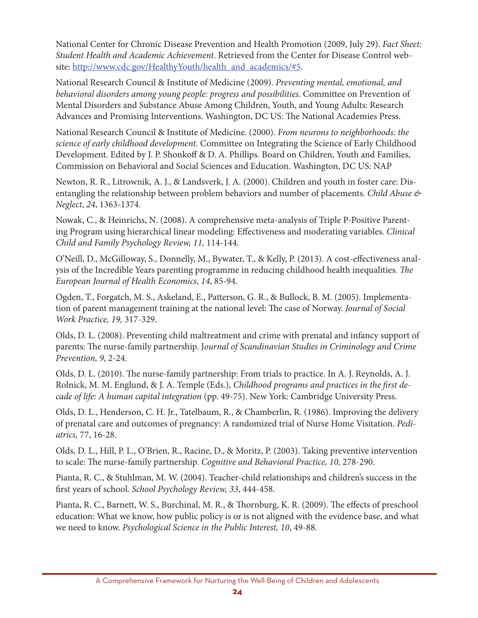National Center for Chronic Disease Prevention and Health Promotion (2009, July 29). *Fact Sheet: Student Health and Academic Achievement*. Retrieved from the Center for Disease Control website: http://www.cdc.gov/HealthyYouth/health\_and\_academics/#5.

National Research Council & Institute of Medicine (2009). *Preventing mental, emotional, and behavioral disorders among young people: progress and possibilities*. Committee on Prevention of Mental Disorders and Substance Abuse Among Children, Youth, and Young Adults: Research Advances and Promising Interventions. Washington, DC US: The National Academies Press.

National Research Council & Institute of Medicine. (2000). *From neurons to neighborhoods: the science of early childhood development.* Committee on Integrating the Science of Early Childhood Development. Edited by J. P. Shonkoff & D. A. Phillips. Board on Children, Youth and Families, Commission on Behavioral and Social Sciences and Education. Washington, DC US: NAP

Newton, R. R., Litrownik, A. J., & Landsverk, J. A. (2000). Children and youth in foster care: Disentangling the relationship between problem behaviors and number of placements. *Child Abuse & Neglect*, *24*, 1363-1374.

Nowak, C., & Heinrichs, N. (2008). A comprehensive meta-analysis of Triple P-Positive Parenting Program using hierarchical linear modeling: Effectiveness and moderating variables. *Clinical Child and Family Psychology Review, 11,* 114-144.

O'Neill, D., McGilloway, S., Donnelly, M., Bywater, T., & Kelly, P. (2013). A cost-effectiveness analysis of the Incredible Years parenting programme in reducing childhood health inequalities. *The European Journal of Health Economics*, *14*, 85-94.

Ogden, T., Forgatch, M. S., Askeland, E., Patterson, G. R., & Bullock, B. M. (2005). Implementation of parent management training at the national level: The case of Norway. *Journal of Social Work Practice, 19,* 317-329.

Olds, D. L. (2008). Preventing child maltreatment and crime with prenatal and infancy support of parents: The nurse-family partnership. J*ournal of Scandinavian Studies in Criminology and Crime Prevention, 9*, 2-24.

Olds, D. L. (2010). The nurse-family partnership: From trials to practice. In A. J. Reynolds, A. J. Rolnick, M. M. Englund, & J. A. Temple (Eds.), *Childhood programs and practices in the first decade of life: A human capital integration* (pp. 49-75). New York: Cambridge University Press.

Olds, D. L., Henderson, C. H. Jr., Tatelbaum, R., & Chamberlin, R. (1986). Improving the delivery of prenatal care and outcomes of pregnancy: A randomized trial of Nurse Home Visitation. *Pediatrics,* 77, 16-28.

Olds, D. L., Hill, P. L., O'Brien, R., Racine, D., & Moritz, P. (2003). Taking preventive intervention to scale: The nurse-family partnership. *Cognitive and Behavioral Practice, 10,* 278-290.

Pianta, R. C., & Stuhlman, M. W. (2004). Teacher-child relationships and children's success in the first years of school. *School Psychology Review, 33*, 444-458.

Pianta, R. C., Barnett, W. S., Burchinal, M. R., & Thornburg, K. R. (2009). The effects of preschool education: What we know, how public policy is or is not aligned with the evidence base, and what we need to know. *Psychological Science in the Public Interest, 10*, 49-88.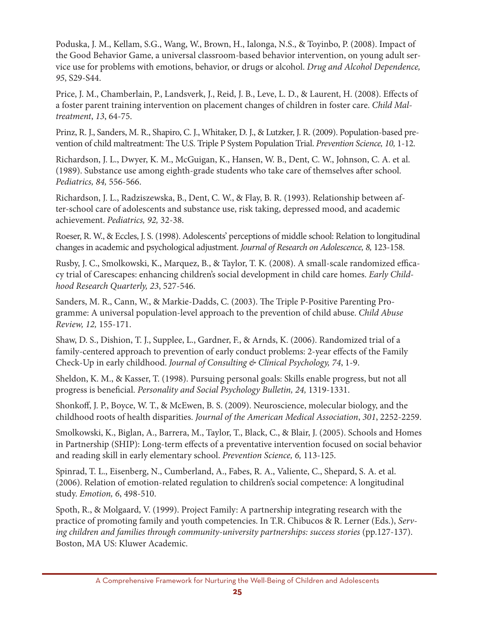Poduska, J. M., Kellam, S.G., Wang, W., Brown, H., Ialonga, N.S., & Toyinbo, P. (2008). Impact of the Good Behavior Game, a universal classroom-based behavior intervention, on young adult service use for problems with emotions, behavior, or drugs or alcohol. *Drug and Alcohol Dependence, 95*, S29-S44.

Price, J. M., Chamberlain, P., Landsverk, J., Reid, J. B., Leve, L. D., & Laurent, H. (2008). Effects of a foster parent training intervention on placement changes of children in foster care. *Child Maltreatment*, *13*, 64-75.

Prinz, R. J., Sanders, M. R., Shapiro, C. J., Whitaker, D. J., & Lutzker, J. R. (2009). Population-based prevention of child maltreatment: The U.S. Triple P System Population Trial. *Prevention Science, 10,* 1-12.

Richardson, J. L., Dwyer, K. M., McGuigan, K., Hansen, W. B., Dent, C. W., Johnson, C. A. et al. (1989). Substance use among eighth-grade students who take care of themselves after school. *Pediatrics, 84,* 556-566.

Richardson, J. L., Radziszewska, B., Dent, C. W., & Flay, B. R. (1993). Relationship between after-school care of adolescents and substance use, risk taking, depressed mood, and academic achievement. *Pediatrics, 92,* 32-38.

Roeser, R. W., & Eccles, J. S. (1998). Adolescents' perceptions of middle school: Relation to longitudinal changes in academic and psychological adjustment. *Journal of Research on Adolescence, 8,* 123-158.

Rusby, J. C., Smolkowski, K., Marquez, B., & Taylor, T. K. (2008). A small-scale randomized efficacy trial of Carescapes: enhancing children's social development in child care homes. *Early Childhood Research Quarterly, 23*, 527-546.

Sanders, M. R., Cann, W., & Markie-Dadds, C. (2003). The Triple P-Positive Parenting Programme: A universal population-level approach to the prevention of child abuse. *Child Abuse Review, 12,* 155-171.

Shaw, D. S., Dishion, T. J., Supplee, L., Gardner, F., & Arnds, K. (2006). Randomized trial of a family-centered approach to prevention of early conduct problems: 2-year effects of the Family Check-Up in early childhood. *Journal of Consulting & Clinical Psychology, 74*, 1-9.

Sheldon, K. M., & Kasser, T. (1998). Pursuing personal goals: Skills enable progress, but not all progress is beneficial. *Personality and Social Psychology Bulletin, 24,* 1319-1331.

Shonkoff, J. P., Boyce, W. T., & McEwen, B. S. (2009). Neuroscience, molecular biology, and the childhood roots of health disparities. *Journal of the American Medical Association*, *301*, 2252-2259.

Smolkowski, K., Biglan, A., Barrera, M., Taylor, T., Black, C., & Blair, J. (2005). Schools and Homes in Partnership (SHIP): Long-term effects of a preventative intervention focused on social behavior and reading skill in early elementary school. *Prevention Science, 6,* 113-125.

Spinrad, T. L., Eisenberg, N., Cumberland, A., Fabes, R. A., Valiente, C., Shepard, S. A. et al. (2006). Relation of emotion-related regulation to children's social competence: A longitudinal study. *Emotion, 6*, 498-510.

Spoth, R., & Molgaard, V. (1999). Project Family: A partnership integrating research with the practice of promoting family and youth competencies. In T.R. Chibucos & R. Lerner (Eds.), *Serving children and families through community-university partnerships: success stories* (pp.127-137). Boston, MA US: Kluwer Academic.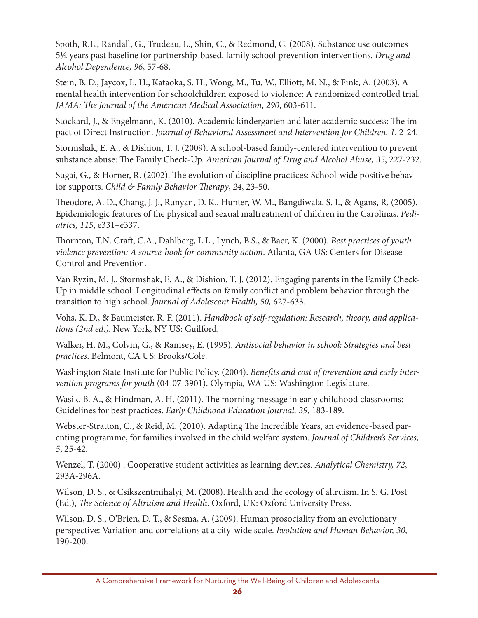Spoth, R.L., Randall, G., Trudeau, L., Shin, C., & Redmond, C. (2008). Substance use outcomes 5½ years past baseline for partnership-based, family school prevention interventions. *Drug and Alcohol Dependence, 96*, 57-68.

Stein, B. D., Jaycox, L. H., Kataoka, S. H., Wong, M., Tu, W., Elliott, M. N., & Fink, A. (2003). A mental health intervention for schoolchildren exposed to violence: A randomized controlled trial. *JAMA: The Journal of the American Medical Association*, *290*, 603-611.

Stockard, J., & Engelmann, K. (2010). Academic kindergarten and later academic success: The impact of Direct Instruction. *Journal of Behavioral Assessment and Intervention for Children, 1*, 2-24.

Stormshak, E. A., & Dishion, T. J. (2009). A school-based family-centered intervention to prevent substance abuse: The Family Check-Up. *American Journal of Drug and Alcohol Abuse, 35*, 227-232.

Sugai, G., & Horner, R. (2002). The evolution of discipline practices: School-wide positive behavior supports. *Child & Family Behavior Therapy*, *24*, 23-50.

Theodore, A. D., Chang, J. J., Runyan, D. K., Hunter, W. M., Bangdiwala, S. I., & Agans, R. (2005). Epidemiologic features of the physical and sexual maltreatment of children in the Carolinas. *Pediatrics, 115*, e331–e337.

Thornton, T.N. Craft, C.A., Dahlberg, L.L., Lynch, B.S., & Baer, K. (2000). *Best practices of youth violence prevention: A source-book for community action*. Atlanta, GA US: Centers for Disease Control and Prevention.

Van Ryzin, M. J., Stormshak, E. A., & Dishion, T. J. (2012). Engaging parents in the Family Check-Up in middle school: Longitudinal effects on family conflict and problem behavior through the transition to high school. *Journal of Adolescent Health, 50,* 627-633.

Vohs, K. D., & Baumeister, R. F. (2011). *Handbook of self-regulation: Research, theory, and applications (2nd ed.)*. New York, NY US: Guilford.

Walker, H. M., Colvin, G., & Ramsey, E. (1995). *Antisocial behavior in school: Strategies and best practices*. Belmont, CA US: Brooks/Cole.

Washington State Institute for Public Policy. (2004). *Benefits and cost of prevention and early intervention programs for youth* (04-07-3901). Olympia, WA US: Washington Legislature.

Wasik, B. A., & Hindman, A. H. (2011). The morning message in early childhood classrooms: Guidelines for best practices. *Early Childhood Education Journal, 39*, 183-189.

Webster-Stratton, C., & Reid, M. (2010). Adapting The Incredible Years, an evidence-based parenting programme, for families involved in the child welfare system. *Journal of Children's Services*, *5*, 25-42.

Wenzel, T. (2000) . Cooperative student activities as learning devices. *Analytical Chemistry, 72*, 293A-296A.

Wilson, D. S., & Csikszentmihalyi, M. (2008). Health and the ecology of altruism. In S. G. Post (Ed.), *The Science of Altruism and Health*. Oxford, UK: Oxford University Press.

Wilson, D. S., O'Brien, D. T., & Sesma, A. (2009). Human prosociality from an evolutionary perspective: Variation and correlations at a city-wide scale. *Evolution and Human Behavior, 30,* 190-200.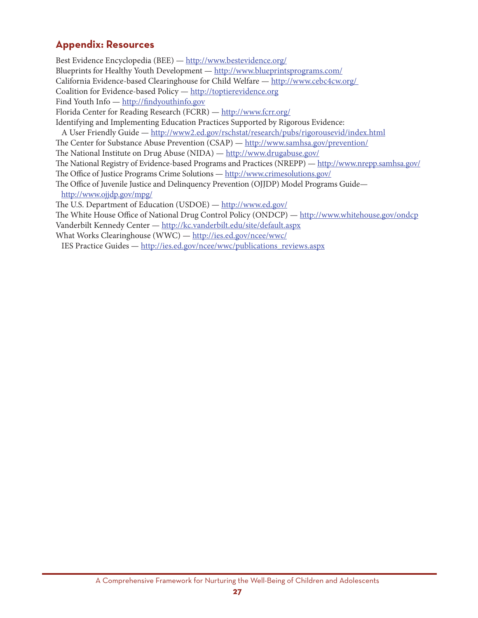### **Appendix: Resources**

Best Evidence Encyclopedia (BEE) - http://www.bestevidence.org/ Blueprints for Healthy Youth Development — http://www.blueprintsprograms.com/ California Evidence-based Clearinghouse for Child Welfare - http://www.cebc4cw.org/ Coalition for Evidence-based Policy — http://toptierevidence.org Find Youth Info - http://findyouthinfo.gov Florida Center for Reading Research (FCRR) - http://www.fcrr.org/ Identifying and Implementing Education Practices Supported by Rigorous Evidence: A User Friendly Guide — http://www2.ed.gov/rschstat/research/pubs/rigorousevid/index.html The Center for Substance Abuse Prevention (CSAP) — http://www.samhsa.gov/prevention/ The National Institute on Drug Abuse (NIDA) — http://www.drugabuse.gov/ The National Registry of Evidence-based Programs and Practices (NREPP) - http://www.nrepp.samhsa.gov/ The Office of Justice Programs Crime Solutions — http://www.crimesolutions.gov/ The Office of Juvenile Justice and Delinquency Prevention (OJJDP) Model Programs Guidehttp://www.ojjdp.gov/mpg/ The U.S. Department of Education (USDOE) — http://www.ed.gov/ The White House Office of National Drug Control Policy (ONDCP) — http://www.whitehouse.gov/ondcp Vanderbilt Kennedy Center - http://kc.vanderbilt.edu/site/default.aspx What Works Clearinghouse (WWC) - http://ies.ed.gov/ncee/wwc/

IES Practice Guides — http://ies.ed.gov/ncee/wwc/publications reviews.aspx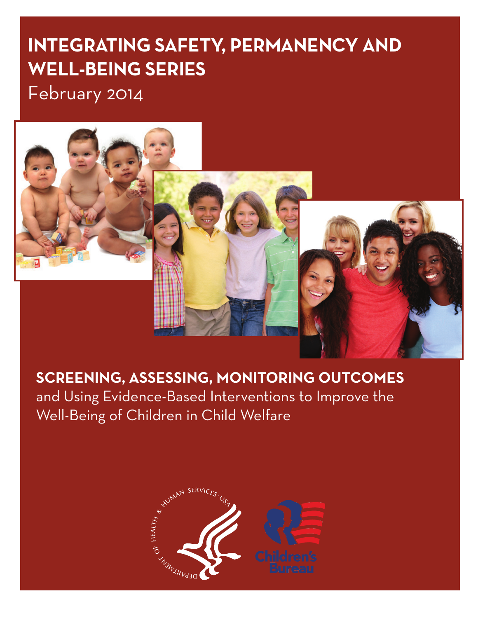# **IntegratIng Safety, Permanency and Well-BeIng SerIeS**

February 2014



**SCREENING, ASSESSING, MONITORING OUTCOMES** 

and Using Evidence-Based Interventions to Improve the Well-Being of Children in Child Welfare

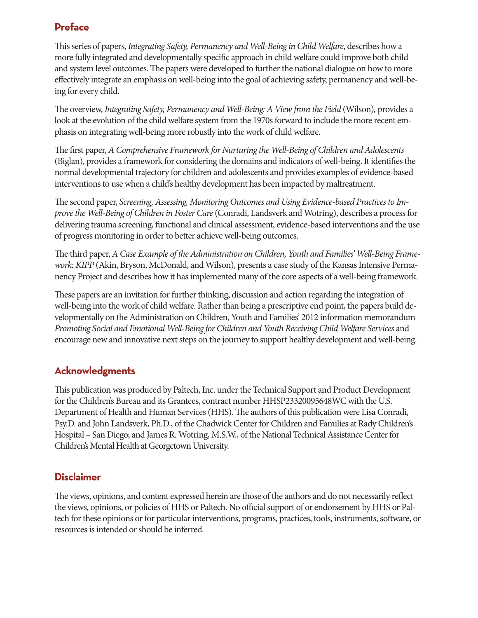## **Preface**

This series of papers, *Integrating Safety, Permanency and Well-Being in Child Welfare*, describes how a more fully integrated and developmentally specific approach in child welfare could improve both child and system level outcomes. The papers were developed to further the national dialogue on how to more effectively integrate an emphasis on well-being into the goal of achieving safety, permanency and well-being for every child.

The overview, *Integrating Safety, Permanency and Well-Being: A View from the Field* (Wilson)*,* provides a look at the evolution of the child welfare system from the 1970s forward to include the more recent emphasis on integrating well-being more robustly into the work of child welfare.

The first paper, *A Comprehensive Framework for Nurturing the Well-Being of Children and Adolescents*  (Biglan), provides a framework for considering the domains and indicators of well-being. It identifies the normal developmental trajectory for children and adolescents and provides examples of evidence-based interventions to use when a child's healthy development has been impacted by maltreatment.

The second paper, *Screening, Assessing, Monitoring Outcomes and Using Evidence-based Practices to Improve the Well-Being of Children in Foster Care* (Conradi, Landsverk and Wotring), describes a process for delivering trauma screening, functional and clinical assessment, evidence-based interventions and the use of progress monitoring in order to better achieve well-being outcomes.

The third paper, *A Case Example of the Administration on Children, Youth and Families' Well-Being Framework: KIPP* (Akin, Bryson, McDonald, and Wilson), presents a case study of the Kansas Intensive Permanency Project and describes how it has implemented many of the core aspects of a well-being framework.

These papers are an invitation for further thinking, discussion and action regarding the integration of well-being into the work of child welfare. Rather than being a prescriptive end point, the papers build developmentally on the Administration on Children, Youth and Families' 2012 information memorandum *Promoting Social and Emotional Well-Being for Children and Youth Receiving Child Welfare Services* and encourage new and innovative next steps on the journey to support healthy development and well-being.

## **Acknowledgments**

This publication was produced by Paltech, Inc. under the Technical Support and Product Development for the Children's Bureau and its Grantees, contract number HHSP23320095648WC with the U.S. Department of Health and Human Services (HHS). The authors of this publication were Lisa Conradi, Psy.D. and John Landsverk, Ph.D., of the Chadwick Center for Children and Families at Rady Children's Hospital – San Diego; and James R. Wotring, M.S.W., of the National Technical Assistance Center for Children's Mental Health at Georgetown University.

#### **Disclaimer**

The views, opinions, and content expressed herein are those of the authors and do not necessarily reflect the views, opinions, or policies of HHS or Paltech. No official support of or endorsement by HHS or Paltech for these opinions or for particular interventions, programs, practices, tools, instruments, software, or resources is intended or should be inferred.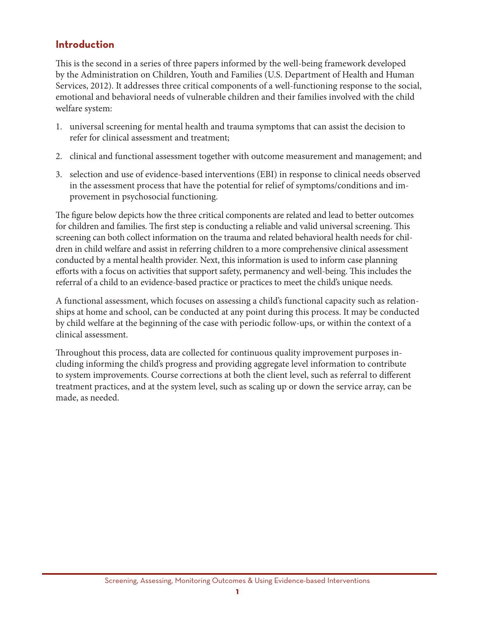#### **Introduction**

This is the second in a series of three papers informed by the well-being framework developed by the Administration on Children, Youth and Families (U.S. Department of Health and Human Services, 2012). It addresses three critical components of a well-functioning response to the social, emotional and behavioral needs of vulnerable children and their families involved with the child welfare system:

- 1. universal screening for mental health and trauma symptoms that can assist the decision to refer for clinical assessment and treatment;
- 2. clinical and functional assessment together with outcome measurement and management; and
- 3. selection and use of evidence-based interventions (EBI) in response to clinical needs observed in the assessment process that have the potential for relief of symptoms/conditions and improvement in psychosocial functioning.

The figure below depicts how the three critical components are related and lead to better outcomes for children and families. The first step is conducting a reliable and valid universal screening. This screening can both collect information on the trauma and related behavioral health needs for children in child welfare and assist in referring children to a more comprehensive clinical assessment conducted by a mental health provider. Next, this information is used to inform case planning efforts with a focus on activities that support safety, permanency and well-being. This includes the referral of a child to an evidence-based practice or practices to meet the child's unique needs.

A functional assessment, which focuses on assessing a child's functional capacity such as relationships at home and school, can be conducted at any point during this process. It may be conducted by child welfare at the beginning of the case with periodic follow-ups, or within the context of a clinical assessment.

Throughout this process, data are collected for continuous quality improvement purposes including informing the child's progress and providing aggregate level information to contribute to system improvements. Course corrections at both the client level, such as referral to different treatment practices, and at the system level, such as scaling up or down the service array, can be made, as needed.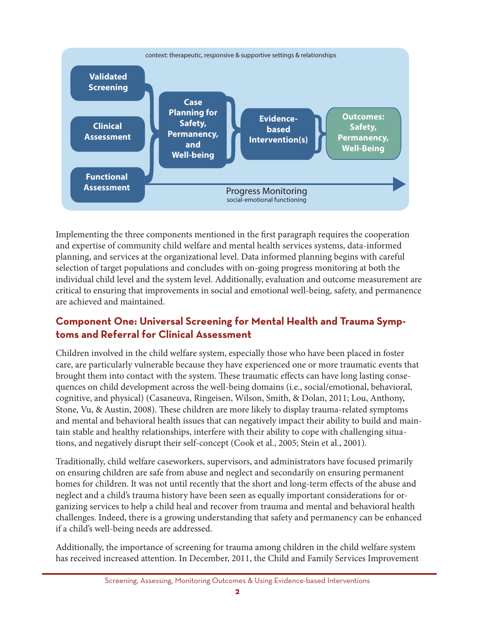

Implementing the three components mentioned in the first paragraph requires the cooperation and expertise of community child welfare and mental health services systems, data-informed planning, and services at the organizational level. Data informed planning begins with careful selection of target populations and concludes with on-going progress monitoring at both the individual child level and the system level. Additionally, evaluation and outcome measurement are critical to ensuring that improvements in social and emotional well-being, safety, and permanence are achieved and maintained.

## **Component One: Universal Screening for Mental Health and Trauma Symptoms and referral for clinical assessment**

Children involved in the child welfare system, especially those who have been placed in foster care, are particularly vulnerable because they have experienced one or more traumatic events that brought them into contact with the system. These traumatic effects can have long lasting consequences on child development across the well-being domains (i.e., social/emotional, behavioral, cognitive, and physical) (Casaneuva, Ringeisen, Wilson, Smith, & Dolan, 2011; Lou, Anthony, Stone, Vu, & Austin, 2008). These children are more likely to display trauma-related symptoms and mental and behavioral health issues that can negatively impact their ability to build and maintain stable and healthy relationships, interfere with their ability to cope with challenging situations, and negatively disrupt their self-concept (Cook et al., 2005; Stein et al., 2001).

Traditionally, child welfare caseworkers, supervisors, and administrators have focused primarily on ensuring children are safe from abuse and neglect and secondarily on ensuring permanent homes for children. It was not until recently that the short and long-term effects of the abuse and neglect and a child's trauma history have been seen as equally important considerations for organizing services to help a child heal and recover from trauma and mental and behavioral health challenges. Indeed, there is a growing understanding that safety and permanency can be enhanced if a child's well-being needs are addressed.

Additionally, the importance of screening for trauma among children in the child welfare system has received increased attention. In December, 2011, the Child and Family Services Improvement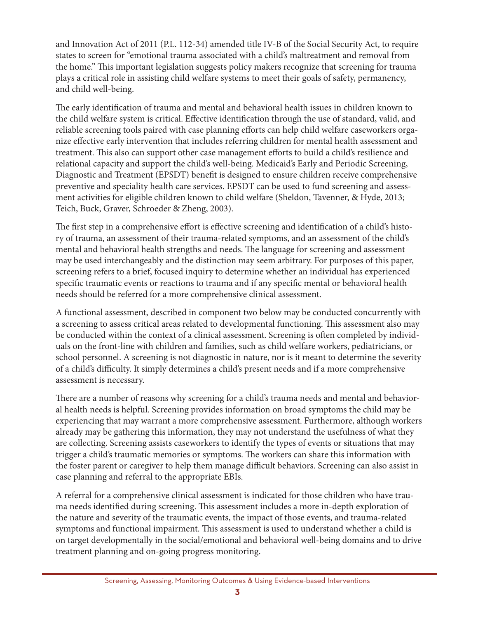and Innovation Act of 2011 (P.L. 112-34) amended title IV-B of the Social Security Act, to require states to screen for "emotional trauma associated with a child's maltreatment and removal from the home." This important legislation suggests policy makers recognize that screening for trauma plays a critical role in assisting child welfare systems to meet their goals of safety, permanency, and child well-being.

The early identification of trauma and mental and behavioral health issues in children known to the child welfare system is critical. Effective identification through the use of standard, valid, and reliable screening tools paired with case planning efforts can help child welfare caseworkers organize effective early intervention that includes referring children for mental health assessment and treatment. This also can support other case management efforts to build a child's resilience and relational capacity and support the child's well-being. Medicaid's Early and Periodic Screening, Diagnostic and Treatment (EPSDT) benefit is designed to ensure children receive comprehensive preventive and speciality health care services. EPSDT can be used to fund screening and assessment activities for eligible children known to child welfare (Sheldon, Tavenner, & Hyde, 2013; Teich, Buck, Graver, Schroeder & Zheng, 2003).

The first step in a comprehensive effort is effective screening and identification of a child's history of trauma, an assessment of their trauma-related symptoms, and an assessment of the child's mental and behavioral health strengths and needs. The language for screening and assessment may be used interchangeably and the distinction may seem arbitrary. For purposes of this paper, screening refers to a brief, focused inquiry to determine whether an individual has experienced specific traumatic events or reactions to trauma and if any specific mental or behavioral health needs should be referred for a more comprehensive clinical assessment.

A functional assessment, described in component two below may be conducted concurrently with a screening to assess critical areas related to developmental functioning. This assessment also may be conducted within the context of a clinical assessment. Screening is often completed by individuals on the front-line with children and families, such as child welfare workers, pediatricians, or school personnel. A screening is not diagnostic in nature, nor is it meant to determine the severity of a child's difficulty. It simply determines a child's present needs and if a more comprehensive assessment is necessary.

There are a number of reasons why screening for a child's trauma needs and mental and behavioral health needs is helpful. Screening provides information on broad symptoms the child may be experiencing that may warrant a more comprehensive assessment. Furthermore, although workers already may be gathering this information, they may not understand the usefulness of what they are collecting. Screening assists caseworkers to identify the types of events or situations that may trigger a child's traumatic memories or symptoms. The workers can share this information with the foster parent or caregiver to help them manage difficult behaviors. Screening can also assist in case planning and referral to the appropriate EBIs.

A referral for a comprehensive clinical assessment is indicated for those children who have trauma needs identified during screening. This assessment includes a more in-depth exploration of the nature and severity of the traumatic events, the impact of those events, and trauma-related symptoms and functional impairment. This assessment is used to understand whether a child is on target developmentally in the social/emotional and behavioral well-being domains and to drive treatment planning and on-going progress monitoring.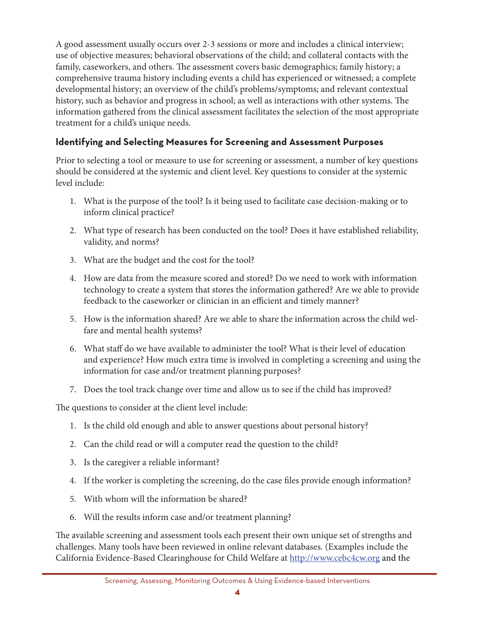A good assessment usually occurs over 2-3 sessions or more and includes a clinical interview; use of objective measures; behavioral observations of the child; and collateral contacts with the family, caseworkers, and others. The assessment covers basic demographics; family history; a comprehensive trauma history including events a child has experienced or witnessed; a complete developmental history; an overview of the child's problems/symptoms; and relevant contextual history, such as behavior and progress in school; as well as interactions with other systems. The information gathered from the clinical assessment facilitates the selection of the most appropriate treatment for a child's unique needs.

#### **Identifying and Selecting measures for Screening and assessment Purposes**

Prior to selecting a tool or measure to use for screening or assessment, a number of key questions should be considered at the systemic and client level. Key questions to consider at the systemic level include:

- 1. What is the purpose of the tool? Is it being used to facilitate case decision-making or to inform clinical practice?
- 2. What type of research has been conducted on the tool? Does it have established reliability, validity, and norms?
- 3. What are the budget and the cost for the tool?
- 4. How are data from the measure scored and stored? Do we need to work with information technology to create a system that stores the information gathered? Are we able to provide feedback to the caseworker or clinician in an efficient and timely manner?
- 5. How is the information shared? Are we able to share the information across the child welfare and mental health systems?
- 6. What staff do we have available to administer the tool? What is their level of education and experience? How much extra time is involved in completing a screening and using the information for case and/or treatment planning purposes?
- 7. Does the tool track change over time and allow us to see if the child has improved?

The questions to consider at the client level include:

- 1. Is the child old enough and able to answer questions about personal history?
- 2. Can the child read or will a computer read the question to the child?
- 3. Is the caregiver a reliable informant?
- 4. If the worker is completing the screening, do the case files provide enough information?
- 5. With whom will the information be shared?
- 6. Will the results inform case and/or treatment planning?

The available screening and assessment tools each present their own unique set of strengths and challenges. Many tools have been reviewed in online relevant databases. (Examples include the California Evidence-Based Clearinghouse for Child Welfare at http://www.cebc4cw.org and the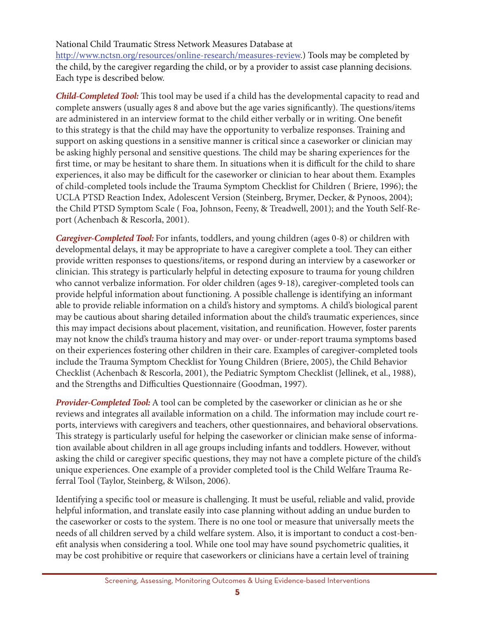#### National Child Traumatic Stress Network Measures Database at

http://www.nctsn.org/resources/online-research/measures-review.) Tools may be completed by the child, by the caregiver regarding the child, or by a provider to assist case planning decisions. Each type is described below.

*Child-Completed Tool:* This tool may be used if a child has the developmental capacity to read and complete answers (usually ages 8 and above but the age varies significantly). The questions/items are administered in an interview format to the child either verbally or in writing. One benefit to this strategy is that the child may have the opportunity to verbalize responses. Training and support on asking questions in a sensitive manner is critical since a caseworker or clinician may be asking highly personal and sensitive questions. The child may be sharing experiences for the first time, or may be hesitant to share them. In situations when it is difficult for the child to share experiences, it also may be difficult for the caseworker or clinician to hear about them. Examples of child-completed tools include the Trauma Symptom Checklist for Children ( Briere, 1996); the UCLA PTSD Reaction Index, Adolescent Version (Steinberg, Brymer, Decker, & Pynoos, 2004); the Child PTSD Symptom Scale ( Foa, Johnson, Feeny, & Treadwell, 2001); and the Youth Self-Report (Achenbach & Rescorla, 2001).

*Caregiver-Completed Tool:* For infants, toddlers, and young children (ages 0-8) or children with developmental delays, it may be appropriate to have a caregiver complete a tool. They can either provide written responses to questions/items, or respond during an interview by a caseworker or clinician. This strategy is particularly helpful in detecting exposure to trauma for young children who cannot verbalize information. For older children (ages 9-18), caregiver-completed tools can provide helpful information about functioning. A possible challenge is identifying an informant able to provide reliable information on a child's history and symptoms. A child's biological parent may be cautious about sharing detailed information about the child's traumatic experiences, since this may impact decisions about placement, visitation, and reunification. However, foster parents may not know the child's trauma history and may over- or under-report trauma symptoms based on their experiences fostering other children in their care. Examples of caregiver-completed tools include the Trauma Symptom Checklist for Young Children (Briere, 2005), the Child Behavior Checklist (Achenbach & Rescorla, 2001), the Pediatric Symptom Checklist (Jellinek, et al., 1988), and the Strengths and Difficulties Questionnaire (Goodman, 1997).

*Provider-Completed Tool:* A tool can be completed by the caseworker or clinician as he or she reviews and integrates all available information on a child. The information may include court reports, interviews with caregivers and teachers, other questionnaires, and behavioral observations. This strategy is particularly useful for helping the caseworker or clinician make sense of information available about children in all age groups including infants and toddlers. However, without asking the child or caregiver specific questions, they may not have a complete picture of the child's unique experiences. One example of a provider completed tool is the Child Welfare Trauma Referral Tool (Taylor, Steinberg, & Wilson, 2006).

Identifying a specific tool or measure is challenging. It must be useful, reliable and valid, provide helpful information, and translate easily into case planning without adding an undue burden to the caseworker or costs to the system. There is no one tool or measure that universally meets the needs of all children served by a child welfare system. Also, it is important to conduct a cost-benefit analysis when considering a tool. While one tool may have sound psychometric qualities, it may be cost prohibitive or require that caseworkers or clinicians have a certain level of training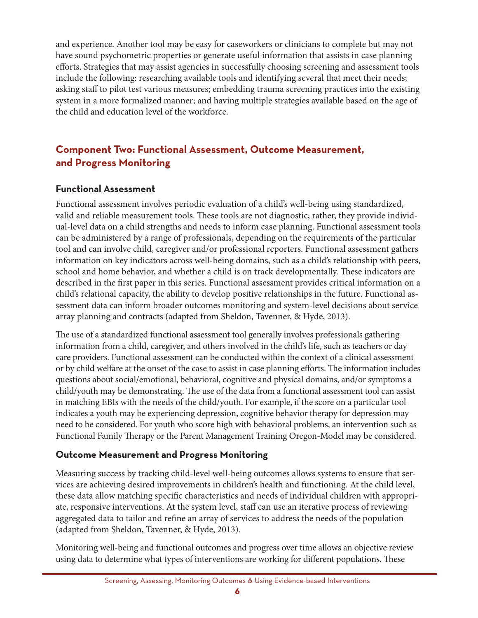and experience. Another tool may be easy for caseworkers or clinicians to complete but may not have sound psychometric properties or generate useful information that assists in case planning efforts. Strategies that may assist agencies in successfully choosing screening and assessment tools include the following: researching available tools and identifying several that meet their needs; asking staff to pilot test various measures; embedding trauma screening practices into the existing system in a more formalized manner; and having multiple strategies available based on the age of the child and education level of the workforce.

## **Component Two: Functional Assessment, Outcome Measurement, and Progress monitoring**

#### **functional assessment**

Functional assessment involves periodic evaluation of a child's well-being using standardized, valid and reliable measurement tools. These tools are not diagnostic; rather, they provide individual-level data on a child strengths and needs to inform case planning. Functional assessment tools can be administered by a range of professionals, depending on the requirements of the particular tool and can involve child, caregiver and/or professional reporters. Functional assessment gathers information on key indicators across well-being domains, such as a child's relationship with peers, school and home behavior, and whether a child is on track developmentally. These indicators are described in the first paper in this series. Functional assessment provides critical information on a child's relational capacity, the ability to develop positive relationships in the future. Functional assessment data can inform broader outcomes monitoring and system-level decisions about service array planning and contracts (adapted from Sheldon, Tavenner, & Hyde, 2013).

The use of a standardized functional assessment tool generally involves professionals gathering information from a child, caregiver, and others involved in the child's life, such as teachers or day care providers. Functional assessment can be conducted within the context of a clinical assessment or by child welfare at the onset of the case to assist in case planning efforts. The information includes questions about social/emotional, behavioral, cognitive and physical domains, and/or symptoms a child/youth may be demonstrating. The use of the data from a functional assessment tool can assist in matching EBIs with the needs of the child/youth. For example, if the score on a particular tool indicates a youth may be experiencing depression, cognitive behavior therapy for depression may need to be considered. For youth who score high with behavioral problems, an intervention such as Functional Family Therapy or the Parent Management Training Oregon-Model may be considered.

#### **outcome measurement and Progress monitoring**

Measuring success by tracking child-level well-being outcomes allows systems to ensure that services are achieving desired improvements in children's health and functioning. At the child level, these data allow matching specific characteristics and needs of individual children with appropriate, responsive interventions. At the system level, staff can use an iterative process of reviewing aggregated data to tailor and refine an array of services to address the needs of the population (adapted from Sheldon, Tavenner, & Hyde, 2013).

Monitoring well-being and functional outcomes and progress over time allows an objective review using data to determine what types of interventions are working for different populations. These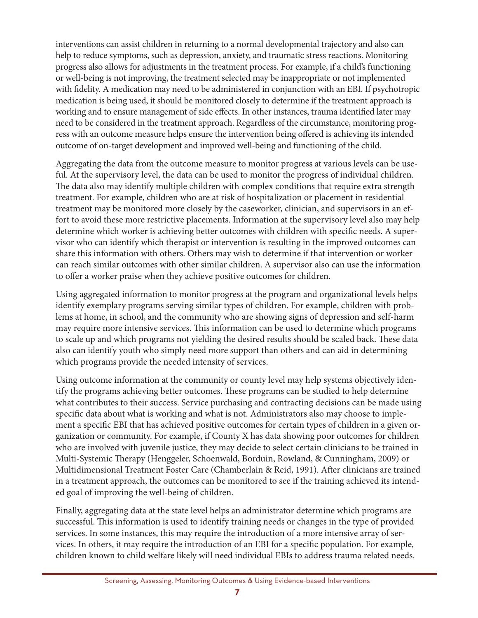interventions can assist children in returning to a normal developmental trajectory and also can help to reduce symptoms, such as depression, anxiety, and traumatic stress reactions. Monitoring progress also allows for adjustments in the treatment process. For example, if a child's functioning or well-being is not improving, the treatment selected may be inappropriate or not implemented with fidelity. A medication may need to be administered in conjunction with an EBI. If psychotropic medication is being used, it should be monitored closely to determine if the treatment approach is working and to ensure management of side effects. In other instances, trauma identified later may need to be considered in the treatment approach. Regardless of the circumstance, monitoring progress with an outcome measure helps ensure the intervention being offered is achieving its intended outcome of on-target development and improved well-being and functioning of the child.

Aggregating the data from the outcome measure to monitor progress at various levels can be useful. At the supervisory level, the data can be used to monitor the progress of individual children. The data also may identify multiple children with complex conditions that require extra strength treatment. For example, children who are at risk of hospitalization or placement in residential treatment may be monitored more closely by the caseworker, clinician, and supervisors in an effort to avoid these more restrictive placements. Information at the supervisory level also may help determine which worker is achieving better outcomes with children with specific needs. A supervisor who can identify which therapist or intervention is resulting in the improved outcomes can share this information with others. Others may wish to determine if that intervention or worker can reach similar outcomes with other similar children. A supervisor also can use the information to offer a worker praise when they achieve positive outcomes for children.

Using aggregated information to monitor progress at the program and organizational levels helps identify exemplary programs serving similar types of children. For example, children with problems at home, in school, and the community who are showing signs of depression and self-harm may require more intensive services. This information can be used to determine which programs to scale up and which programs not yielding the desired results should be scaled back. These data also can identify youth who simply need more support than others and can aid in determining which programs provide the needed intensity of services.

Using outcome information at the community or county level may help systems objectively identify the programs achieving better outcomes. These programs can be studied to help determine what contributes to their success. Service purchasing and contracting decisions can be made using specific data about what is working and what is not. Administrators also may choose to implement a specific EBI that has achieved positive outcomes for certain types of children in a given organization or community. For example, if County X has data showing poor outcomes for children who are involved with juvenile justice, they may decide to select certain clinicians to be trained in Multi-Systemic Therapy (Henggeler, Schoenwald, Borduin, Rowland, & Cunningham, 2009) or Multidimensional Treatment Foster Care (Chamberlain & Reid, 1991). After clinicians are trained in a treatment approach, the outcomes can be monitored to see if the training achieved its intended goal of improving the well-being of children.

Finally, aggregating data at the state level helps an administrator determine which programs are successful. This information is used to identify training needs or changes in the type of provided services. In some instances, this may require the introduction of a more intensive array of services. In others, it may require the introduction of an EBI for a specific population. For example, children known to child welfare likely will need individual EBIs to address trauma related needs.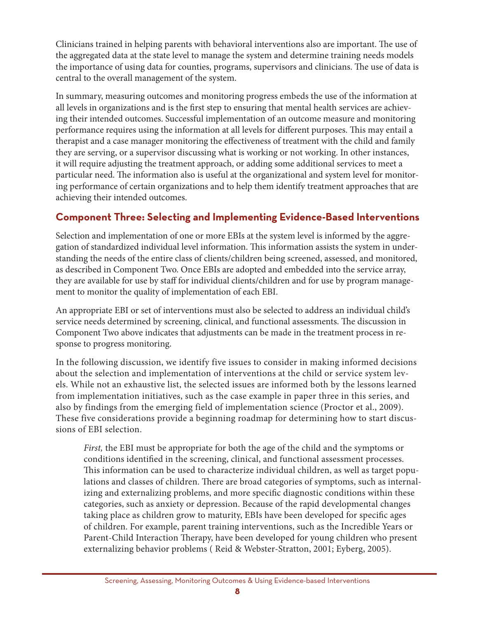Clinicians trained in helping parents with behavioral interventions also are important. The use of the aggregated data at the state level to manage the system and determine training needs models the importance of using data for counties, programs, supervisors and clinicians. The use of data is central to the overall management of the system.

In summary, measuring outcomes and monitoring progress embeds the use of the information at all levels in organizations and is the first step to ensuring that mental health services are achieving their intended outcomes. Successful implementation of an outcome measure and monitoring performance requires using the information at all levels for different purposes. This may entail a therapist and a case manager monitoring the effectiveness of treatment with the child and family they are serving, or a supervisor discussing what is working or not working. In other instances, it will require adjusting the treatment approach, or adding some additional services to meet a particular need. The information also is useful at the organizational and system level for monitoring performance of certain organizations and to help them identify treatment approaches that are achieving their intended outcomes.

### **component three: Selecting and Implementing evidence-Based Interventions**

Selection and implementation of one or more EBIs at the system level is informed by the aggregation of standardized individual level information. This information assists the system in understanding the needs of the entire class of clients/children being screened, assessed, and monitored, as described in Component Two. Once EBIs are adopted and embedded into the service array, they are available for use by staff for individual clients/children and for use by program management to monitor the quality of implementation of each EBI.

An appropriate EBI or set of interventions must also be selected to address an individual child's service needs determined by screening, clinical, and functional assessments. The discussion in Component Two above indicates that adjustments can be made in the treatment process in response to progress monitoring.

In the following discussion, we identify five issues to consider in making informed decisions about the selection and implementation of interventions at the child or service system levels. While not an exhaustive list, the selected issues are informed both by the lessons learned from implementation initiatives, such as the case example in paper three in this series, and also by findings from the emerging field of implementation science (Proctor et al., 2009). These five considerations provide a beginning roadmap for determining how to start discussions of EBI selection.

*First,* the EBI must be appropriate for both the age of the child and the symptoms or conditions identified in the screening, clinical, and functional assessment processes. This information can be used to characterize individual children, as well as target populations and classes of children. There are broad categories of symptoms, such as internalizing and externalizing problems, and more specific diagnostic conditions within these categories, such as anxiety or depression. Because of the rapid developmental changes taking place as children grow to maturity, EBIs have been developed for specific ages of children. For example, parent training interventions, such as the Incredible Years or Parent-Child Interaction Therapy, have been developed for young children who present externalizing behavior problems ( Reid & Webster-Stratton, 2001; Eyberg, 2005).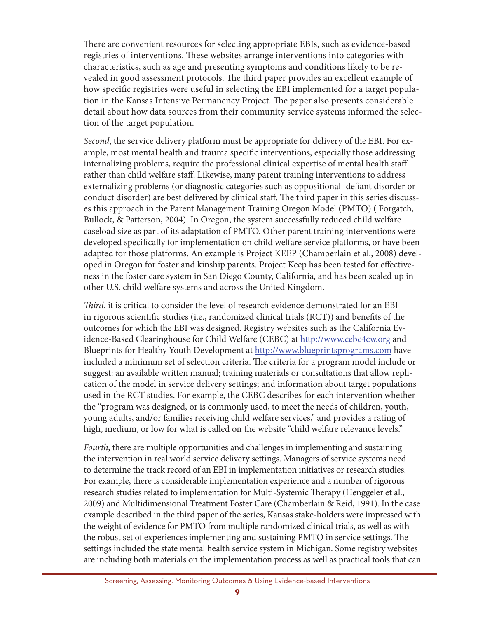There are convenient resources for selecting appropriate EBIs, such as evidence-based registries of interventions. These websites arrange interventions into categories with characteristics, such as age and presenting symptoms and conditions likely to be revealed in good assessment protocols. The third paper provides an excellent example of how specific registries were useful in selecting the EBI implemented for a target population in the Kansas Intensive Permanency Project. The paper also presents considerable detail about how data sources from their community service systems informed the selection of the target population.

*Second*, the service delivery platform must be appropriate for delivery of the EBI. For example, most mental health and trauma specific interventions, especially those addressing internalizing problems, require the professional clinical expertise of mental health staff rather than child welfare staff. Likewise, many parent training interventions to address externalizing problems (or diagnostic categories such as oppositional–defiant disorder or conduct disorder) are best delivered by clinical staff. The third paper in this series discusses this approach in the Parent Management Training Oregon Model (PMTO) ( Forgatch, Bullock, & Patterson, 2004). In Oregon, the system successfully reduced child welfare caseload size as part of its adaptation of PMTO. Other parent training interventions were developed specifically for implementation on child welfare service platforms, or have been adapted for those platforms. An example is Project KEEP (Chamberlain et al., 2008) developed in Oregon for foster and kinship parents. Project Keep has been tested for effectiveness in the foster care system in San Diego County, California, and has been scaled up in other U.S. child welfare systems and across the United Kingdom.

*Third*, it is critical to consider the level of research evidence demonstrated for an EBI in rigorous scientific studies (i.e., randomized clinical trials (RCT)) and benefits of the outcomes for which the EBI was designed. Registry websites such as the California Evidence-Based Clearinghouse for Child Welfare (CEBC) at http://www.cebc4cw.org and Blueprints for Healthy Youth Development at http://www.blueprintsprograms.com have included a minimum set of selection criteria. The criteria for a program model include or suggest: an available written manual; training materials or consultations that allow replication of the model in service delivery settings; and information about target populations used in the RCT studies. For example, the CEBC describes for each intervention whether the "program was designed, or is commonly used, to meet the needs of children, youth, young adults, and/or families receiving child welfare services," and provides a rating of high, medium, or low for what is called on the website "child welfare relevance levels."

*Fourth*, there are multiple opportunities and challenges in implementing and sustaining the intervention in real world service delivery settings. Managers of service systems need to determine the track record of an EBI in implementation initiatives or research studies. For example, there is considerable implementation experience and a number of rigorous research studies related to implementation for Multi-Systemic Therapy (Henggeler et al., 2009) and Multidimensional Treatment Foster Care (Chamberlain & Reid, 1991). In the case example described in the third paper of the series, Kansas stake-holders were impressed with the weight of evidence for PMTO from multiple randomized clinical trials, as well as with the robust set of experiences implementing and sustaining PMTO in service settings. The settings included the state mental health service system in Michigan. Some registry websites are including both materials on the implementation process as well as practical tools that can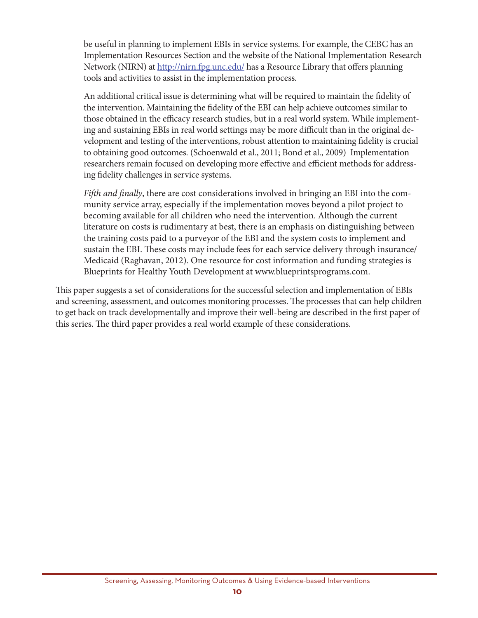be useful in planning to implement EBIs in service systems. For example, the CEBC has an Implementation Resources Section and the website of the National Implementation Research Network (NIRN) at http://nirn.fpg.unc.edu/ has a Resource Library that offers planning tools and activities to assist in the implementation process.

An additional critical issue is determining what will be required to maintain the fidelity of the intervention. Maintaining the fidelity of the EBI can help achieve outcomes similar to those obtained in the efficacy research studies, but in a real world system. While implementing and sustaining EBIs in real world settings may be more difficult than in the original development and testing of the interventions, robust attention to maintaining fidelity is crucial to obtaining good outcomes. (Schoenwald et al., 2011; Bond et al., 2009) Implementation researchers remain focused on developing more effective and efficient methods for addressing fidelity challenges in service systems.

*Fifth and finally*, there are cost considerations involved in bringing an EBI into the community service array, especially if the implementation moves beyond a pilot project to becoming available for all children who need the intervention. Although the current literature on costs is rudimentary at best, there is an emphasis on distinguishing between the training costs paid to a purveyor of the EBI and the system costs to implement and sustain the EBI. These costs may include fees for each service delivery through insurance/ Medicaid (Raghavan, 2012). One resource for cost information and funding strategies is Blueprints for Healthy Youth Development at www.blueprintsprograms.com.

This paper suggests a set of considerations for the successful selection and implementation of EBIs and screening, assessment, and outcomes monitoring processes. The processes that can help children to get back on track developmentally and improve their well-being are described in the first paper of this series. The third paper provides a real world example of these considerations.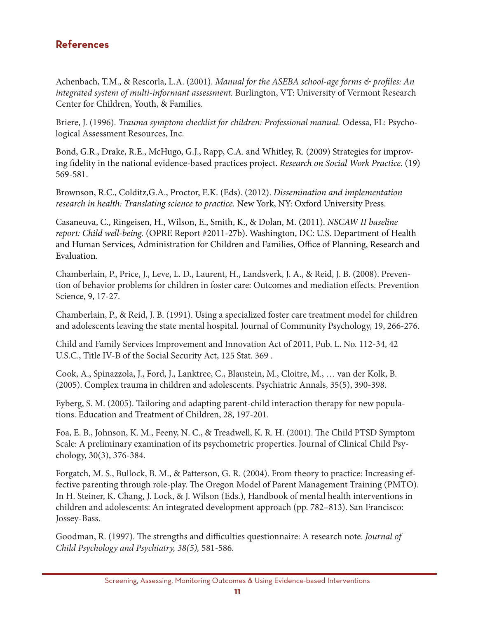## **References**

Achenbach, T.M., & Rescorla, L.A. (2001). Manual for the ASEBA school-age forms & profiles: An integrated system of multi-informant assessment. Burlington, VT: University of Vermont Research Center for Children, Youth, & Families.

Briere, J. (1996). Trauma symptom checklist for children: Professional manual. Odessa, FL: Psychological Assessment Resources, Inc.

Bond, G.R., Drake, R.E., McHugo, G.J., Rapp, C.A. and Whitley, R. (2009) Strategies for improving fidelity in the national evidence-based practices project. Research on Social Work Practice. (19) 569-581.

Brownson, R.C., Colditz, G.A., Proctor, E.K. (Eds). (2012). Dissemination and implementation research in health: Translating science to practice. New York, NY: Oxford University Press.

Casaneuva, C., Ringeisen, H., Wilson, E., Smith, K., & Dolan, M. (2011). NSCAW II baseline report: Child well-being. (OPRE Report #2011-27b). Washington, DC: U.S. Department of Health and Human Services, Administration for Children and Families, Office of Planning, Research and Evaluation.

Chamberlain, P., Price, J., Leve, L. D., Laurent, H., Landsverk, J. A., & Reid, J. B. (2008). Prevention of behavior problems for children in foster care: Outcomes and mediation effects. Prevention Science, 9, 17-27.

Chamberlain, P., & Reid, J. B. (1991). Using a specialized foster care treatment model for children and adolescents leaving the state mental hospital. Journal of Community Psychology, 19, 266-276.

Child and Family Services Improvement and Innovation Act of 2011, Pub. L. No. 112-34, 42 U.S.C., Title IV-B of the Social Security Act, 125 Stat. 369.

Cook, A., Spinazzola, J., Ford, J., Lanktree, C., Blaustein, M., Cloitre, M., ... van der Kolk, B. (2005). Complex trauma in children and adolescents. Psychiatric Annals, 35(5), 390-398.

Eyberg, S. M. (2005). Tailoring and adapting parent-child interaction therapy for new populations. Education and Treatment of Children, 28, 197-201.

Foa, E. B., Johnson, K. M., Feeny, N. C., & Treadwell, K. R. H. (2001). The Child PTSD Symptom Scale: A preliminary examination of its psychometric properties. Journal of Clinical Child Psychology, 30(3), 376-384.

Forgatch, M. S., Bullock, B. M., & Patterson, G. R. (2004). From theory to practice: Increasing effective parenting through role-play. The Oregon Model of Parent Management Training (PMTO). In H. Steiner, K. Chang, J. Lock, & J. Wilson (Eds.), Handbook of mental health interventions in children and adolescents: An integrated development approach (pp. 782–813). San Francisco: Jossey-Bass.

Goodman, R. (1997). The strengths and difficulties questionnaire: A research note. Journal of Child Psychology and Psychiatry, 38(5), 581-586.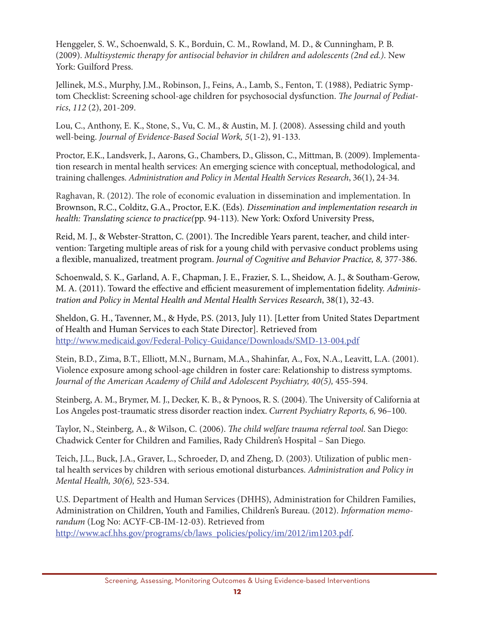Henggeler, S. W., Schoenwald, S. K., Borduin, C. M., Rowland, M. D., & Cunningham, P. B. (2009). *Multisystemic therapy for antisocial behavior in children and adolescents (2nd ed.)*. New York: Guilford Press.

Jellinek, M.S., Murphy, J.M., Robinson, J., Feins, A., Lamb, S., Fenton, T. (1988), Pediatric Symptom Checklist: Screening school-age children for psychosocial dysfunction. *The Journal of Pediatrics*, *112* (2), 201-209.

Lou, C., Anthony, E. K., Stone, S., Vu, C. M., & Austin, M. J. (2008). Assessing child and youth well-being. *Journal of Evidence-Based Social Work, 5*(1-2), 91-133.

Proctor, E.K., Landsverk, J., Aarons, G., Chambers, D., Glisson, C., Mittman, B. (2009). Implementation research in mental health services: An emerging science with conceptual, methodological, and training challenges. *Administration and Policy in Mental Health Services Research*, 36(1), 24-34.

Raghavan, R. (2012). The role of economic evaluation in dissemination and implementation. In Brownson, R.C., Colditz, G.A., Proctor, E.K. (Eds)*. Dissemination and implementation research in health: Translating science to practice(*pp. 94-113)*.* New York: Oxford University Press,

Reid, M. J., & Webster-Stratton, C. (2001). The Incredible Years parent, teacher, and child intervention: Targeting multiple areas of risk for a young child with pervasive conduct problems using a flexible, manualized, treatment program. *Journal of Cognitive and Behavior Practice, 8,* 377-386.

Schoenwald, S. K., Garland, A. F., Chapman, J. E., Frazier, S. L., Sheidow, A. J., & Southam-Gerow, M. A. (2011). Toward the effective and efficient measurement of implementation fidelity. *Administration and Policy in Mental Health and Mental Health Services Research*, 38(1), 32-43.

Sheldon, G. H., Tavenner, M., & Hyde, P.S. (2013, July 11). [Letter from United States Department of Health and Human Services to each State Director]. Retrieved from http://www.medicaid.gov/Federal-Policy-Guidance/Downloads/SMD-13-004.pdf

Stein, B.D., Zima, B.T., Elliott, M.N., Burnam, M.A., Shahinfar, A., Fox, N.A., Leavitt, L.A. (2001). Violence exposure among school-age children in foster care: Relationship to distress symptoms. Journal of the American Academy of Child and Adolescent Psychiatry, 40(5), 455-594.

Steinberg, A. M., Brymer, M. J., Decker, K. B., & Pynoos, R. S. (2004). The University of California at Los Angeles post-traumatic stress disorder reaction index. *Current Psychiatry Reports, 6,* 96–100.

Taylor, N., Steinberg, A., & Wilson, C. (2006). *The child welfare trauma referral tool*. San Diego: Chadwick Center for Children and Families, Rady Children's Hospital – San Diego.

Teich, J.L., Buck, J.A., Graver, L., Schroeder, D, and Zheng, D. (2003). Utilization of public mental health services by children with serious emotional disturbances. *Administration and Policy in Mental Health, 30(6),* 523-534.

U.S. Department of Health and Human Services (DHHS), Administration for Children Families, Administration on Children, Youth and Families, Children's Bureau. (2012). *Information memorandum* (Log No: ACYF-CB-IM-12-03). Retrieved from http://www.acf.hhs.gov/programs/cb/laws\_policies/policy/im/2012/im1203.pdf.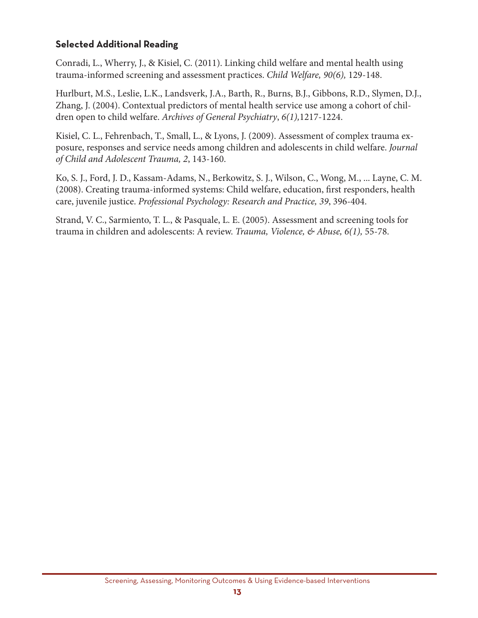#### **Selected Additional Reading**

Conradi, L., Wherry, J., & Kisiel, C. (2011). Linking child welfare and mental health using trauma-informed screening and assessment practices. *Child Welfare, 90(6),* 129-148.

Hurlburt, M.S., Leslie, L.K., Landsverk, J.A., Barth, R., Burns, B.J., Gibbons, R.D., Slymen, D.J., Zhang, J. (2004). Contextual predictors of mental health service use among a cohort of children open to child welfare. *Archives of General Psychiatry*, *6(1),*1217-1224.

Kisiel, C. L., Fehrenbach, T., Small, L., & Lyons, J. (2009). Assessment of complex trauma exposure, responses and service needs among children and adolescents in child welfare. *Journal of Child and Adolescent Trauma, 2*, 143-160.

Ko, S. J., Ford, J. D., Kassam-Adams, N., Berkowitz, S. J., Wilson, C., Wong, M., ... Layne, C. M. (2008). Creating trauma-informed systems: Child welfare, education, first responders, health care, juvenile justice. *Professional Psychology: Research and Practice, 39*, 396-404.

Strand, V. C., Sarmiento, T. L., & Pasquale, L. E. (2005). Assessment and screening tools for trauma in children and adolescents: A review. *Trauma, Violence, & Abuse, 6(1),* 55-78.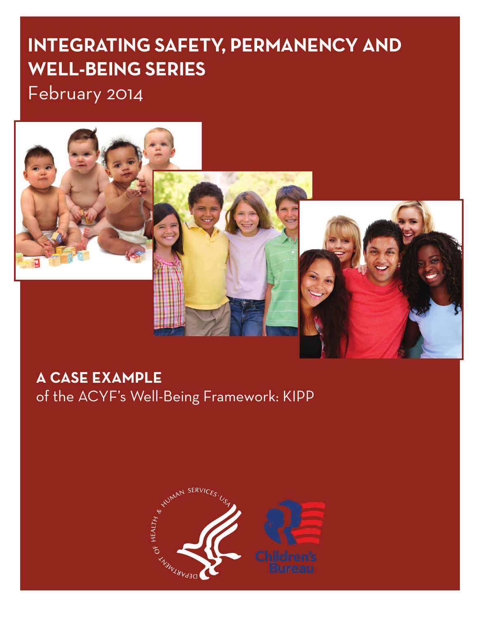# **IntegratIng Safety, Permanency and Well-BeIng SerIeS**

February 2014



# **a caSe examPle**

of the ACYF's Well-Being Framework: KIPP

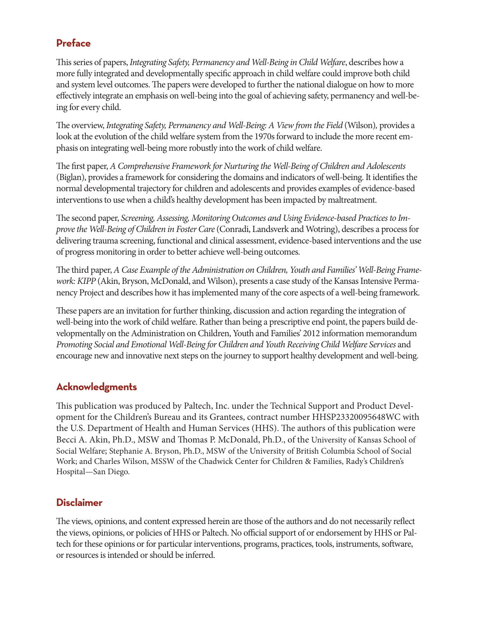### **Preface**

This series of papers, *Integrating Safety, Permanency and Well-Being in Child Welfare*, describes how a more fully integrated and developmentally specific approach in child welfare could improve both child and system level outcomes. The papers were developed to further the national dialogue on how to more effectively integrate an emphasis on well-being into the goal of achieving safety, permanency and well-being for every child.

The overview, *Integrating Safety, Permanency and Well-Being: A View from the Field* (Wilson)*,* provides a look at the evolution of the child welfare system from the 1970s forward to include the more recent emphasis on integrating well-being more robustly into the work of child welfare.

The first paper, *A Comprehensive Framework for Nurturing the Well-Being of Children and Adolescents*  (Biglan), provides a framework for considering the domains and indicators of well-being. It identifies the normal developmental trajectory for children and adolescents and provides examples of evidence-based interventions to use when a child's healthy development has been impacted by maltreatment.

The second paper, *Screening, Assessing, Monitoring Outcomes and Using Evidence-based Practices to Improve the Well-Being of Children in Foster Care* (Conradi, Landsverk and Wotring), describes a process for delivering trauma screening, functional and clinical assessment, evidence-based interventions and the use of progress monitoring in order to better achieve well-being outcomes.

The third paper, *A Case Example of the Administration on Children, Youth and Families' Well-Being Framework: KIPP* (Akin, Bryson, McDonald, and Wilson), presents a case study of the Kansas Intensive Permanency Project and describes how it has implemented many of the core aspects of a well-being framework.

These papers are an invitation for further thinking, discussion and action regarding the integration of well-being into the work of child welfare. Rather than being a prescriptive end point, the papers build developmentally on the Administration on Children, Youth and Families' 2012 information memorandum *Promoting Social and Emotional Well-Being for Children and Youth Receiving Child Welfare Services* and encourage new and innovative next steps on the journey to support healthy development and well-being.

### **Acknowledgments**

This publication was produced by Paltech, Inc. under the Technical Support and Product Development for the Children's Bureau and its Grantees, contract number HHSP23320095648WC with the U.S. Department of Health and Human Services (HHS). The authors of this publication were Becci A. Akin, Ph.D., MSW and Thomas P. McDonald, Ph.D., of the University of Kansas School of Social Welfare; Stephanie A. Bryson, Ph.D., MSW of the University of British Columbia School of Social Work; and Charles Wilson, MSSW of the Chadwick Center for Children & Families, Rady's Children's Hospital—San Diego.

### **Disclaimer**

The views, opinions, and content expressed herein are those of the authors and do not necessarily reflect the views, opinions, or policies of HHS or Paltech. No official support of or endorsement by HHS or Paltech for these opinions or for particular interventions, programs, practices, tools, instruments, software, or resources is intended or should be inferred.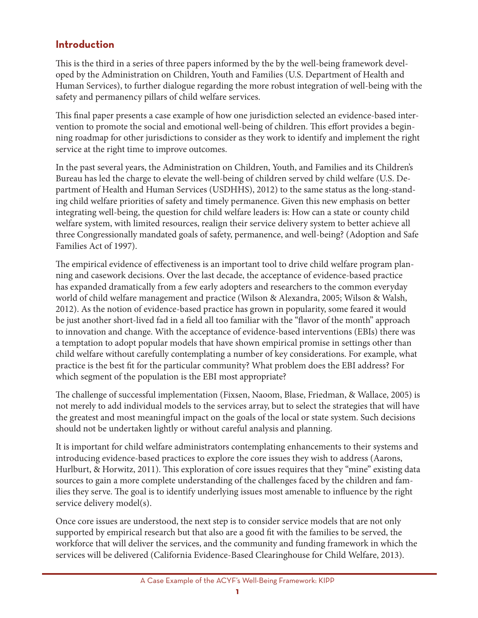## **Introduction**

This is the third in a series of three papers informed by the by the well-being framework developed by the Administration on Children, Youth and Families (U.S. Department of Health and Human Services), to further dialogue regarding the more robust integration of well-being with the safety and permanency pillars of child welfare services.

This final paper presents a case example of how one jurisdiction selected an evidence-based intervention to promote the social and emotional well-being of children. This effort provides a beginning roadmap for other jurisdictions to consider as they work to identify and implement the right service at the right time to improve outcomes.

In the past several years, the Administration on Children, Youth, and Families and its Children's Bureau has led the charge to elevate the well-being of children served by child welfare (U.S. Department of Health and Human Services (USDHHS), 2012) to the same status as the long-standing child welfare priorities of safety and timely permanence. Given this new emphasis on better integrating well-being, the question for child welfare leaders is: How can a state or county child welfare system, with limited resources, realign their service delivery system to better achieve all three Congressionally mandated goals of safety, permanence, and well-being? (Adoption and Safe Families Act of 1997).

The empirical evidence of effectiveness is an important tool to drive child welfare program planning and casework decisions. Over the last decade, the acceptance of evidence-based practice has expanded dramatically from a few early adopters and researchers to the common everyday world of child welfare management and practice (Wilson & Alexandra, 2005; Wilson & Walsh, 2012). As the notion of evidence-based practice has grown in popularity, some feared it would be just another short-lived fad in a field all too familiar with the "flavor of the month" approach to innovation and change. With the acceptance of evidence-based interventions (EBIs) there was a temptation to adopt popular models that have shown empirical promise in settings other than child welfare without carefully contemplating a number of key considerations. For example, what practice is the best fit for the particular community? What problem does the EBI address? For which segment of the population is the EBI most appropriate?

The challenge of successful implementation (Fixsen, Naoom, Blase, Friedman, & Wallace, 2005) is not merely to add individual models to the services array, but to select the strategies that will have the greatest and most meaningful impact on the goals of the local or state system. Such decisions should not be undertaken lightly or without careful analysis and planning.

It is important for child welfare administrators contemplating enhancements to their systems and introducing evidence-based practices to explore the core issues they wish to address (Aarons, Hurlburt, & Horwitz, 2011). This exploration of core issues requires that they "mine" existing data sources to gain a more complete understanding of the challenges faced by the children and families they serve. The goal is to identify underlying issues most amenable to influence by the right service delivery model(s).

Once core issues are understood, the next step is to consider service models that are not only supported by empirical research but that also are a good fit with the families to be served, the workforce that will deliver the services, and the community and funding framework in which the services will be delivered (California Evidence-Based Clearinghouse for Child Welfare, 2013).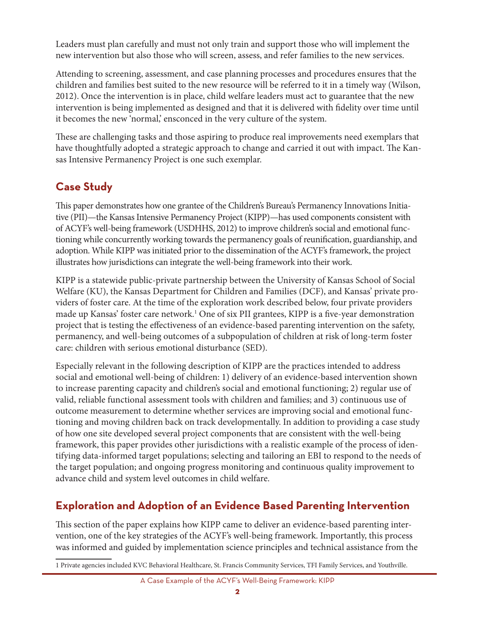Leaders must plan carefully and must not only train and support those who will implement the new intervention but also those who will screen, assess, and refer families to the new services.

Attending to screening, assessment, and case planning processes and procedures ensures that the children and families best suited to the new resource will be referred to it in a timely way (Wilson, 2012). Once the intervention is in place, child welfare leaders must act to guarantee that the new intervention is being implemented as designed and that it is delivered with fidelity over time until it becomes the new 'normal,' ensconced in the very culture of the system.

These are challenging tasks and those aspiring to produce real improvements need exemplars that have thoughtfully adopted a strategic approach to change and carried it out with impact. The Kansas Intensive Permanency Project is one such exemplar.

## **case Study**

This paper demonstrates how one grantee of the Children's Bureau's Permanency Innovations Initiative (PII)—the Kansas Intensive Permanency Project (KIPP)—has used components consistent with of ACYF's well-being framework (USDHHS, 2012) to improve children's social and emotional functioning while concurrently working towards the permanency goals of reunification, guardianship, and adoption. While KIPP was initiated prior to the dissemination of the ACYF's framework, the project illustrates how jurisdictions can integrate the well-being framework into their work.

KIPP is a statewide public-private partnership between the University of Kansas School of Social Welfare (KU), the Kansas Department for Children and Families (DCF), and Kansas' private providers of foster care. At the time of the exploration work described below, four private providers made up Kansas' foster care network.1 One of six PII grantees, KIPP is a five-year demonstration project that is testing the effectiveness of an evidence-based parenting intervention on the safety, permanency, and well-being outcomes of a subpopulation of children at risk of long-term foster care: children with serious emotional disturbance (SED).

Especially relevant in the following description of KIPP are the practices intended to address social and emotional well-being of children: 1) delivery of an evidence-based intervention shown to increase parenting capacity and children's social and emotional functioning; 2) regular use of valid, reliable functional assessment tools with children and families; and 3) continuous use of outcome measurement to determine whether services are improving social and emotional functioning and moving children back on track developmentally. In addition to providing a case study of how one site developed several project components that are consistent with the well-being framework, this paper provides other jurisdictions with a realistic example of the process of identifying data-informed target populations; selecting and tailoring an EBI to respond to the needs of the target population; and ongoing progress monitoring and continuous quality improvement to advance child and system level outcomes in child welfare.

## **exploration and adoption of an evidence Based Parenting Intervention**

This section of the paper explains how KIPP came to deliver an evidence-based parenting intervention, one of the key strategies of the ACYF's well-being framework. Importantly, this process was informed and guided by implementation science principles and technical assistance from the

<sup>1</sup> Private agencies included KVC Behavioral Healthcare, St. Francis Community Services, TFI Family Services, and Youthville.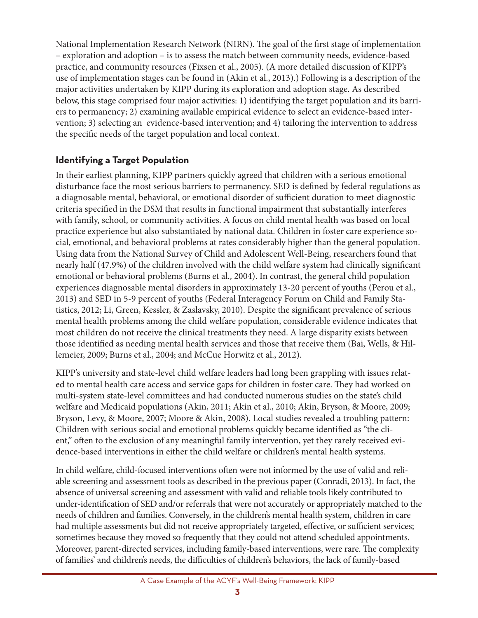National Implementation Research Network (NIRN). The goal of the first stage of implementation – exploration and adoption – is to assess the match between community needs, evidence-based practice, and community resources (Fixsen et al., 2005). (A more detailed discussion of KIPP's use of implementation stages can be found in (Akin et al., 2013).) Following is a description of the major activities undertaken by KIPP during its exploration and adoption stage. As described below, this stage comprised four major activities: 1) identifying the target population and its barriers to permanency; 2) examining available empirical evidence to select an evidence-based intervention; 3) selecting an evidence-based intervention; and 4) tailoring the intervention to address the specific needs of the target population and local context.

## **Identifying a target Population**

In their earliest planning, KIPP partners quickly agreed that children with a serious emotional disturbance face the most serious barriers to permanency. SED is defined by federal regulations as a diagnosable mental, behavioral, or emotional disorder of sufficient duration to meet diagnostic criteria specified in the DSM that results in functional impairment that substantially interferes with family, school, or community activities. A focus on child mental health was based on local practice experience but also substantiated by national data. Children in foster care experience social, emotional, and behavioral problems at rates considerably higher than the general population. Using data from the National Survey of Child and Adolescent Well-Being, researchers found that nearly half (47.9%) of the children involved with the child welfare system had clinically significant emotional or behavioral problems (Burns et al., 2004). In contrast, the general child population experiences diagnosable mental disorders in approximately 13-20 percent of youths (Perou et al., 2013) and SED in 5-9 percent of youths (Federal Interagency Forum on Child and Family Statistics, 2012; Li, Green, Kessler, & Zaslavsky, 2010). Despite the significant prevalence of serious mental health problems among the child welfare population, considerable evidence indicates that most children do not receive the clinical treatments they need. A large disparity exists between those identified as needing mental health services and those that receive them (Bai, Wells, & Hillemeier, 2009; Burns et al., 2004; and McCue Horwitz et al., 2012).

KIPP's university and state-level child welfare leaders had long been grappling with issues related to mental health care access and service gaps for children in foster care. They had worked on multi-system state-level committees and had conducted numerous studies on the state's child welfare and Medicaid populations (Akin, 2011; Akin et al., 2010; Akin, Bryson, & Moore, 2009; Bryson, Levy, & Moore, 2007; Moore & Akin, 2008). Local studies revealed a troubling pattern: Children with serious social and emotional problems quickly became identified as "the client," often to the exclusion of any meaningful family intervention, yet they rarely received evidence-based interventions in either the child welfare or children's mental health systems.

In child welfare, child-focused interventions often were not informed by the use of valid and reliable screening and assessment tools as described in the previous paper (Conradi, 2013). In fact, the absence of universal screening and assessment with valid and reliable tools likely contributed to under-identification of SED and/or referrals that were not accurately or appropriately matched to the needs of children and families. Conversely, in the children's mental health system, children in care had multiple assessments but did not receive appropriately targeted, effective, or sufficient services; sometimes because they moved so frequently that they could not attend scheduled appointments. Moreover, parent-directed services, including family-based interventions, were rare. The complexity of families' and children's needs, the difficulties of children's behaviors, the lack of family-based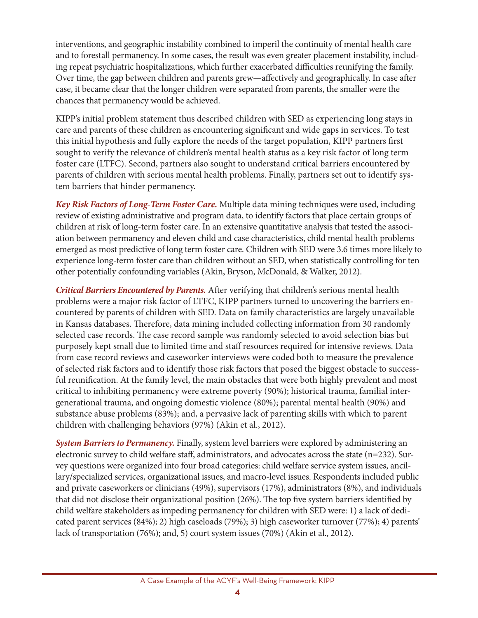interventions, and geographic instability combined to imperil the continuity of mental health care and to forestall permanency. In some cases, the result was even greater placement instability, including repeat psychiatric hospitalizations, which further exacerbated difficulties reunifying the family. Over time, the gap between children and parents grew—affectively and geographically. In case after case, it became clear that the longer children were separated from parents, the smaller were the chances that permanency would be achieved.

KIPP's initial problem statement thus described children with SED as experiencing long stays in care and parents of these children as encountering significant and wide gaps in services. To test this initial hypothesis and fully explore the needs of the target population, KIPP partners first sought to verify the relevance of children's mental health status as a key risk factor of long term foster care (LTFC). Second, partners also sought to understand critical barriers encountered by parents of children with serious mental health problems. Finally, partners set out to identify system barriers that hinder permanency.

*Key Risk Factors of Long-Term Foster Care.* Multiple data mining techniques were used, including review of existing administrative and program data, to identify factors that place certain groups of children at risk of long-term foster care. In an extensive quantitative analysis that tested the association between permanency and eleven child and case characteristics, child mental health problems emerged as most predictive of long term foster care. Children with SED were 3.6 times more likely to experience long-term foster care than children without an SED, when statistically controlling for ten other potentially confounding variables (Akin, Bryson, McDonald, & Walker, 2012).

*Critical Barriers Encountered by Parents.* After verifying that children's serious mental health problems were a major risk factor of LTFC, KIPP partners turned to uncovering the barriers encountered by parents of children with SED. Data on family characteristics are largely unavailable in Kansas databases. Therefore, data mining included collecting information from 30 randomly selected case records. The case record sample was randomly selected to avoid selection bias but purposely kept small due to limited time and staff resources required for intensive reviews. Data from case record reviews and caseworker interviews were coded both to measure the prevalence of selected risk factors and to identify those risk factors that posed the biggest obstacle to successful reunification. At the family level, the main obstacles that were both highly prevalent and most critical to inhibiting permanency were extreme poverty (90%); historical trauma, familial intergenerational trauma, and ongoing domestic violence (80%); parental mental health (90%) and substance abuse problems (83%); and, a pervasive lack of parenting skills with which to parent children with challenging behaviors (97%) (Akin et al., 2012).

*System Barriers to Permanency.* Finally, system level barriers were explored by administering an electronic survey to child welfare staff, administrators, and advocates across the state (n=232). Survey questions were organized into four broad categories: child welfare service system issues, ancillary/specialized services, organizational issues, and macro-level issues. Respondents included public and private caseworkers or clinicians (49%), supervisors (17%), administrators (8%), and individuals that did not disclose their organizational position (26%). The top five system barriers identified by child welfare stakeholders as impeding permanency for children with SED were: 1) a lack of dedicated parent services (84%); 2) high caseloads (79%); 3) high caseworker turnover (77%); 4) parents' lack of transportation (76%); and, 5) court system issues (70%) (Akin et al., 2012).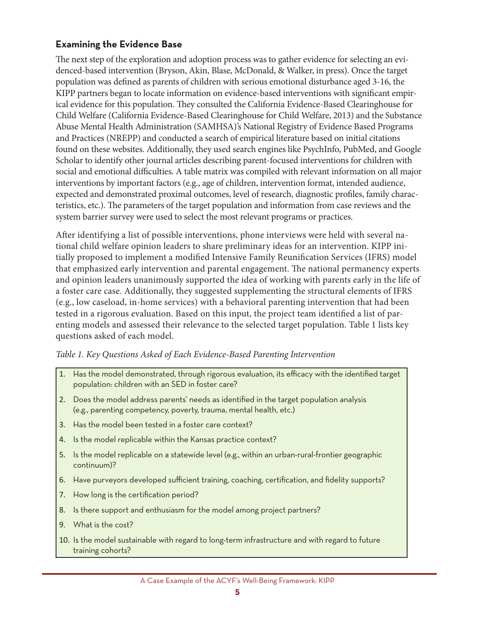#### **examining the evidence Base**

The next step of the exploration and adoption process was to gather evidence for selecting an evidenced-based intervention (Bryson, Akin, Blase, McDonald, & Walker, in press). Once the target population was defined as parents of children with serious emotional disturbance aged 3-16, the KIPP partners began to locate information on evidence-based interventions with significant empirical evidence for this population. They consulted the California Evidence-Based Clearinghouse for Child Welfare (California Evidence-Based Clearinghouse for Child Welfare, 2013) and the Substance Abuse Mental Health Administration (SAMHSA)'s National Registry of Evidence Based Programs and Practices (NREPP) and conducted a search of empirical literature based on initial citations found on these websites. Additionally, they used search engines like PsychInfo, PubMed, and Google Scholar to identify other journal articles describing parent-focused interventions for children with social and emotional difficulties. A table matrix was compiled with relevant information on all major interventions by important factors (e.g., age of children, intervention format, intended audience, expected and demonstrated proximal outcomes, level of research, diagnostic profiles, family characteristics, etc.). The parameters of the target population and information from case reviews and the system barrier survey were used to select the most relevant programs or practices.

After identifying a list of possible interventions, phone interviews were held with several national child welfare opinion leaders to share preliminary ideas for an intervention. KIPP initially proposed to implement a modified Intensive Family Reunification Services (IFRS) model that emphasized early intervention and parental engagement. The national permanency experts and opinion leaders unanimously supported the idea of working with parents early in the life of a foster care case. Additionally, they suggested supplementing the structural elements of IFRS (e.g., low caseload, in-home services) with a behavioral parenting intervention that had been tested in a rigorous evaluation. Based on this input, the project team identified a list of parenting models and assessed their relevance to the selected target population. Table 1 lists key questions asked of each model.

#### *Table 1. Key Questions Asked of Each Evidence-Based Parenting Intervention*

- 1. Has the model demonstrated, through rigorous evaluation, its efficacy with the identified target population: children with an SED in foster care?
- 2. Does the model address parents' needs as identified in the target population analysis (e.g., parenting competency, poverty, trauma, mental health, etc.)
- 3. Has the model been tested in a foster care context?
- 4. Is the model replicable within the Kansas practice context?
- 5. Is the model replicable on a statewide level (e.g., within an urban-rural-frontier geographic continuum)?
- 6. Have purveyors developed sufficient training, coaching, certification, and fidelity supports?
- 7. How long is the certification period?
- 8. Is there support and enthusiasm for the model among project partners?
- 9. What is the cost?
- 10. Is the model sustainable with regard to long-term infrastructure and with regard to future training cohorts?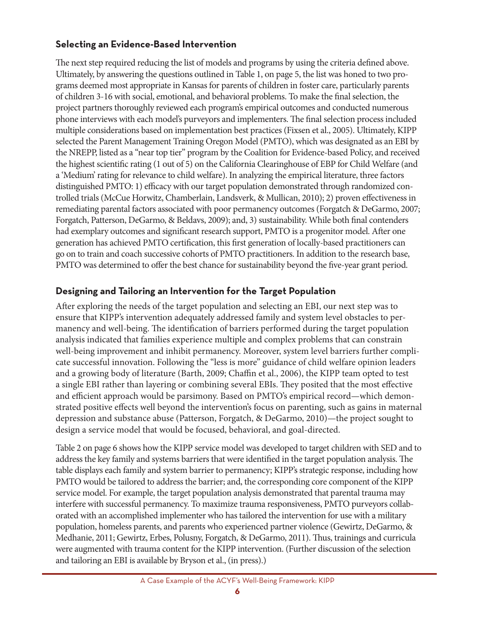#### **Selecting an Evidence-Based Intervention**

The next step required reducing the list of models and programs by using the criteria defined above. Ultimately, by answering the questions outlined in Table 1, on page 5, the list was honed to two programs deemed most appropriate in Kansas for parents of children in foster care, particularly parents of children 3-16 with social, emotional, and behavioral problems. To make the final selection, the project partners thoroughly reviewed each program's empirical outcomes and conducted numerous phone interviews with each model's purveyors and implementers. The final selection process included multiple considerations based on implementation best practices (Fixsen et al., 2005). Ultimately, KIPP selected the Parent Management Training Oregon Model (PMTO), which was designated as an EBI by the NREPP, listed as a "near top tier" program by the Coalition for Evidence-based Policy, and received the highest scientific rating (1 out of 5) on the California Clearinghouse of EBP for Child Welfare (and a 'Medium' rating for relevance to child welfare). In analyzing the empirical literature, three factors distinguished PMTO: 1) efficacy with our target population demonstrated through randomized controlled trials (McCue Horwitz, Chamberlain, Landsverk, & Mullican, 2010); 2) proven effectiveness in remediating parental factors associated with poor permanency outcomes (Forgatch & DeGarmo, 2007; Forgatch, Patterson, DeGarmo, & Beldavs, 2009); and, 3) sustainability. While both final contenders had exemplary outcomes and significant research support, PMTO is a progenitor model. After one generation has achieved PMTO certification, this first generation of locally-based practitioners can go on to train and coach successive cohorts of PMTO practitioners. In addition to the research base, PMTO was determined to offer the best chance for sustainability beyond the five-year grant period.

### **Designing and Tailoring an Intervention for the Target Population**

After exploring the needs of the target population and selecting an EBI, our next step was to ensure that KIPP's intervention adequately addressed family and system level obstacles to permanency and well-being. The identification of barriers performed during the target population analysis indicated that families experience multiple and complex problems that can constrain well-being improvement and inhibit permanency. Moreover, system level barriers further complicate successful innovation. Following the "less is more" guidance of child welfare opinion leaders and a growing body of literature (Barth, 2009; Chaffin et al., 2006), the KIPP team opted to test a single EBI rather than layering or combining several EBIs. They posited that the most effective and efficient approach would be parsimony. Based on PMTO's empirical record—which demonstrated positive effects well beyond the intervention's focus on parenting, such as gains in maternal depression and substance abuse (Patterson, Forgatch, & DeGarmo, 2010)—the project sought to design a service model that would be focused, behavioral, and goal-directed.

Table 2 on page 6 shows how the KIPP service model was developed to target children with SED and to address the key family and systems barriers that were identified in the target population analysis. The table displays each family and system barrier to permanency; KIPP's strategic response, including how PMTO would be tailored to address the barrier; and, the corresponding core component of the KIPP service model. For example, the target population analysis demonstrated that parental trauma may interfere with successful permanency. To maximize trauma responsiveness, PMTO purveyors collaborated with an accomplished implementer who has tailored the intervention for use with a military population, homeless parents, and parents who experienced partner violence (Gewirtz, DeGarmo, & Medhanie, 2011; Gewirtz, Erbes, Polusny, Forgatch, & DeGarmo, 2011). Thus, trainings and curricula were augmented with trauma content for the KIPP intervention. (Further discussion of the selection and tailoring an EBI is available by Bryson et al., (in press).)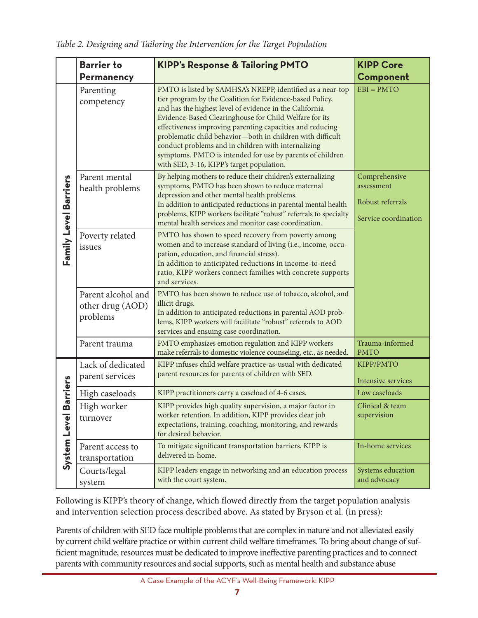*Table 2. Designing and Tailoring the Intervention for the Target Population* 

|                              | <b>Barrier to</b>                                  | <b>KIPP's Response &amp; Tailoring PMTO</b>                                                                                                                                                                                                                                                                                                                                                                                                                                                                                             | <b>KIPP Core</b>                                                        |
|------------------------------|----------------------------------------------------|-----------------------------------------------------------------------------------------------------------------------------------------------------------------------------------------------------------------------------------------------------------------------------------------------------------------------------------------------------------------------------------------------------------------------------------------------------------------------------------------------------------------------------------------|-------------------------------------------------------------------------|
|                              | <b>Permanency</b>                                  |                                                                                                                                                                                                                                                                                                                                                                                                                                                                                                                                         | Component                                                               |
|                              | Parenting<br>competency                            | PMTO is listed by SAMHSA's NREPP, identified as a near-top<br>tier program by the Coalition for Evidence-based Policy,<br>and has the highest level of evidence in the California<br>Evidence-Based Clearinghouse for Child Welfare for its<br>effectiveness improving parenting capacities and reducing<br>problematic child behavior-both in children with difficult<br>conduct problems and in children with internalizing<br>symptoms. PMTO is intended for use by parents of children<br>with SED, 3-16, KIPP's target population. | $EBI = PMTO$                                                            |
| Family Level Barriers        | Parent mental<br>health problems                   | By helping mothers to reduce their children's externalizing<br>symptoms, PMTO has been shown to reduce maternal<br>depression and other mental health problems.<br>In addition to anticipated reductions in parental mental health<br>problems, KIPP workers facilitate "robust" referrals to specialty<br>mental health services and monitor case coordination.                                                                                                                                                                        | Comprehensive<br>assessment<br>Robust referrals<br>Service coordination |
|                              | Poverty related<br>issues                          | PMTO has shown to speed recovery from poverty among<br>women and to increase standard of living (i.e., income, occu-<br>pation, education, and financial stress).<br>In addition to anticipated reductions in income-to-need<br>ratio, KIPP workers connect families with concrete supports<br>and services.                                                                                                                                                                                                                            |                                                                         |
|                              | Parent alcohol and<br>other drug (AOD)<br>problems | PMTO has been shown to reduce use of tobacco, alcohol, and<br>illicit drugs.<br>In addition to anticipated reductions in parental AOD prob-<br>lems, KIPP workers will facilitate "robust" referrals to AOD<br>services and ensuing case coordination.                                                                                                                                                                                                                                                                                  |                                                                         |
|                              | Parent trauma                                      | PMTO emphasizes emotion regulation and KIPP workers<br>make referrals to domestic violence counseling, etc., as needed.                                                                                                                                                                                                                                                                                                                                                                                                                 | Trauma-informed<br><b>PMTO</b>                                          |
| arriers<br>m<br>System Level | Lack of dedicated<br>parent services               | KIPP infuses child welfare practice-as-usual with dedicated<br>parent resources for parents of children with SED.                                                                                                                                                                                                                                                                                                                                                                                                                       | KIPP/PMTO<br>Intensive services                                         |
|                              | High caseloads                                     | KIPP practitioners carry a caseload of 4-6 cases.                                                                                                                                                                                                                                                                                                                                                                                                                                                                                       | Low caseloads                                                           |
|                              | High worker<br>turnover                            | KIPP provides high quality supervision, a major factor in<br>worker retention. In addition, KIPP provides clear job<br>expectations, training, coaching, monitoring, and rewards<br>for desired behavior.                                                                                                                                                                                                                                                                                                                               | Clinical & team<br>supervision                                          |
|                              | Parent access to<br>transportation                 | To mitigate significant transportation barriers, KIPP is<br>delivered in-home.                                                                                                                                                                                                                                                                                                                                                                                                                                                          | In-home services                                                        |
|                              | Courts/legal<br>system                             | KIPP leaders engage in networking and an education process<br>with the court system.                                                                                                                                                                                                                                                                                                                                                                                                                                                    | Systems education<br>and advocacy                                       |

Following is KIPP's theory of change, which flowed directly from the target population analysis and intervention selection process described above. As stated by Bryson et al. (in press):

Parents of children with SED face multiple problems that are complex in nature and not alleviated easily by current child welfare practice or within current child welfare timeframes. To bring about change of sufficient magnitude, resources must be dedicated to improve ineffective parenting practices and to connect parents with community resources and social supports, such as mental health and substance abuse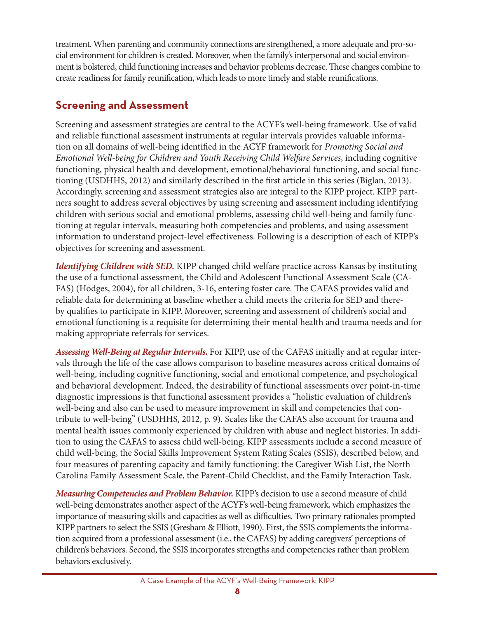treatment. When parenting and community connections are strengthened, a more adequate and pro-social environment for children is created. Moreover, when the family's interpersonal and social environment is bolstered, child functioning increases and behavior problems decrease. These changes combine to create readiness for family reunification, which leads to more timely and stable reunifications.

## **Screening and Assessment**

Screening and assessment strategies are central to the ACYF's well-being framework. Use of valid and reliable functional assessment instruments at regular intervals provides valuable information on all domains of well-being identified in the ACYF framework for *Promoting Social and Emotional Well-being for Children and Youth Receiving Child Welfare Services*, including cognitive functioning, physical health and development, emotional/behavioral functioning, and social functioning (USDHHS, 2012) and similarly described in the first article in this series (Biglan, 2013). Accordingly, screening and assessment strategies also are integral to the KIPP project. KIPP partners sought to address several objectives by using screening and assessment including identifying children with serious social and emotional problems, assessing child well-being and family functioning at regular intervals, measuring both competencies and problems, and using assessment information to understand project-level effectiveness. Following is a description of each of KIPP's objectives for screening and assessment.

*Identifying Children with SED.* KIPP changed child welfare practice across Kansas by instituting the use of a functional assessment, the Child and Adolescent Functional Assessment Scale (CA-FAS) (Hodges, 2004), for all children, 3-16, entering foster care. The CAFAS provides valid and reliable data for determining at baseline whether a child meets the criteria for SED and thereby qualifies to participate in KIPP. Moreover, screening and assessment of children's social and emotional functioning is a requisite for determining their mental health and trauma needs and for making appropriate referrals for services.

*Assessing Well-Being at Regular Intervals.* For KIPP, use of the CAFAS initially and at regular intervals through the life of the case allows comparison to baseline measures across critical domains of well-being, including cognitive functioning, social and emotional competence, and psychological and behavioral development. Indeed, the desirability of functional assessments over point-in-time diagnostic impressions is that functional assessment provides a "holistic evaluation of children's well-being and also can be used to measure improvement in skill and competencies that contribute to well-being" (USDHHS, 2012, p. 9). Scales like the CAFAS also account for trauma and mental health issues commonly experienced by children with abuse and neglect histories. In addition to using the CAFAS to assess child well-being, KIPP assessments include a second measure of child well-being, the Social Skills Improvement System Rating Scales (SSIS), described below, and four measures of parenting capacity and family functioning: the Caregiver Wish List, the North Carolina Family Assessment Scale, the Parent-Child Checklist, and the Family Interaction Task.

*Measuring Competencies and Problem Behavior.* KIPP's decision to use a second measure of child well-being demonstrates another aspect of the ACYF's well-being framework, which emphasizes the importance of measuring skills and capacities as well as difficulties. Two primary rationales prompted KIPP partners to select the SSIS (Gresham & Elliott, 1990). First, the SSIS complements the information acquired from a professional assessment (i.e., the CAFAS) by adding caregivers' perceptions of children's behaviors. Second, the SSIS incorporates strengths and competencies rather than problem behaviors exclusively.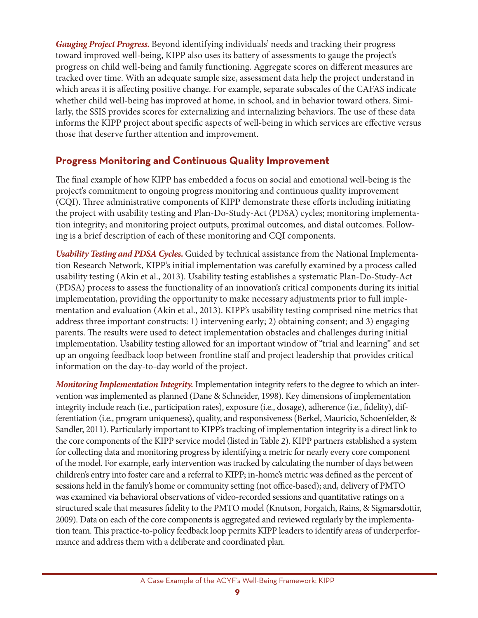*Gauging Project Progress.* Beyond identifying individuals' needs and tracking their progress toward improved well-being, KIPP also uses its battery of assessments to gauge the project's progress on child well-being and family functioning. Aggregate scores on different measures are tracked over time. With an adequate sample size, assessment data help the project understand in which areas it is affecting positive change. For example, separate subscales of the CAFAS indicate whether child well-being has improved at home, in school, and in behavior toward others. Similarly, the SSIS provides scores for externalizing and internalizing behaviors. The use of these data informs the KIPP project about specific aspects of well-being in which services are effective versus those that deserve further attention and improvement.

### **Progress monitoring and continuous Quality Improvement**

The final example of how KIPP has embedded a focus on social and emotional well-being is the project's commitment to ongoing progress monitoring and continuous quality improvement (CQI). Three administrative components of KIPP demonstrate these efforts including initiating the project with usability testing and Plan-Do-Study-Act (PDSA) cycles; monitoring implementation integrity; and monitoring project outputs, proximal outcomes, and distal outcomes. Following is a brief description of each of these monitoring and CQI components.

*Usability Testing and PDSA Cycles.* Guided by technical assistance from the National Implementation Research Network, KIPP's initial implementation was carefully examined by a process called usability testing (Akin et al., 2013). Usability testing establishes a systematic Plan-Do-Study-Act (PDSA) process to assess the functionality of an innovation's critical components during its initial implementation, providing the opportunity to make necessary adjustments prior to full implementation and evaluation (Akin et al., 2013). KIPP's usability testing comprised nine metrics that address three important constructs: 1) intervening early; 2) obtaining consent; and 3) engaging parents. The results were used to detect implementation obstacles and challenges during initial implementation. Usability testing allowed for an important window of "trial and learning" and set up an ongoing feedback loop between frontline staff and project leadership that provides critical information on the day-to-day world of the project.

*Monitoring Implementation Integrity.* Implementation integrity refers to the degree to which an intervention was implemented as planned (Dane & Schneider, 1998). Key dimensions of implementation integrity include reach (i.e., participation rates), exposure (i.e., dosage), adherence (i.e., fidelity), differentiation (i.e., program uniqueness), quality, and responsiveness (Berkel, Mauricio, Schoenfelder, & Sandler, 2011). Particularly important to KIPP's tracking of implementation integrity is a direct link to the core components of the KIPP service model (listed in Table 2). KIPP partners established a system for collecting data and monitoring progress by identifying a metric for nearly every core component of the model. For example, early intervention was tracked by calculating the number of days between children's entry into foster care and a referral to KIPP; in-home's metric was defined as the percent of sessions held in the family's home or community setting (not office-based); and, delivery of PMTO was examined via behavioral observations of video-recorded sessions and quantitative ratings on a structured scale that measures fidelity to the PMTO model (Knutson, Forgatch, Rains, & Sigmarsdottir, 2009). Data on each of the core components is aggregated and reviewed regularly by the implementation team. This practice-to-policy feedback loop permits KIPP leaders to identify areas of underperformance and address them with a deliberate and coordinated plan.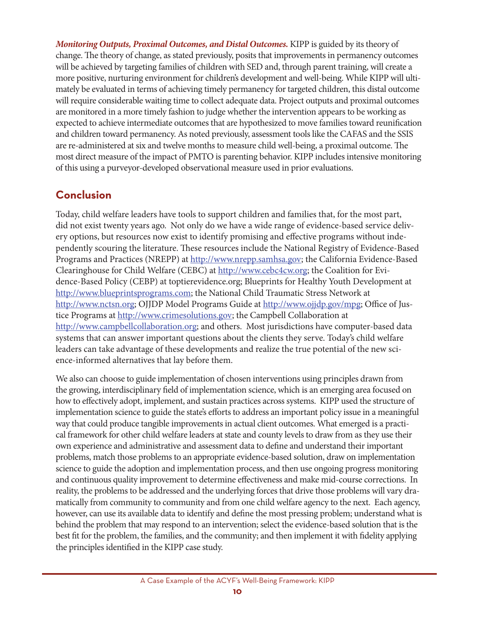*Monitoring Outputs, Proximal Outcomes, and Distal Outcomes.* KIPP is guided by its theory of change. The theory of change, as stated previously, posits that improvements in permanency outcomes will be achieved by targeting families of children with SED and, through parent training, will create a more positive, nurturing environment for children's development and well-being. While KIPP will ultimately be evaluated in terms of achieving timely permanency for targeted children, this distal outcome will require considerable waiting time to collect adequate data. Project outputs and proximal outcomes are monitored in a more timely fashion to judge whether the intervention appears to be working as expected to achieve intermediate outcomes that are hypothesized to move families toward reunification and children toward permanency. As noted previously, assessment tools like the CAFAS and the SSIS are re-administered at six and twelve months to measure child well-being, a proximal outcome. The most direct measure of the impact of PMTO is parenting behavior. KIPP includes intensive monitoring of this using a purveyor-developed observational measure used in prior evaluations.

## **conclusion**

 ence-informed alternatives that lay before them. Today, child welfare leaders have tools to support children and families that, for the most part, did not exist twenty years ago. Not only do we have a wide range of evidence-based service delivery options, but resources now exist to identify promising and effective programs without independently scouring the literature. These resources include the National Registry of Evidence-Based Programs and Practices (NREPP) at http://www.nrepp.samhsa.gov; the California Evidence-Based Clearinghouse for Child Welfare (CEBC) at http://www.cebc4cw.org; the Coalition for Evidence-Based Policy (CEBP) at toptierevidence.org; Blueprints for Healthy Youth Development at http://www.blueprintsprograms.com; the National Child Traumatic Stress Network at http://www.nctsn.org; OJJDP Model Programs Guide at http://www.ojjdp.gov/mpg; Office of Justice Programs at http://www.crimesolutions.gov; the Campbell Collaboration at http://www.campbellcollaboration.org; and others. Most jurisdictions have computer-based data systems that can answer important questions about the clients they serve. Today's child welfare leaders can take advantage of these developments and realize the true potential of the new sci-

 the principles identified in the KIPP case study. We also can choose to guide implementation of chosen interventions using principles drawn from the growing, interdisciplinary field of implementation science, which is an emerging area focused on how to effectively adopt, implement, and sustain practices across systems. KIPP used the structure of implementation science to guide the state's efforts to address an important policy issue in a meaningful way that could produce tangible improvements in actual client outcomes. What emerged is a practical framework for other child welfare leaders at state and county levels to draw from as they use their own experience and administrative and assessment data to define and understand their important problems, match those problems to an appropriate evidence-based solution, draw on implementation science to guide the adoption and implementation process, and then use ongoing progress monitoring and continuous quality improvement to determine effectiveness and make mid-course corrections. In reality, the problems to be addressed and the underlying forces that drive those problems will vary dramatically from community to community and from one child welfare agency to the next. Each agency, however, can use its available data to identify and define the most pressing problem; understand what is behind the problem that may respond to an intervention; select the evidence-based solution that is the best fit for the problem, the families, and the community; and then implement it with fidelity applying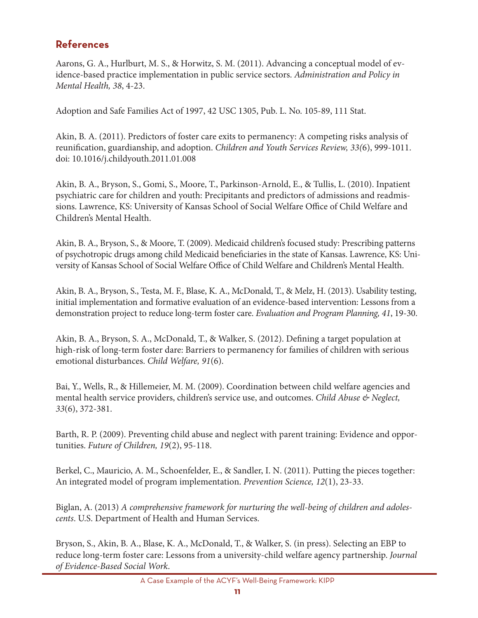## **references**

Aarons, G. A., Hurlburt, M. S., & Horwitz, S. M. (2011). Advancing a conceptual model of evidence-based practice implementation in public service sectors. *Administration and Policy in Mental Health, 38*, 4-23.

Adoption and Safe Families Act of 1997, 42 USC 1305, Pub. L. No. 105-89, 111 Stat.

Akin, B. A. (2011). Predictors of foster care exits to permanency: A competing risks analysis of reunification, guardianship, and adoption. *Children and Youth Services Review, 33(*6), 999-1011. doi: 10.1016/j.childyouth.2011.01.008

Akin, B. A., Bryson, S., Gomi, S., Moore, T., Parkinson-Arnold, E., & Tullis, L. (2010). Inpatient psychiatric care for children and youth: Precipitants and predictors of admissions and readmissions. Lawrence, KS: University of Kansas School of Social Welfare Office of Child Welfare and Children's Mental Health.

Akin, B. A., Bryson, S., & Moore, T. (2009). Medicaid children's focused study: Prescribing patterns of psychotropic drugs among child Medicaid beneficiaries in the state of Kansas. Lawrence, KS: University of Kansas School of Social Welfare Office of Child Welfare and Children's Mental Health.

Akin, B. A., Bryson, S., Testa, M. F., Blase, K. A., McDonald, T., & Melz, H. (2013). Usability testing, initial implementation and formative evaluation of an evidence-based intervention: Lessons from a demonstration project to reduce long-term foster care. *Evaluation and Program Planning, 41*, 19-30.

Akin, B. A., Bryson, S. A., McDonald, T., & Walker, S. (2012). Defining a target population at high-risk of long-term foster dare: Barriers to permanency for families of children with serious emotional disturbances. *Child Welfare, 91*(6).

Bai, Y., Wells, R., & Hillemeier, M. M. (2009). Coordination between child welfare agencies and mental health service providers, children's service use, and outcomes. *Child Abuse & Neglect, 33*(6), 372-381.

Barth, R. P. (2009). Preventing child abuse and neglect with parent training: Evidence and opportunities. *Future of Children, 19*(2), 95-118.

Berkel, C., Mauricio, A. M., Schoenfelder, E., & Sandler, I. N. (2011). Putting the pieces together: An integrated model of program implementation. *Prevention Science, 12*(1), 23-33.

Biglan, A. (2013) *A comprehensive framework for nurturing the well-being of children and adolescents*. U.S. Department of Health and Human Services.

Bryson, S., Akin, B. A., Blase, K. A., McDonald, T., & Walker, S. (in press). Selecting an EBP to reduce long-term foster care: Lessons from a university-child welfare agency partnership. *Journal of Evidence-Based Social Work*.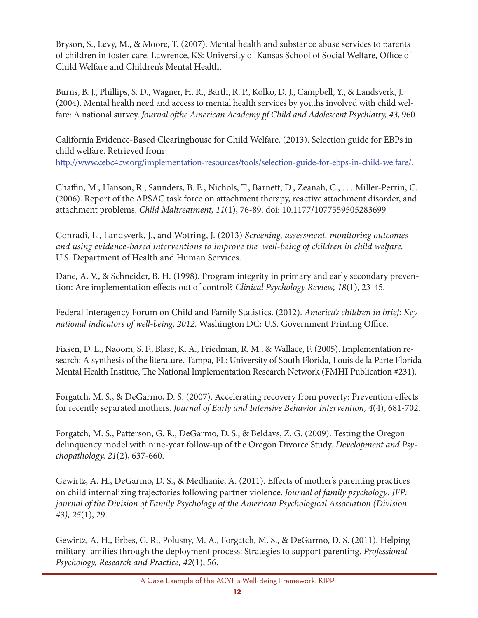Bryson, S., Levy, M., & Moore, T. (2007). Mental health and substance abuse services to parents of children in foster care. Lawrence, KS: University of Kansas School of Social Welfare, Office of Child Welfare and Children's Mental Health.

Burns, B. J., Phillips, S. D., Wagner, H. R., Barth, R. P., Kolko, D. J., Campbell, Y., & Landsverk, J. (2004). Mental health need and access to mental health services by youths involved with child welfare: A national survey. *Journal ofthe American Academy pf Child and Adolescent Psychiatry, 43*, 960.

California Evidence-Based Clearinghouse for Child Welfare. (2013). Selection guide for EBPs in child welfare. Retrieved from http://www.cebc4cw.org/implementation-resources/tools/selection-guide-for-ebps-in-child-welfare/.

Chaffin, M., Hanson, R., Saunders, B. E., Nichols, T., Barnett, D., Zeanah, C., . . . Miller-Perrin, C. (2006). Report of the APSAC task force on attachment therapy, reactive attachment disorder, and attachment problems. *Child Maltreatment, 11*(1), 76-89. doi: 10.1177/1077559505283699

 *and using evidence-based interventions to improve the well-being of children in child welfare.* Conradi, L., Landsverk, J., and Wotring, J. (2013) *Screening, assessment, monitoring outcomes*  U.S. Department of Health and Human Services.

Dane, A. V., & Schneider, B. H. (1998). Program integrity in primary and early secondary prevention: Are implementation effects out of control? *Clinical Psychology Review, 18*(1), 23-45.

Federal Interagency Forum on Child and Family Statistics. (2012). *America's children in brief: Key national indicators of well-being, 2012*. Washington DC: U.S. Government Printing Office.

Fixsen, D. L., Naoom, S. F., Blase, K. A., Friedman, R. M., & Wallace, F. (2005). Implementation research: A synthesis of the literature. Tampa, FL: University of South Florida, Louis de la Parte Florida Mental Health Institue, The National Implementation Research Network (FMHI Publication #231).

Forgatch, M. S., & DeGarmo, D. S. (2007). Accelerating recovery from poverty: Prevention effects for recently separated mothers. *Journal of Early and Intensive Behavior Intervention, 4*(4), 681-702.

Forgatch, M. S., Patterson, G. R., DeGarmo, D. S., & Beldavs, Z. G. (2009). Testing the Oregon delinquency model with nine-year follow-up of the Oregon Divorce Study. *Development and Psychopathology, 21*(2), 637-660.

Gewirtz, A. H., DeGarmo, D. S., & Medhanie, A. (2011). Effects of mother's parenting practices on child internalizing trajectories following partner violence. *Journal of family psychology: JFP: journal of the Division of Family Psychology of the American Psychological Association (Division 43), 25*(1), 29.

Gewirtz, A. H., Erbes, C. R., Polusny, M. A., Forgatch, M. S., & DeGarmo, D. S. (2011). Helping military families through the deployment process: Strategies to support parenting. *Professional Psychology, Research and Practice, 42*(1), 56.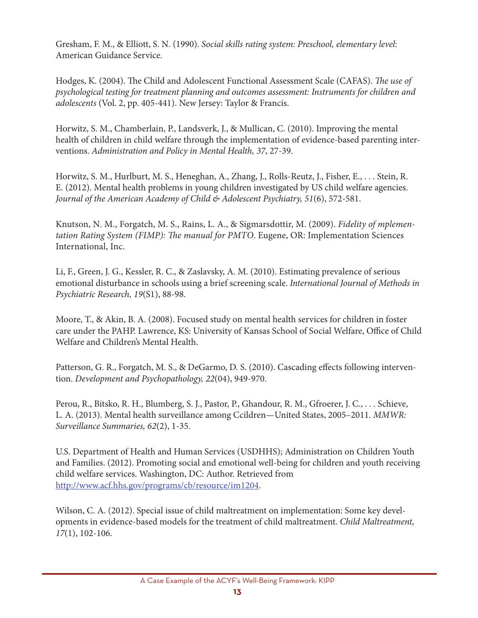Gresham, F. M., & Elliott, S. N. (1990). *Social skills rating system: Preschool, elementary level*: American Guidance Service.

Hodges, K. (2004). The Child and Adolescent Functional Assessment Scale (CAFAS). *The use of psychological testing for treatment planning and outcomes assessment: Instruments for children and adolescents* (Vol. 2, pp. 405-441). New Jersey: Taylor & Francis.

Horwitz, S. M., Chamberlain, P., Landsverk, J., & Mullican, C. (2010). Improving the mental health of children in child welfare through the implementation of evidence-based parenting interventions. *Administration and Policy in Mental Health, 37*, 27-39.

Horwitz, S. M., Hurlburt, M. S., Heneghan, A., Zhang, J., Rolls-Reutz, J., Fisher, E., . . . Stein, R. E. (2012). Mental health problems in young children investigated by US child welfare agencies. *Journal of the American Academy of Child & Adolescent Psychiatry, 51*(6), 572-581.

Knutson, N. M., Forgatch, M. S., Rains, L. A., & Sigmarsdottir, M. (2009). *Fidelity of mplementation Rating System (FIMP): The manual for PMTO*. Eugene, OR: Implementation Sciences International, Inc.

Li, F., Green, J. G., Kessler, R. C., & Zaslavsky, A. M. (2010). Estimating prevalence of serious emotional disturbance in schools using a brief screening scale. *International Journal of Methods in Psychiatric Research, 19*(S1), 88-98.

Moore, T., & Akin, B. A. (2008). Focused study on mental health services for children in foster care under the PAHP. Lawrence, KS: University of Kansas School of Social Welfare, Office of Child Welfare and Children's Mental Health.

Patterson, G. R., Forgatch, M. S., & DeGarmo, D. S. (2010). Cascading effects following intervention. *Development and Psychopathology, 22*(04), 949-970.

Perou, R., Bitsko, R. H., Blumberg, S. J., Pastor, P., Ghandour, R. M., Gfroerer, J. C., . . . Schieve, L. A. (2013). Mental health surveillance among Ccildren—United States, 2005–2011. *MMWR: Surveillance Summaries, 62*(2), 1-35.

U.S. Department of Health and Human Services (USDHHS); Administration on Children Youth and Families. (2012). Promoting social and emotional well-being for children and youth receiving child welfare services. Washington, DC: Author. Retrieved from http://www.acf.hhs.gov/programs/cb/resource/im1204.

Wilson, C. A. (2012). Special issue of child maltreatment on implementation: Some key developments in evidence-based models for the treatment of child maltreatment. *Child Maltreatment, 17*(1), 102-106.